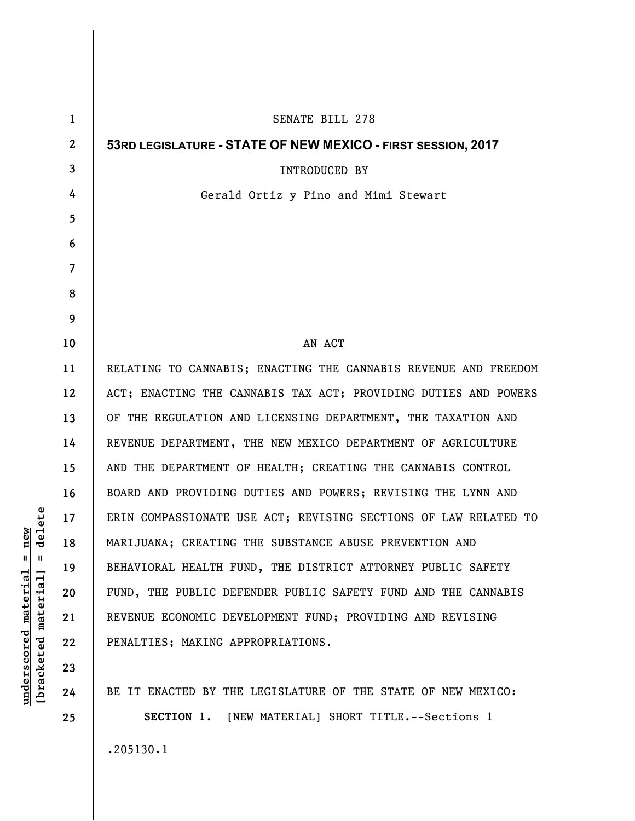| $\mathbf{1}$   | SENATE BILL 278                                                 |
|----------------|-----------------------------------------------------------------|
| $\overline{2}$ | 53RD LEGISLATURE - STATE OF NEW MEXICO - FIRST SESSION, 2017    |
| 3              | <b>INTRODUCED BY</b>                                            |
| 4              | Gerald Ortiz y Pino and Mimi Stewart                            |
| 5              |                                                                 |
| 6              |                                                                 |
| $\overline{7}$ |                                                                 |
| 8              |                                                                 |
| 9              |                                                                 |
| 10             | AN ACT                                                          |
| 11             | RELATING TO CANNABIS; ENACTING THE CANNABIS REVENUE AND FREEDOM |
| 12             | ACT; ENACTING THE CANNABIS TAX ACT; PROVIDING DUTIES AND POWERS |
| 13             | OF THE REGULATION AND LICENSING DEPARTMENT, THE TAXATION AND    |
| 14             | REVENUE DEPARTMENT, THE NEW MEXICO DEPARTMENT OF AGRICULTURE    |
| 15             | AND THE DEPARTMENT OF HEALTH; CREATING THE CANNABIS CONTROL     |
| 16             | BOARD AND PROVIDING DUTIES AND POWERS; REVISING THE LYNN AND    |
| 17             | ERIN COMPASSIONATE USE ACT; REVISING SECTIONS OF LAW RELATED TO |
| 18             | MARIJUANA; CREATING THE SUBSTANCE ABUSE PREVENTION AND          |
| 19             | BEHAVIORAL HEALTH FUND, THE DISTRICT ATTORNEY PUBLIC SAFETY     |
| 20             | FUND, THE PUBLIC DEFENDER PUBLIC SAFETY FUND AND THE CANNABIS   |
| 21             | REVENUE ECONOMIC DEVELOPMENT FUND; PROVIDING AND REVISING       |
| 22             | PENALTIES; MAKING APPROPRIATIONS.                               |
| 23             |                                                                 |
| 24             | BE IT ENACTED BY THE LEGISLATURE OF THE STATE OF NEW MEXICO:    |
| 25             | SECTION 1. [NEW MATERIAL] SHORT TITLE. -- Sections 1            |
|                |                                                                 |

 $[bracketeed-materiat] = delete$ **[bracketed material] = delete**  $underscored material = new$ **underscored material = new**

.205130.1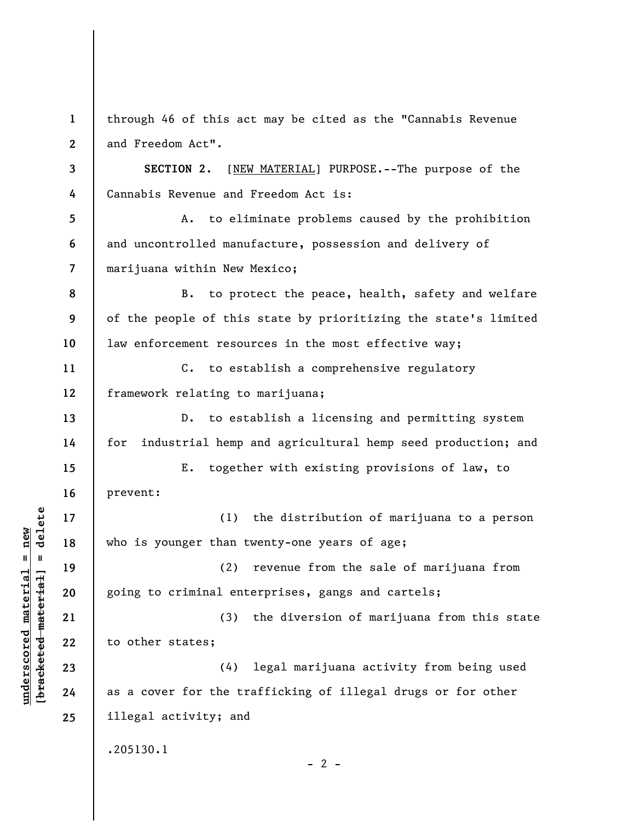**1 2 3 4 5 6 7 8 9 10 11 12 13 14 15 16 17 18 19 20 21 22 23 24 25**  through 46 of this act may be cited as the "Cannabis Revenue and Freedom Act". **SECTION 2.** [NEW MATERIAL] PURPOSE.--The purpose of the Cannabis Revenue and Freedom Act is: A. to eliminate problems caused by the prohibition and uncontrolled manufacture, possession and delivery of marijuana within New Mexico; B. to protect the peace, health, safety and welfare of the people of this state by prioritizing the state's limited law enforcement resources in the most effective way; C. to establish a comprehensive regulatory framework relating to marijuana; D. to establish a licensing and permitting system for industrial hemp and agricultural hemp seed production; and E. together with existing provisions of law, to prevent: (1) the distribution of marijuana to a person who is younger than twenty-one years of age; (2) revenue from the sale of marijuana from going to criminal enterprises, gangs and cartels; (3) the diversion of marijuana from this state to other states; (4) legal marijuana activity from being used as a cover for the trafficking of illegal drugs or for other illegal activity; and .205130.1  $- 2 -$ 

**underscored material = new [bracketed material] = delete**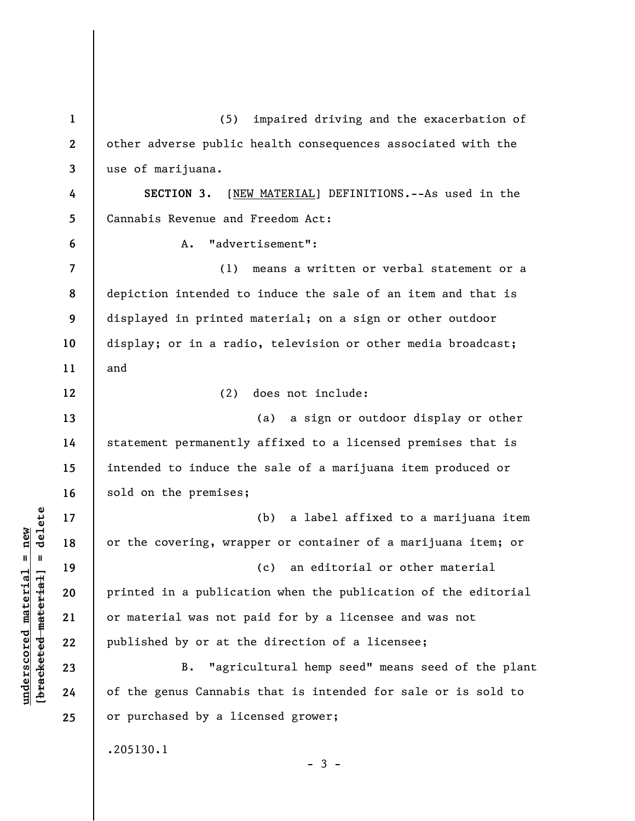| $\mathbf{1}$   | impaired driving and the exacerbation of<br>(5)                |
|----------------|----------------------------------------------------------------|
| $\mathbf{2}$   | other adverse public health consequences associated with the   |
| 3              | use of marijuana.                                              |
| 4              | [NEW MATERIAL] DEFINITIONS. -- As used in the<br>SECTION 3.    |
| 5              | Cannabis Revenue and Freedom Act:                              |
| 6              | "advertisement":<br>Α.                                         |
| $\overline{7}$ | (1) means a written or verbal statement or a                   |
| 8              | depiction intended to induce the sale of an item and that is   |
| 9              | displayed in printed material; on a sign or other outdoor      |
| 10             | display; or in a radio, television or other media broadcast;   |
| 11             | and                                                            |
| 12             | does not include:<br>(2)                                       |
| 13             | (a) a sign or outdoor display or other                         |
| 14             | statement permanently affixed to a licensed premises that is   |
| 15             | intended to induce the sale of a marijuana item produced or    |
| 16             | sold on the premises;                                          |
| 17             | (b) a label affixed to a marijuana item                        |
| 18             | or the covering, wrapper or container of a marijuana item; or  |
| 19             | (c) an editorial or other material                             |
| 20             | printed in a publication when the publication of the editorial |
| 21             | or material was not paid for by a licensee and was not         |
| 22             | published by or at the direction of a licensee;                |
| 23             | "agricultural hemp seed" means seed of the plant<br>B.         |
| 24             | of the genus Cannabis that is intended for sale or is sold to  |
| 25             | or purchased by a licensed grower;                             |
|                | .205130.1                                                      |
|                | - 3 -                                                          |

**underscored material = new [bracketed material] = delete**

 $[**bracket eted metert et**] = **del et e**$  $underscored material = new$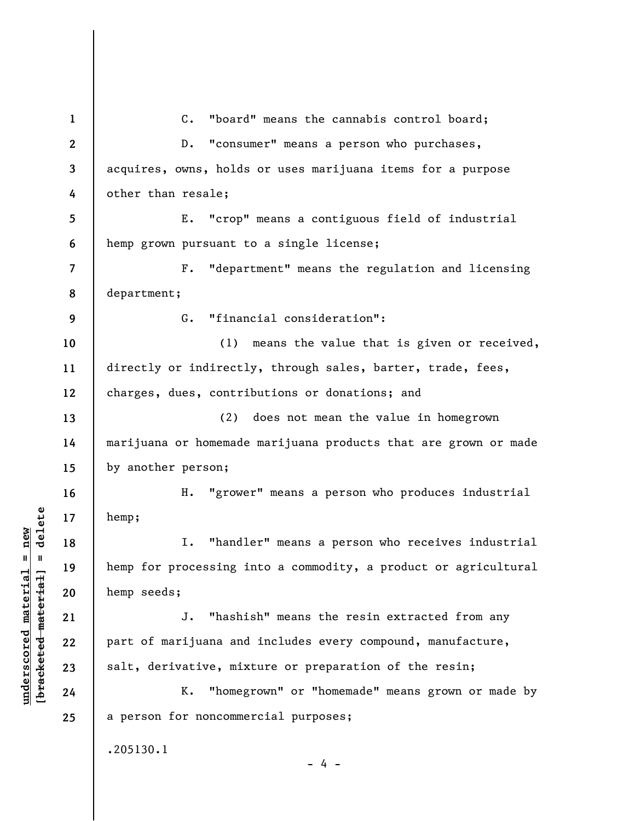**1 2 3 4 5 6 7 8 9 10 11 12 13 14 15 16 17 18 19 20 21 22 23 24 25**  C. "board" means the cannabis control board; D. "consumer" means a person who purchases, acquires, owns, holds or uses marijuana items for a purpose other than resale; E. "crop" means a contiguous field of industrial hemp grown pursuant to a single license; F. "department" means the regulation and licensing department; G. "financial consideration": (1) means the value that is given or received, directly or indirectly, through sales, barter, trade, fees, charges, dues, contributions or donations; and (2) does not mean the value in homegrown marijuana or homemade marijuana products that are grown or made by another person; H. "grower" means a person who produces industrial hemp; I. "handler" means a person who receives industrial hemp for processing into a commodity, a product or agricultural hemp seeds; J. "hashish" means the resin extracted from any part of marijuana and includes every compound, manufacture, salt, derivative, mixture or preparation of the resin; K. "homegrown" or "homemade" means grown or made by a person for noncommercial purposes; .205130.1  $- 4 -$ 

**underscored material = new [bracketed material] = delete**

 $b$ racketed material] = delete  $underscored material = new$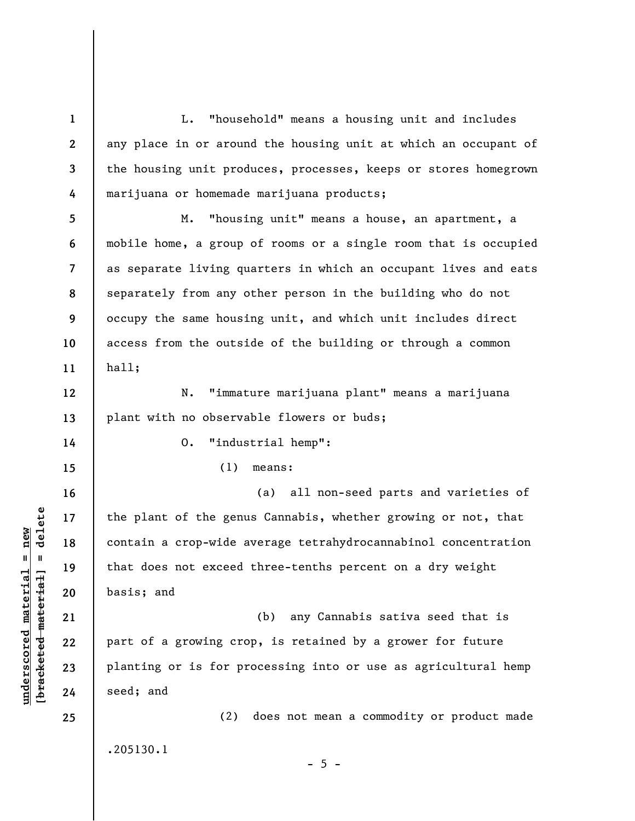**1 2 3 4 5 6 7 8 9 10 11 12 13 14 15 16 17 18 19 20 21 22 23 24 25**  L. "household" means a housing unit and includes any place in or around the housing unit at which an occupant of the housing unit produces, processes, keeps or stores homegrown marijuana or homemade marijuana products; M. "housing unit" means a house, an apartment, a mobile home, a group of rooms or a single room that is occupied as separate living quarters in which an occupant lives and eats separately from any other person in the building who do not occupy the same housing unit, and which unit includes direct access from the outside of the building or through a common hall; N. "immature marijuana plant" means a marijuana plant with no observable flowers or buds; O. "industrial hemp": (1) means: (a) all non-seed parts and varieties of the plant of the genus Cannabis, whether growing or not, that contain a crop-wide average tetrahydrocannabinol concentration that does not exceed three-tenths percent on a dry weight basis; and (b) any Cannabis sativa seed that is part of a growing crop, is retained by a grower for future planting or is for processing into or use as agricultural hemp seed; and (2) does not mean a commodity or product made

.205130.1

**underscored material = new [bracketed material] = delete**

 $\frac{1}{2}$  intereted material = delete  $underscored material = new$ 

 $- 5 -$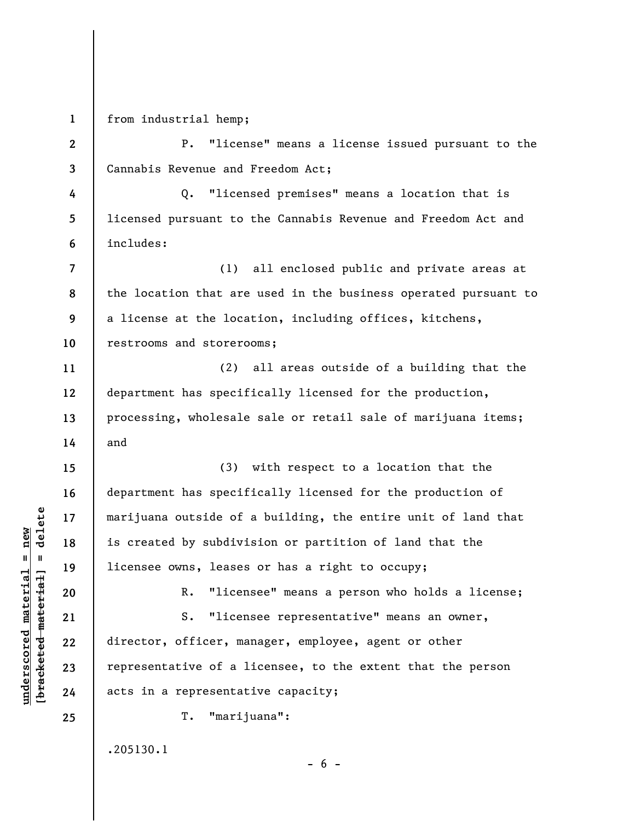**1**  from industrial hemp;

**2 3**  P. "license" means a license issued pursuant to the Cannabis Revenue and Freedom Act;

**4 5 6**  Q. "licensed premises" means a location that is licensed pursuant to the Cannabis Revenue and Freedom Act and includes:

**7 8 9 10**  (1) all enclosed public and private areas at the location that are used in the business operated pursuant to a license at the location, including offices, kitchens, restrooms and storerooms;

(2) all areas outside of a building that the department has specifically licensed for the production, processing, wholesale sale or retail sale of marijuana items; and

(3) with respect to a location that the department has specifically licensed for the production of marijuana outside of a building, the entire unit of land that is created by subdivision or partition of land that the licensee owns, leases or has a right to occupy;

R. "licensee" means a person who holds a license;

S. "licensee representative" means an owner, director, officer, manager, employee, agent or other representative of a licensee, to the extent that the person acts in a representative capacity;

 $- 6 -$ 

T. "marijuana":

.205130.1

 $\frac{1}{2}$  intereted material = delete **[bracketed material] = delete**  $underscored material = new$ **underscored material = new**

**11** 

**12** 

**13** 

**14** 

**15** 

**16** 

**17** 

**18** 

**19** 

**20** 

**21** 

**22** 

**23** 

**24**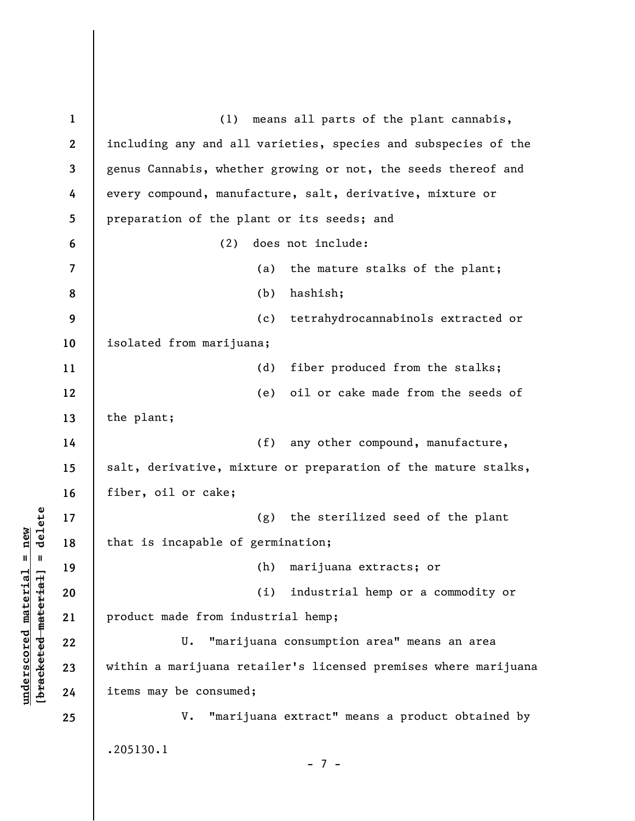**1 2 3 4 5 6 7 8 9 10 11 12 13 14 15 16 17 18 19 20 21 22 23 24 25**  (1) means all parts of the plant cannabis, including any and all varieties, species and subspecies of the genus Cannabis, whether growing or not, the seeds thereof and every compound, manufacture, salt, derivative, mixture or preparation of the plant or its seeds; and (2) does not include: (a) the mature stalks of the plant; (b) hashish; (c) tetrahydrocannabinols extracted or isolated from marijuana; (d) fiber produced from the stalks; (e) oil or cake made from the seeds of the plant; (f) any other compound, manufacture, salt, derivative, mixture or preparation of the mature stalks, fiber, oil or cake; (g) the sterilized seed of the plant that is incapable of germination; (h) marijuana extracts; or (i) industrial hemp or a commodity or product made from industrial hemp; U. "marijuana consumption area" means an area within a marijuana retailer's licensed premises where marijuana items may be consumed; V. "marijuana extract" means a product obtained by .205130.1 - 7 -

**underscored material = new [bracketed material] = delete**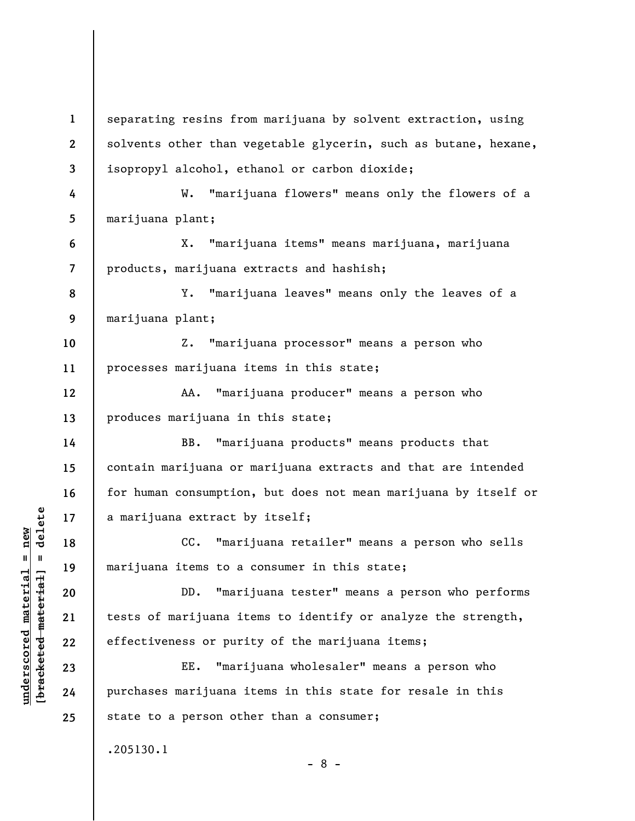**1 2 3 4 5 6 7 8 9 10 11 12 13 14 15 16 17 18 19 20 21 22 23 24 25**  separating resins from marijuana by solvent extraction, using solvents other than vegetable glycerin, such as butane, hexane, isopropyl alcohol, ethanol or carbon dioxide; W. "marijuana flowers" means only the flowers of a marijuana plant; X. "marijuana items" means marijuana, marijuana products, marijuana extracts and hashish; Y. "marijuana leaves" means only the leaves of a marijuana plant; Z. "marijuana processor" means a person who processes marijuana items in this state; AA. "marijuana producer" means a person who produces marijuana in this state; BB. "marijuana products" means products that contain marijuana or marijuana extracts and that are intended for human consumption, but does not mean marijuana by itself or a marijuana extract by itself; CC. "marijuana retailer" means a person who sells marijuana items to a consumer in this state; DD. "marijuana tester" means a person who performs tests of marijuana items to identify or analyze the strength, effectiveness or purity of the marijuana items; EE. "marijuana wholesaler" means a person who purchases marijuana items in this state for resale in this state to a person other than a consumer; .205130.1 - 8 -

**underscored material = new [bracketed material] = delete**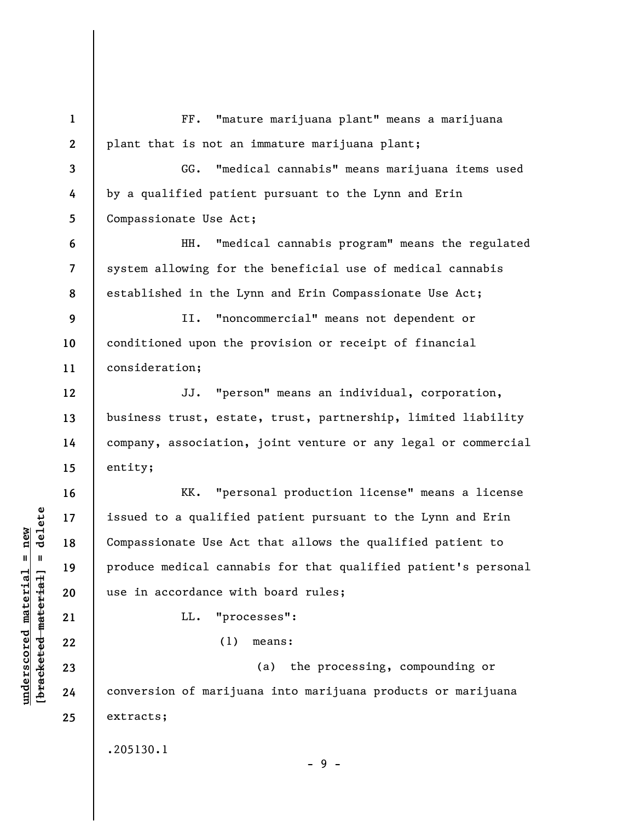**1 2 3 4 5 6 7 8 9 10 11 12 13 14 15 16 17 18 19 20 21 22 23 24 25**  FF. "mature marijuana plant" means a marijuana plant that is not an immature marijuana plant; GG. "medical cannabis" means marijuana items used by a qualified patient pursuant to the Lynn and Erin Compassionate Use Act; HH. "medical cannabis program" means the regulated system allowing for the beneficial use of medical cannabis established in the Lynn and Erin Compassionate Use Act; II. "noncommercial" means not dependent or conditioned upon the provision or receipt of financial consideration; JJ. "person" means an individual, corporation, business trust, estate, trust, partnership, limited liability company, association, joint venture or any legal or commercial entity; KK. "personal production license" means a license issued to a qualified patient pursuant to the Lynn and Erin Compassionate Use Act that allows the qualified patient to produce medical cannabis for that qualified patient's personal use in accordance with board rules; LL. "processes": (1) means: (a) the processing, compounding or conversion of marijuana into marijuana products or marijuana extracts; .205130.1 - 9 -

**underscored material = new [bracketed material] = delete**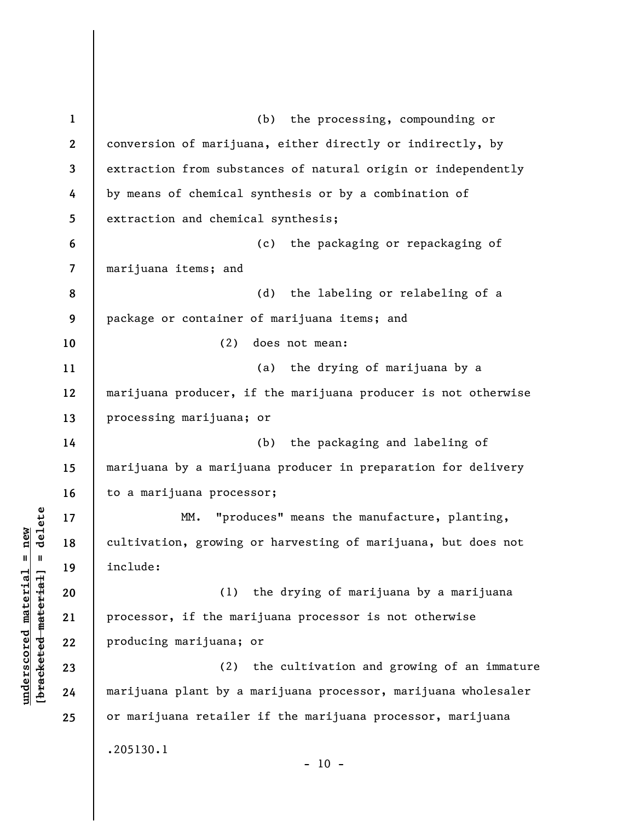| $\mathbf{1}$             | (b) the processing, compounding or                             |
|--------------------------|----------------------------------------------------------------|
| $\mathbf{2}$             | conversion of marijuana, either directly or indirectly, by     |
| 3                        | extraction from substances of natural origin or independently  |
| 4                        | by means of chemical synthesis or by a combination of          |
| $5\phantom{.0}$          | extraction and chemical synthesis;                             |
| 6                        | (c)<br>the packaging or repackaging of                         |
| $\overline{\phantom{a}}$ | marijuana items; and                                           |
| 8                        | (d)<br>the labeling or relabeling of a                         |
| 9                        | package or container of marijuana items; and                   |
| 10                       | (2)<br>does not mean:                                          |
| 11                       | the drying of marijuana by a<br>(a)                            |
| 12                       | marijuana producer, if the marijuana producer is not otherwise |
| 13                       | processing marijuana; or                                       |
| 14                       | the packaging and labeling of<br>(b)                           |
| 15                       | marijuana by a marijuana producer in preparation for delivery  |
| 16                       | to a marijuana processor;                                      |
| 17                       | "produces" means the manufacture, planting,<br>MM.             |
| 18                       | cultivation, growing or harvesting of marijuana, but does not  |
| 19                       | include:                                                       |
| 20                       | (1) the drying of marijuana by a marijuana                     |
| 21                       | processor, if the marijuana processor is not otherwise         |
| 22                       | producing marijuana; or                                        |
| 23                       | (2)<br>the cultivation and growing of an immature              |
| 24                       | marijuana plant by a marijuana processor, marijuana wholesaler |
| 25                       | or marijuana retailer if the marijuana processor, marijuana    |
|                          | .205130.1                                                      |
|                          | $-10 -$                                                        |

 $[**bracket eted metert et**] = **del et e**$ **[bracketed material] = delete**  $underscored material = new$ **underscored material = new**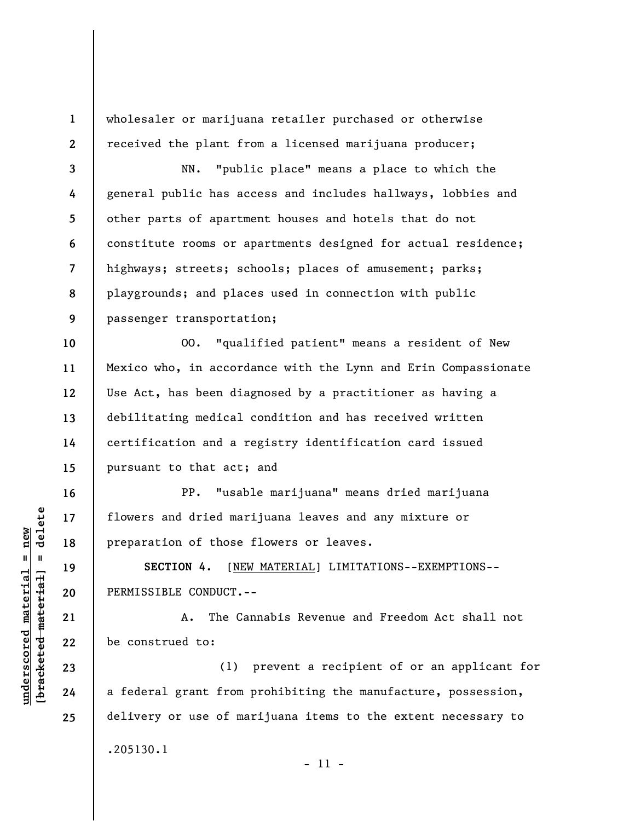wholesaler or marijuana retailer purchased or otherwise received the plant from a licensed marijuana producer;

**3 4 5 6 7 8 9**  NN. "public place" means a place to which the general public has access and includes hallways, lobbies and other parts of apartment houses and hotels that do not constitute rooms or apartments designed for actual residence; highways; streets; schools; places of amusement; parks; playgrounds; and places used in connection with public passenger transportation;

**10 11 12 13 14 15**  OO. "qualified patient" means a resident of New Mexico who, in accordance with the Lynn and Erin Compassionate Use Act, has been diagnosed by a practitioner as having a debilitating medical condition and has received written certification and a registry identification card issued pursuant to that act; and

PP. "usable marijuana" means dried marijuana flowers and dried marijuana leaves and any mixture or preparation of those flowers or leaves.

**SECTION 4.** [NEW MATERIAL] LIMITATIONS--EXEMPTIONS-- PERMISSIBLE CONDUCT.--

A. The Cannabis Revenue and Freedom Act shall not be construed to:

(1) prevent a recipient of or an applicant for a federal grant from prohibiting the manufacture, possession, delivery or use of marijuana items to the extent necessary to .205130.1

 $\frac{1}{2}$  of  $\frac{1}{2}$  and  $\frac{1}{2}$  and  $\frac{1}{2}$  and  $\frac{1}{2}$  and  $\frac{1}{2}$  and  $\frac{1}{2}$  and  $\frac{1}{2}$  and  $\frac{1}{2}$  and  $\frac{1}{2}$  and  $\frac{1}{2}$  and  $\frac{1}{2}$  and  $\frac{1}{2}$  and  $\frac{1}{2}$  and  $\frac{1}{2}$  and  $\frac{1}{2}$  an **[bracketed material] = delete**  $underscored material = new$ **underscored material = new**

**16** 

**17** 

**18** 

**19** 

**20** 

**21** 

**22** 

**23** 

**24** 

**25** 

**1**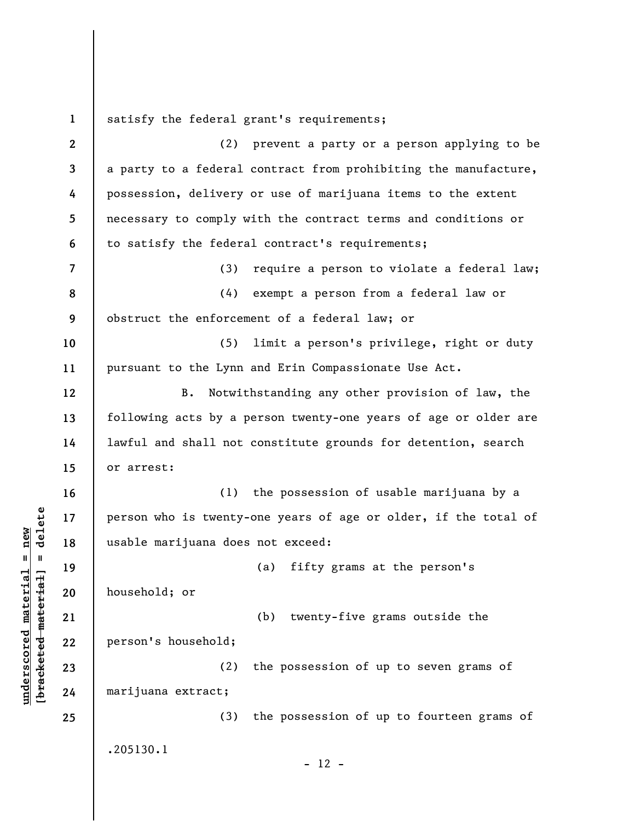**1 2 3 4 5 6 7 8 9 10 11 12 13 14 15 16 17 18 19 20 21 22 23 24 25**  satisfy the federal grant's requirements; (2) prevent a party or a person applying to be a party to a federal contract from prohibiting the manufacture, possession, delivery or use of marijuana items to the extent necessary to comply with the contract terms and conditions or to satisfy the federal contract's requirements; (3) require a person to violate a federal law; (4) exempt a person from a federal law or obstruct the enforcement of a federal law; or (5) limit a person's privilege, right or duty pursuant to the Lynn and Erin Compassionate Use Act. B. Notwithstanding any other provision of law, the following acts by a person twenty-one years of age or older are lawful and shall not constitute grounds for detention, search or arrest: (1) the possession of usable marijuana by a person who is twenty-one years of age or older, if the total of usable marijuana does not exceed: (a) fifty grams at the person's household; or (b) twenty-five grams outside the person's household; (2) the possession of up to seven grams of marijuana extract; (3) the possession of up to fourteen grams of .205130.1  $- 12 -$ 

**underscored material = new [bracketed material] = delete**

 $b$ racketed material] = delete  $underscored material = new$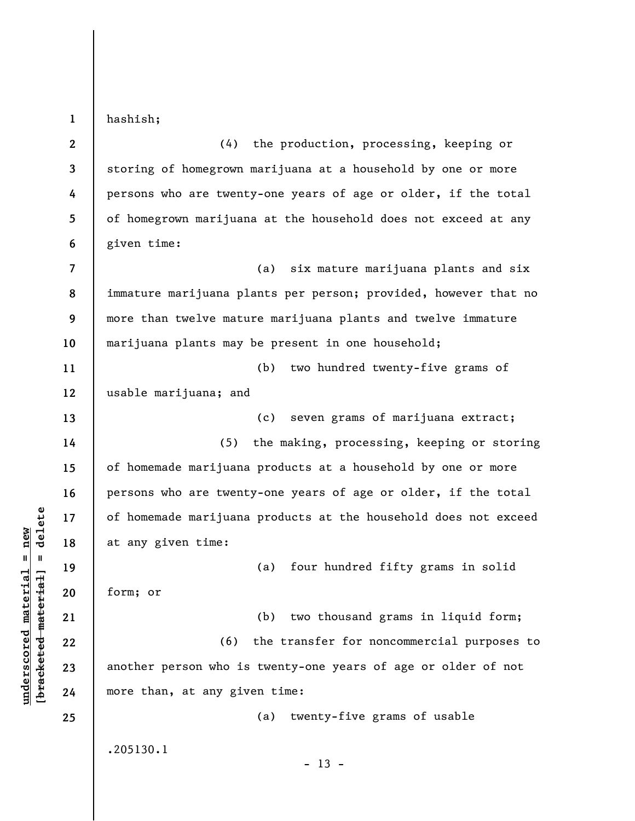**1 2 3 4 5 6 7 8 9 10 11 12 13 14 15 16 17 18 19 20 21 22 23 24 25**  hashish; (4) the production, processing, keeping or storing of homegrown marijuana at a household by one or more persons who are twenty-one years of age or older, if the total of homegrown marijuana at the household does not exceed at any given time: (a) six mature marijuana plants and six immature marijuana plants per person; provided, however that no more than twelve mature marijuana plants and twelve immature marijuana plants may be present in one household; (b) two hundred twenty-five grams of usable marijuana; and (c) seven grams of marijuana extract; (5) the making, processing, keeping or storing of homemade marijuana products at a household by one or more persons who are twenty-one years of age or older, if the total of homemade marijuana products at the household does not exceed at any given time: (a) four hundred fifty grams in solid form; or (b) two thousand grams in liquid form; (6) the transfer for noncommercial purposes to another person who is twenty-one years of age or older of not more than, at any given time: (a) twenty-five grams of usable .205130.1  $- 13 -$ 

**underscored material = new [bracketed material] = delete**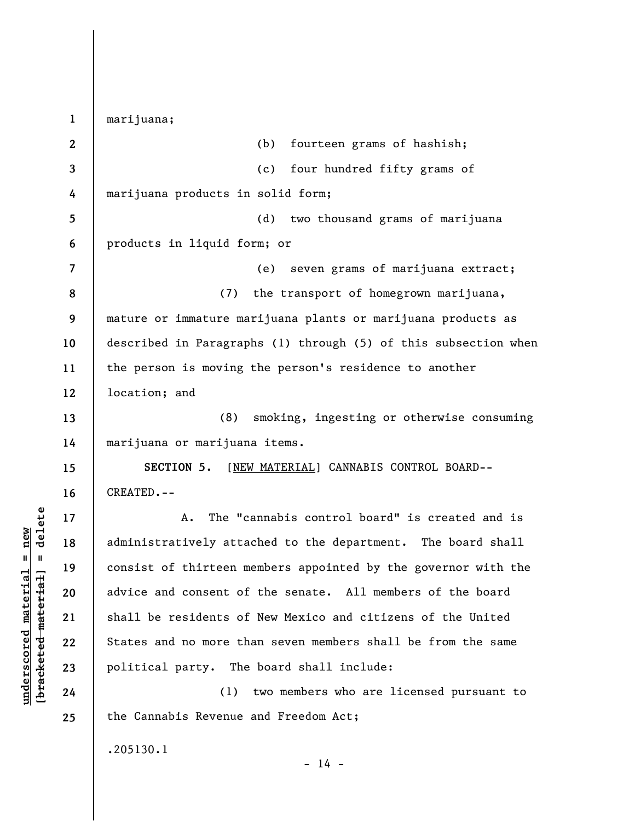**1 2 3 4 5 6 7 8 9 10 11 12 13 14 15 16 17 18 19 20 21 22 23 24 25**  marijuana; (b) fourteen grams of hashish; (c) four hundred fifty grams of marijuana products in solid form; (d) two thousand grams of marijuana products in liquid form; or (e) seven grams of marijuana extract; (7) the transport of homegrown marijuana, mature or immature marijuana plants or marijuana products as described in Paragraphs (1) through (5) of this subsection when the person is moving the person's residence to another location; and (8) smoking, ingesting or otherwise consuming marijuana or marijuana items. **SECTION 5.** [NEW MATERIAL] CANNABIS CONTROL BOARD-- CREATED.-- A. The "cannabis control board" is created and is administratively attached to the department. The board shall consist of thirteen members appointed by the governor with the advice and consent of the senate. All members of the board shall be residents of New Mexico and citizens of the United States and no more than seven members shall be from the same political party. The board shall include: (1) two members who are licensed pursuant to the Cannabis Revenue and Freedom Act; .205130.1

 $\frac{1}{2}$  intereted material = delete **[bracketed material] = delete**  $underscored material = new$ **underscored material = new**

 $- 14 -$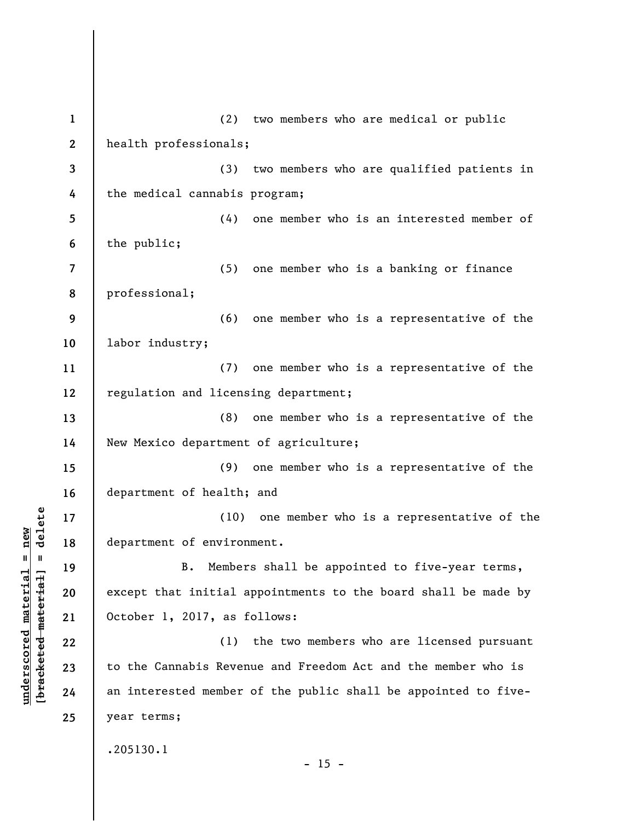**1 2 3 4 5 6 7 8 9 10 11 12 13 14 15 16 17 18 19 20 21 22 23 24 25**  (2) two members who are medical or public health professionals; (3) two members who are qualified patients in the medical cannabis program; (4) one member who is an interested member of the public; (5) one member who is a banking or finance professional; (6) one member who is a representative of the labor industry; (7) one member who is a representative of the regulation and licensing department; (8) one member who is a representative of the New Mexico department of agriculture; (9) one member who is a representative of the department of health; and (10) one member who is a representative of the department of environment. B. Members shall be appointed to five-year terms, except that initial appointments to the board shall be made by October 1, 2017, as follows: (1) the two members who are licensed pursuant to the Cannabis Revenue and Freedom Act and the member who is an interested member of the public shall be appointed to fiveyear terms; .205130.1  $- 15 -$ 

**underscored material = new [bracketed material] = delete**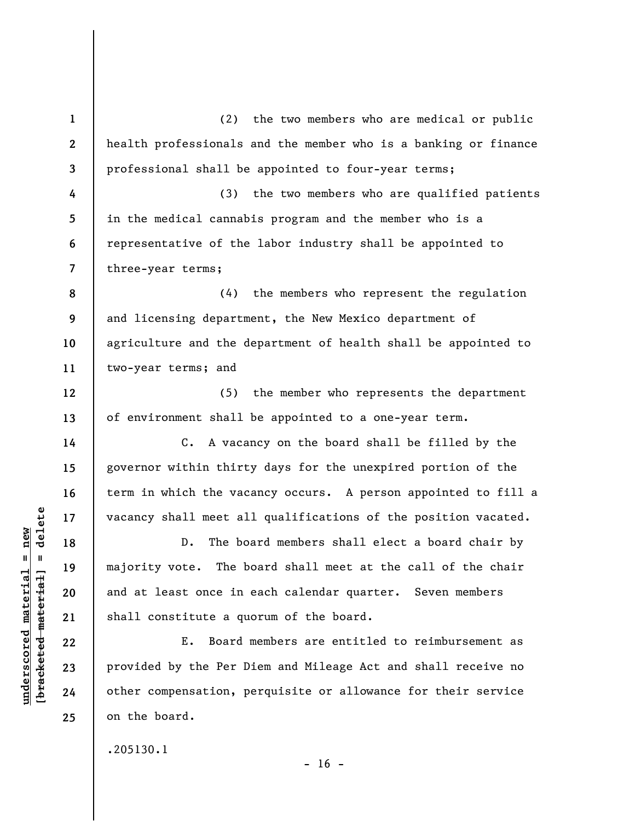**1 2 3 4 5 6 7 8 9 10 11 12 13 14 15 16 17 18 19 20 21 22 23 24 25**  (2) the two members who are medical or public health professionals and the member who is a banking or finance professional shall be appointed to four-year terms; (3) the two members who are qualified patients in the medical cannabis program and the member who is a representative of the labor industry shall be appointed to three-year terms; (4) the members who represent the regulation and licensing department, the New Mexico department of agriculture and the department of health shall be appointed to two-year terms; and (5) the member who represents the department of environment shall be appointed to a one-year term. C. A vacancy on the board shall be filled by the governor within thirty days for the unexpired portion of the term in which the vacancy occurs. A person appointed to fill a vacancy shall meet all qualifications of the position vacated. D. The board members shall elect a board chair by majority vote. The board shall meet at the call of the chair and at least once in each calendar quarter. Seven members shall constitute a quorum of the board. E. Board members are entitled to reimbursement as provided by the Per Diem and Mileage Act and shall receive no other compensation, perquisite or allowance for their service on the board.

.205130.1

**underscored material = new [bracketed material] = delete**

 $\frac{1}{2}$  intereted material = delete  $underscored material = new$ 

 $- 16 -$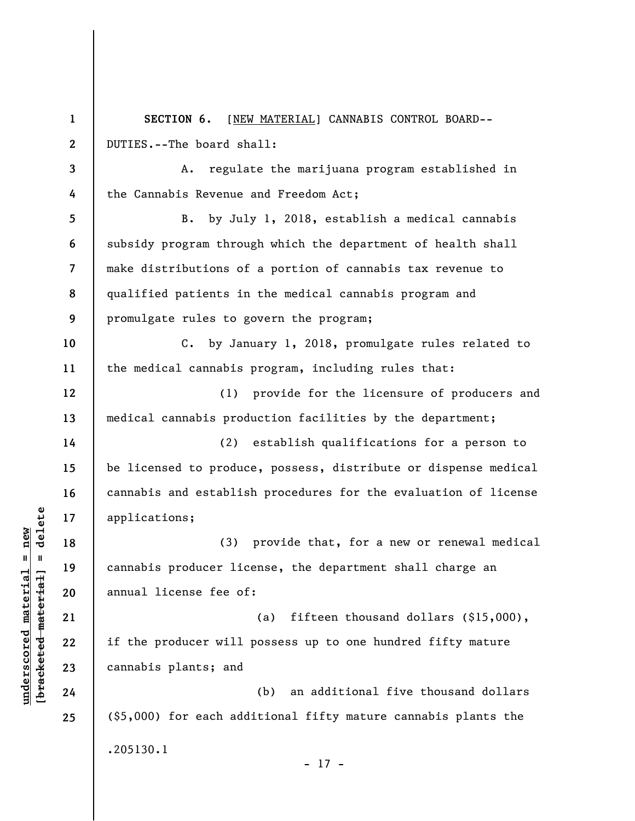**1 2 3 4 5 6 7 8 9 10 11 12 13 14 15 16 17 18 19 20 21 22 23 24 25 SECTION 6.** [NEW MATERIAL] CANNABIS CONTROL BOARD-- DUTIES.--The board shall: A. regulate the marijuana program established in the Cannabis Revenue and Freedom Act; B. by July 1, 2018, establish a medical cannabis subsidy program through which the department of health shall make distributions of a portion of cannabis tax revenue to qualified patients in the medical cannabis program and promulgate rules to govern the program; C. by January 1, 2018, promulgate rules related to the medical cannabis program, including rules that: (1) provide for the licensure of producers and medical cannabis production facilities by the department; (2) establish qualifications for a person to be licensed to produce, possess, distribute or dispense medical cannabis and establish procedures for the evaluation of license applications; (3) provide that, for a new or renewal medical cannabis producer license, the department shall charge an annual license fee of: (a) fifteen thousand dollars (\$15,000), if the producer will possess up to one hundred fifty mature cannabis plants; and (b) an additional five thousand dollars (\$5,000) for each additional fifty mature cannabis plants the .205130.1 - 17 -

 $\frac{1}{2}$  of  $\frac{1}{2}$  and  $\frac{1}{2}$  and  $\frac{1}{2}$  and  $\frac{1}{2}$  and  $\frac{1}{2}$  and  $\frac{1}{2}$  and  $\frac{1}{2}$  and  $\frac{1}{2}$  and  $\frac{1}{2}$  and  $\frac{1}{2}$  and  $\frac{1}{2}$  and  $\frac{1}{2}$  and  $\frac{1}{2}$  and  $\frac{1}{2}$  and  $\frac{1}{2}$  an **[bracketed material] = delete**  $underscored material = new$ **underscored material = new**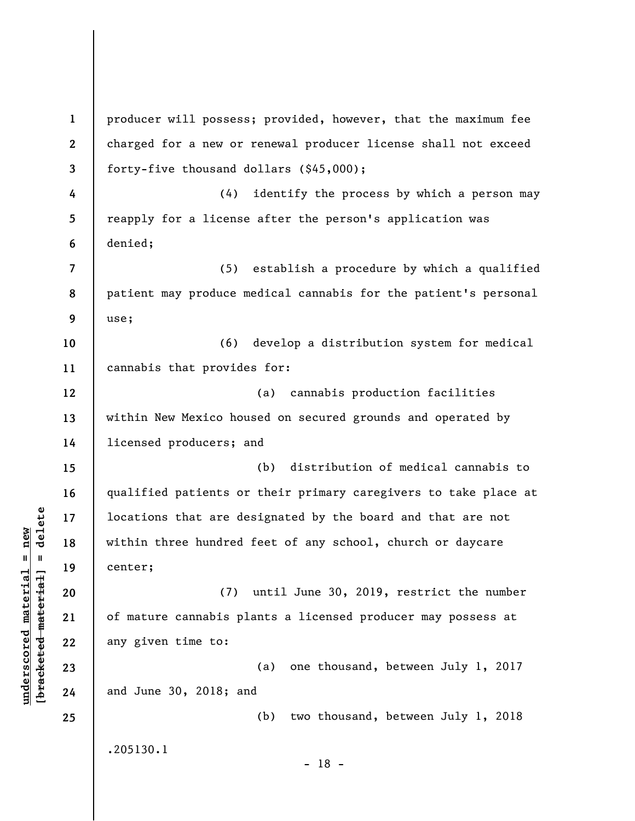**1 2 3 4 5 6 7 8 9 10 11 12 13 14 15 16 17 18 19 20 21 22 23 24 25**  producer will possess; provided, however, that the maximum fee charged for a new or renewal producer license shall not exceed forty-five thousand dollars (\$45,000); (4) identify the process by which a person may reapply for a license after the person's application was denied; (5) establish a procedure by which a qualified patient may produce medical cannabis for the patient's personal use; (6) develop a distribution system for medical cannabis that provides for: (a) cannabis production facilities within New Mexico housed on secured grounds and operated by licensed producers; and (b) distribution of medical cannabis to qualified patients or their primary caregivers to take place at locations that are designated by the board and that are not within three hundred feet of any school, church or daycare center; (7) until June 30, 2019, restrict the number of mature cannabis plants a licensed producer may possess at any given time to: (a) one thousand, between July 1, 2017 and June 30, 2018; and (b) two thousand, between July 1, 2018 .205130.1 - 18 -

**underscored material = new [bracketed material] = delete**

 $b$ racketed material] = delete  $underscored material = new$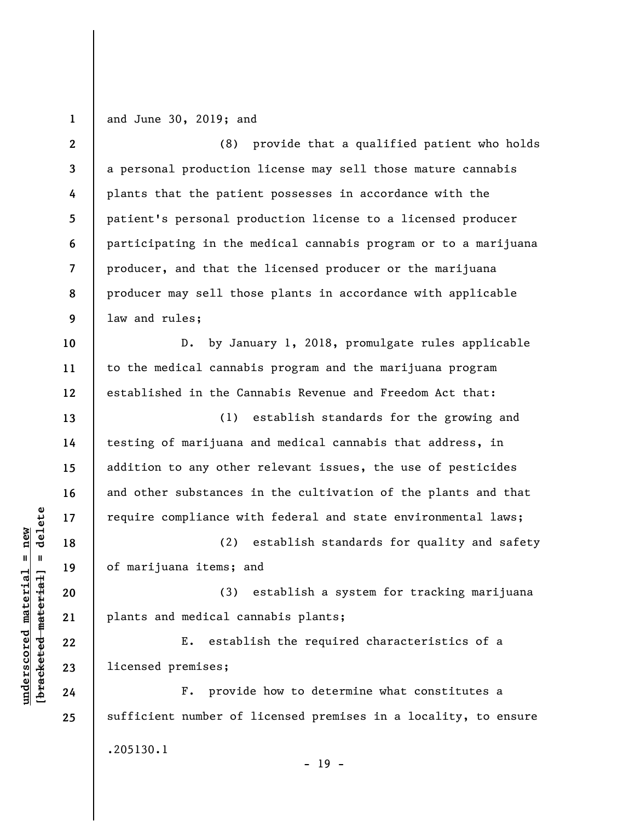**1**  and June 30, 2019; and

**2 3 4 5 6 7 8 9**  (8) provide that a qualified patient who holds a personal production license may sell those mature cannabis plants that the patient possesses in accordance with the patient's personal production license to a licensed producer participating in the medical cannabis program or to a marijuana producer, and that the licensed producer or the marijuana producer may sell those plants in accordance with applicable law and rules;

D. by January 1, 2018, promulgate rules applicable to the medical cannabis program and the marijuana program established in the Cannabis Revenue and Freedom Act that:

(1) establish standards for the growing and testing of marijuana and medical cannabis that address, in addition to any other relevant issues, the use of pesticides and other substances in the cultivation of the plants and that require compliance with federal and state environmental laws;

(2) establish standards for quality and safety of marijuana items; and

(3) establish a system for tracking marijuana plants and medical cannabis plants;

E. establish the required characteristics of a licensed premises;

F. provide how to determine what constitutes a sufficient number of licensed premises in a locality, to ensure .205130.1 - 19 -

 $\frac{1}{2}$  intereted material = delete **[bracketed material] = delete**  $underscored material = new$ **underscored material = new**

**10** 

**11** 

**12** 

**13** 

**14** 

**15** 

**16** 

**17** 

**18** 

**19** 

**20** 

**21** 

**22** 

**23** 

**24**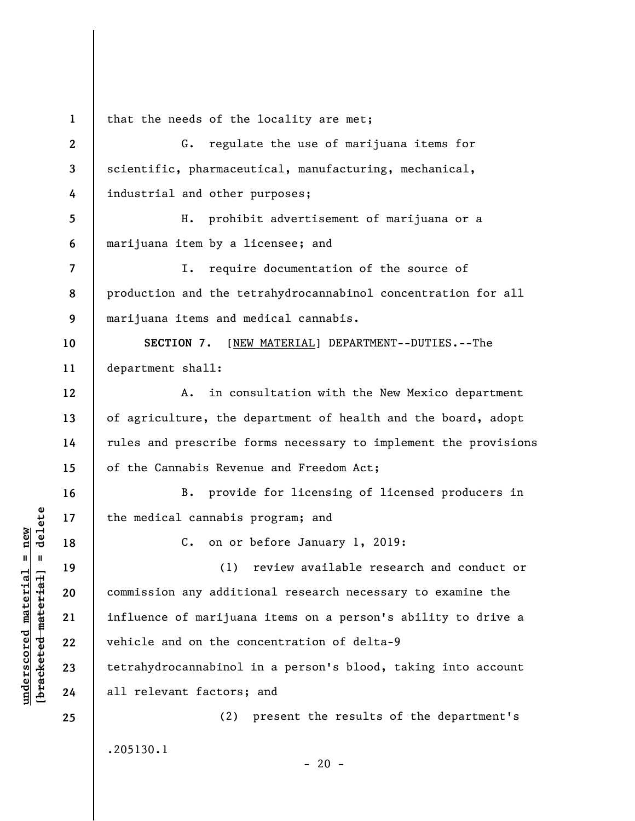**1**  that the needs of the locality are met;

**2 3 4 5 6 7 8 9 10 11 12 13 14 15 16 17 18 19 20 21 22 23 24 25**  G. regulate the use of marijuana items for scientific, pharmaceutical, manufacturing, mechanical, industrial and other purposes; H. prohibit advertisement of marijuana or a marijuana item by a licensee; and I. require documentation of the source of production and the tetrahydrocannabinol concentration for all marijuana items and medical cannabis. **SECTION 7.** [NEW MATERIAL] DEPARTMENT--DUTIES.--The department shall: A. in consultation with the New Mexico department of agriculture, the department of health and the board, adopt rules and prescribe forms necessary to implement the provisions of the Cannabis Revenue and Freedom Act; B. provide for licensing of licensed producers in the medical cannabis program; and C. on or before January 1, 2019: (1) review available research and conduct or commission any additional research necessary to examine the influence of marijuana items on a person's ability to drive a vehicle and on the concentration of delta-9 tetrahydrocannabinol in a person's blood, taking into account all relevant factors; and (2) present the results of the department's

 $\frac{1}{2}$  of  $\frac{1}{2}$  and  $\frac{1}{2}$  and  $\frac{1}{2}$  and  $\frac{1}{2}$  and  $\frac{1}{2}$  and  $\frac{1}{2}$  and  $\frac{1}{2}$  and  $\frac{1}{2}$  and  $\frac{1}{2}$  and  $\frac{1}{2}$  and  $\frac{1}{2}$  and  $\frac{1}{2}$  and  $\frac{1}{2}$  and  $\frac{1}{2}$  and  $\frac{1}{2}$  an **[bracketed material] = delete**  $underscored material = new$ **underscored material = new**

.205130.1

 $- 20 -$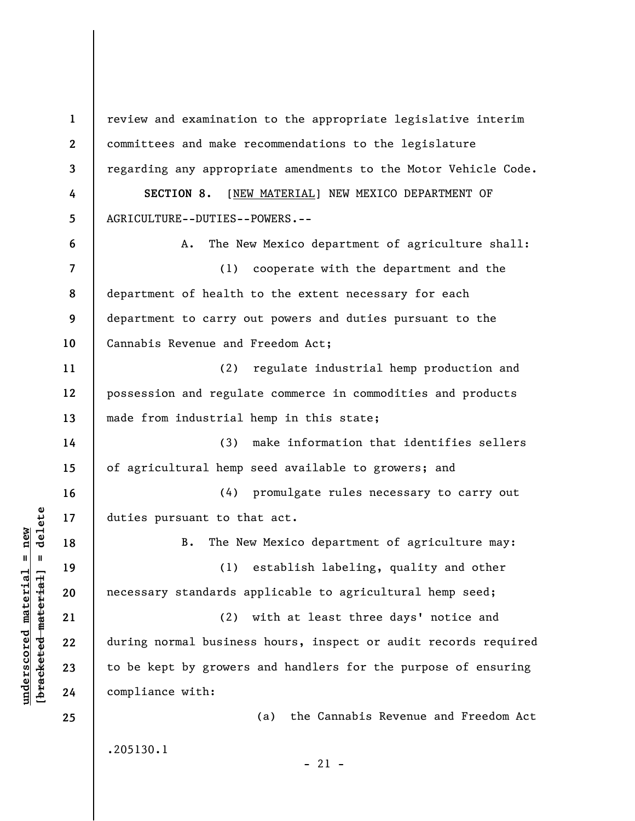**1 2 3 4 5 6 7 8 9 10 11 12 13 14 15 16 17 18 19 20 21 22 23 24 25**  review and examination to the appropriate legislative interim committees and make recommendations to the legislature regarding any appropriate amendments to the Motor Vehicle Code. SECTION 8. [NEW MATERIAL] NEW MEXICO DEPARTMENT OF AGRICULTURE--DUTIES--POWERS.-- A. The New Mexico department of agriculture shall: (1) cooperate with the department and the department of health to the extent necessary for each department to carry out powers and duties pursuant to the Cannabis Revenue and Freedom Act; (2) regulate industrial hemp production and possession and regulate commerce in commodities and products made from industrial hemp in this state; (3) make information that identifies sellers of agricultural hemp seed available to growers; and (4) promulgate rules necessary to carry out duties pursuant to that act. B. The New Mexico department of agriculture may: (1) establish labeling, quality and other necessary standards applicable to agricultural hemp seed; (2) with at least three days' notice and during normal business hours, inspect or audit records required to be kept by growers and handlers for the purpose of ensuring compliance with: (a) the Cannabis Revenue and Freedom Act .205130.1  $-21 -$ 

**underscored material = new [bracketed material] = delete**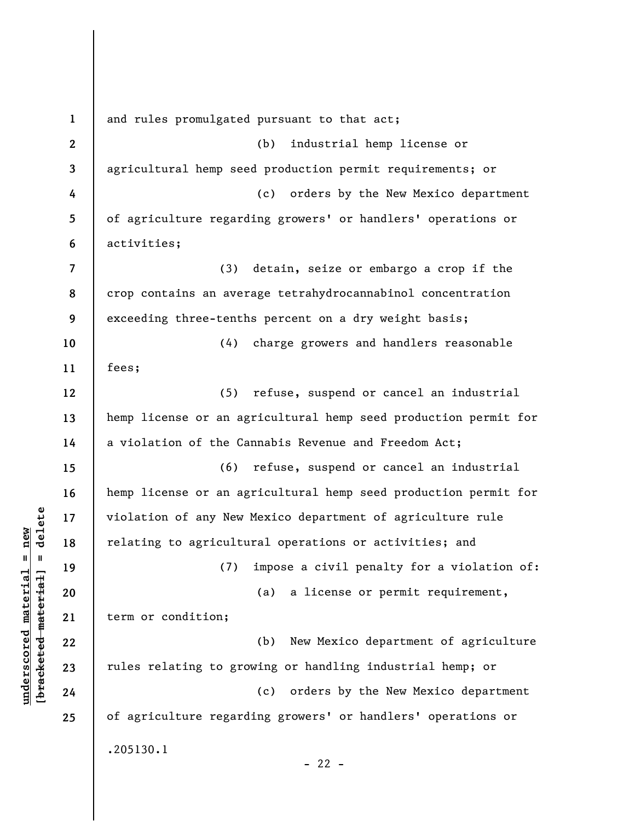**1 2 3 4 5 6 7 8 9 10 11 12 13 14 15 16 17 18 19 20 21 22 23 24 25**  and rules promulgated pursuant to that act; (b) industrial hemp license or agricultural hemp seed production permit requirements; or (c) orders by the New Mexico department of agriculture regarding growers' or handlers' operations or activities; (3) detain, seize or embargo a crop if the crop contains an average tetrahydrocannabinol concentration exceeding three-tenths percent on a dry weight basis; (4) charge growers and handlers reasonable fees; (5) refuse, suspend or cancel an industrial hemp license or an agricultural hemp seed production permit for a violation of the Cannabis Revenue and Freedom Act; (6) refuse, suspend or cancel an industrial hemp license or an agricultural hemp seed production permit for violation of any New Mexico department of agriculture rule relating to agricultural operations or activities; and (7) impose a civil penalty for a violation of: (a) a license or permit requirement, term or condition; (b) New Mexico department of agriculture rules relating to growing or handling industrial hemp; or (c) orders by the New Mexico department of agriculture regarding growers' or handlers' operations or .205130.1  $- 22 -$ 

**underscored material = new [bracketed material] = delete**

 $b$ racketed material] = delete  $underscored material = new$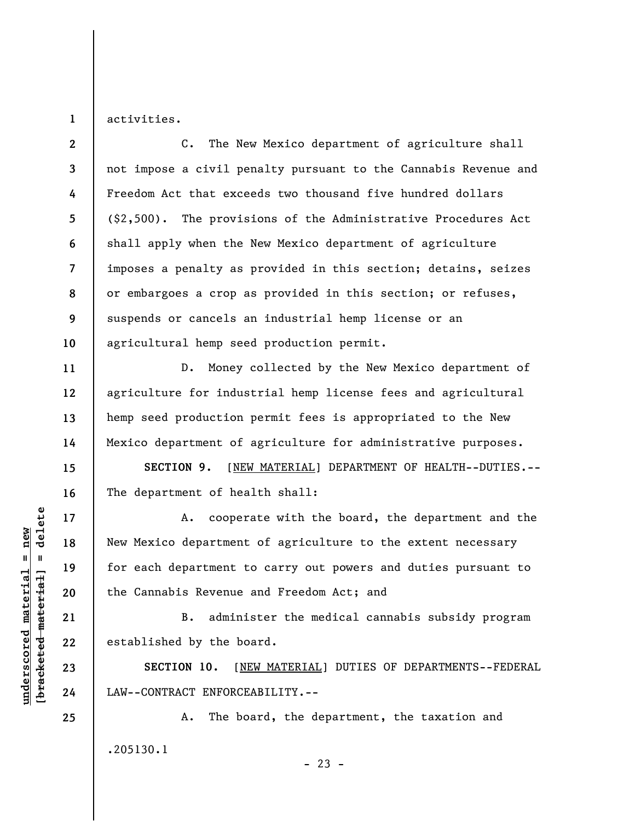**1**  activities.

**2 3 4 5 6 7 8 9 10**  C. The New Mexico department of agriculture shall not impose a civil penalty pursuant to the Cannabis Revenue and Freedom Act that exceeds two thousand five hundred dollars (\$2,500). The provisions of the Administrative Procedures Act shall apply when the New Mexico department of agriculture imposes a penalty as provided in this section; detains, seizes or embargoes a crop as provided in this section; or refuses, suspends or cancels an industrial hemp license or an agricultural hemp seed production permit.

D. Money collected by the New Mexico department of agriculture for industrial hemp license fees and agricultural hemp seed production permit fees is appropriated to the New Mexico department of agriculture for administrative purposes.

**SECTION 9.** [NEW MATERIAL] DEPARTMENT OF HEALTH--DUTIES.-- The department of health shall:

A. cooperate with the board, the department and the New Mexico department of agriculture to the extent necessary for each department to carry out powers and duties pursuant to the Cannabis Revenue and Freedom Act; and

B. administer the medical cannabis subsidy program established by the board.

**SECTION 10.** [NEW MATERIAL] DUTIES OF DEPARTMENTS--FEDERAL LAW--CONTRACT ENFORCEABILITY.--

A. The board, the department, the taxation and .205130.1  $- 23 -$ 

 $\frac{1}{2}$  intereted material = delete **[bracketed material] = delete**  $underscored material = new$ **underscored material = new**

**24 25** 

**11** 

**12** 

**13** 

**14** 

**15** 

**16** 

**17** 

**18** 

**19** 

**20** 

**21** 

**22**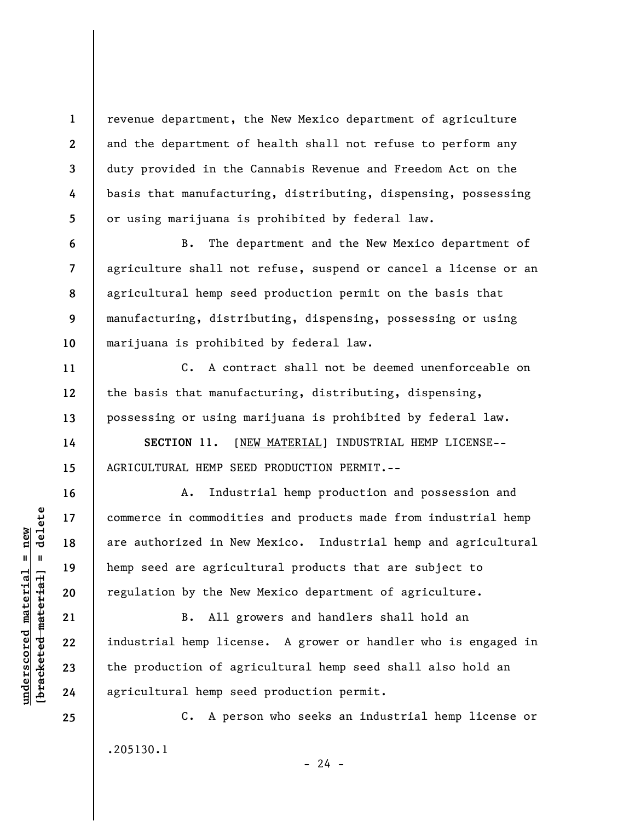revenue department, the New Mexico department of agriculture and the department of health shall not refuse to perform any duty provided in the Cannabis Revenue and Freedom Act on the basis that manufacturing, distributing, dispensing, possessing or using marijuana is prohibited by federal law.

B. The department and the New Mexico department of agriculture shall not refuse, suspend or cancel a license or an agricultural hemp seed production permit on the basis that manufacturing, distributing, dispensing, possessing or using marijuana is prohibited by federal law.

C. A contract shall not be deemed unenforceable on the basis that manufacturing, distributing, dispensing, possessing or using marijuana is prohibited by federal law.

**SECTION 11.** [NEW MATERIAL] INDUSTRIAL HEMP LICENSE-- AGRICULTURAL HEMP SEED PRODUCTION PERMIT.--

A. Industrial hemp production and possession and commerce in commodities and products made from industrial hemp are authorized in New Mexico. Industrial hemp and agricultural hemp seed are agricultural products that are subject to regulation by the New Mexico department of agriculture.

B. All growers and handlers shall hold an industrial hemp license. A grower or handler who is engaged in the production of agricultural hemp seed shall also hold an agricultural hemp seed production permit.

C. A person who seeks an industrial hemp license or .205130.1  $- 24 -$ 

 $\frac{1}{2}$  of  $\frac{1}{2}$  and  $\frac{1}{2}$  and  $\frac{1}{2}$  and  $\frac{1}{2}$  and  $\frac{1}{2}$  and  $\frac{1}{2}$  and  $\frac{1}{2}$  and  $\frac{1}{2}$  and  $\frac{1}{2}$  and  $\frac{1}{2}$  and  $\frac{1}{2}$  and  $\frac{1}{2}$  and  $\frac{1}{2}$  and  $\frac{1}{2}$  and  $\frac{1}{2}$  an **[bracketed material] = delete**  $anderscored material = new$ **underscored material = new**

**25** 

**1** 

**2** 

**3** 

**4** 

**5** 

**6** 

**7** 

**8** 

**9** 

**10** 

**11** 

**12** 

**13** 

**14** 

**15** 

**16** 

**17** 

**18** 

**19** 

**20** 

**21** 

**22** 

**23**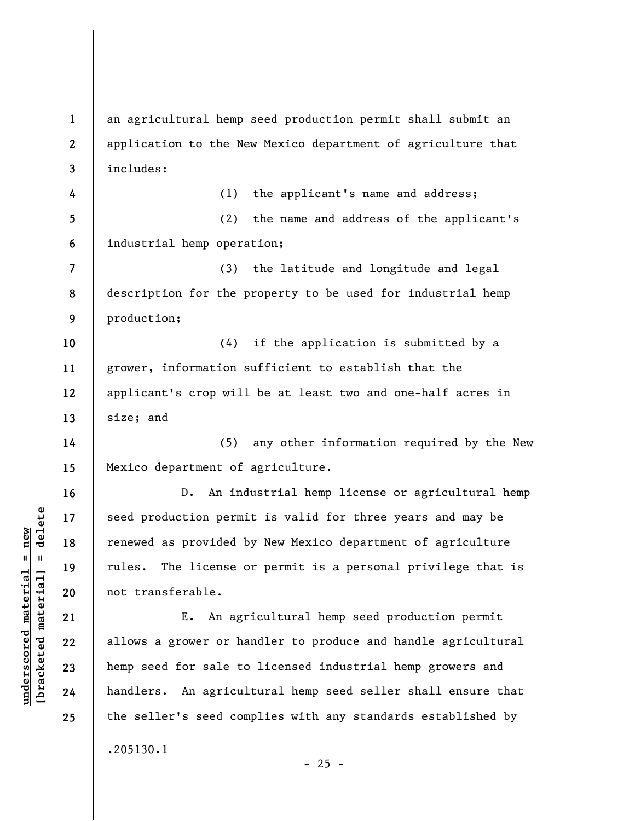**1 2 3 4 5 6 7 8 9 10 11 12 13 14 15 16 17 18 19 20 21 22 23 24 25**  an agricultural hemp seed production permit shall submit an application to the New Mexico department of agriculture that includes: (1) the applicant's name and address; (2) the name and address of the applicant's industrial hemp operation; (3) the latitude and longitude and legal description for the property to be used for industrial hemp production; (4) if the application is submitted by a grower, information sufficient to establish that the applicant's crop will be at least two and one-half acres in size; and (5) any other information required by the New Mexico department of agriculture. D. An industrial hemp license or agricultural hemp seed production permit is valid for three years and may be renewed as provided by New Mexico department of agriculture rules. The license or permit is a personal privilege that is not transferable. E. An agricultural hemp seed production permit allows a grower or handler to produce and handle agricultural hemp seed for sale to licensed industrial hemp growers and handlers. An agricultural hemp seed seller shall ensure that the seller's seed complies with any standards established by .205130.1

 $\frac{1}{2}$  intereted material = delete **[bracketed material] = delete**  $underscored material = new$ **underscored material = new**

 $- 25 -$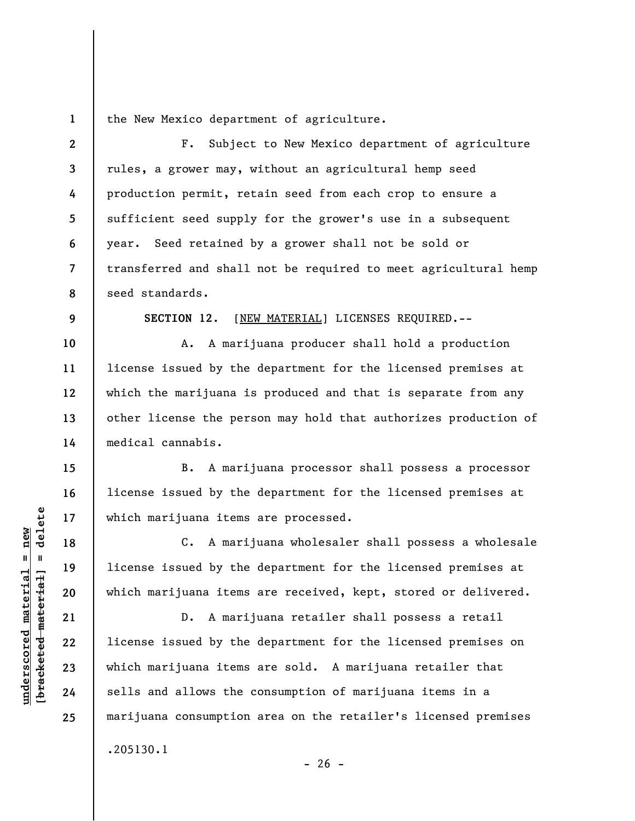**1**  the New Mexico department of agriculture.

**2 3 4 5 6 7 8 9 10 11 12**  F. Subject to New Mexico department of agriculture rules, a grower may, without an agricultural hemp seed production permit, retain seed from each crop to ensure a sufficient seed supply for the grower's use in a subsequent year. Seed retained by a grower shall not be sold or transferred and shall not be required to meet agricultural hemp seed standards. **SECTION 12**. [NEW MATERIAL] LICENSES REQUIRED.-- A. A marijuana producer shall hold a production license issued by the department for the licensed premises at which the marijuana is produced and that is separate from any

other license the person may hold that authorizes production of medical cannabis.

B. A marijuana processor shall possess a processor license issued by the department for the licensed premises at which marijuana items are processed.

C. A marijuana wholesaler shall possess a wholesale license issued by the department for the licensed premises at which marijuana items are received, kept, stored or delivered.

D. A marijuana retailer shall possess a retail license issued by the department for the licensed premises on which marijuana items are sold. A marijuana retailer that sells and allows the consumption of marijuana items in a marijuana consumption area on the retailer's licensed premises .205130.1

 $- 26 -$ 

 $\frac{1}{2}$  bracketed material = delete **[bracketed material] = delete**  $underscored material = new$ **underscored material = new**

**13** 

**14** 

**15** 

**16** 

**17** 

**18** 

**19** 

**20** 

**21** 

**22** 

**23** 

**24**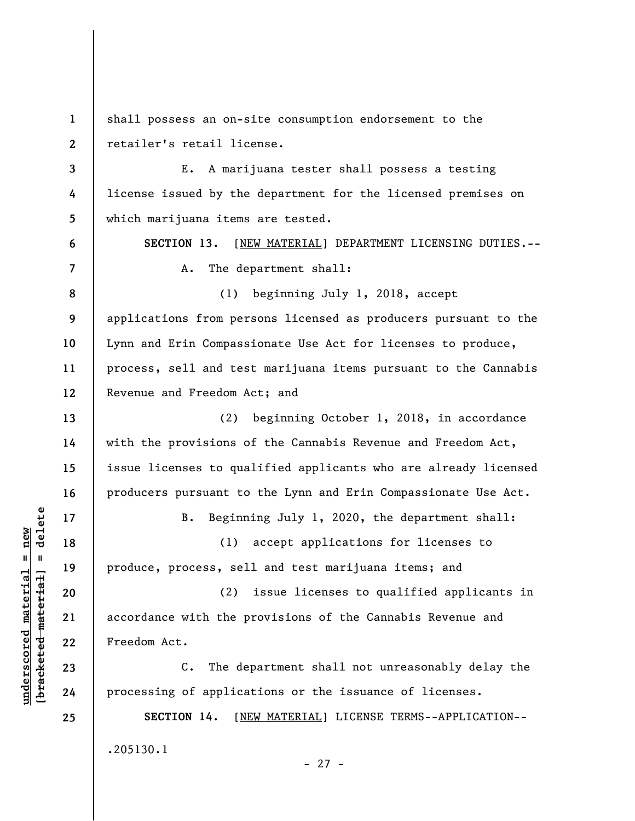**1 2 3 4 5 6 7 8 9 10 11 12 13 14 15 16 17 18 19 20 21 22 23 24 25**  shall possess an on-site consumption endorsement to the retailer's retail license. E. A marijuana tester shall possess a testing license issued by the department for the licensed premises on which marijuana items are tested. **SECTION 13.** [NEW MATERIAL] DEPARTMENT LICENSING DUTIES.-- A. The department shall: (1) beginning July 1, 2018, accept applications from persons licensed as producers pursuant to the Lynn and Erin Compassionate Use Act for licenses to produce, process, sell and test marijuana items pursuant to the Cannabis Revenue and Freedom Act; and (2) beginning October 1, 2018, in accordance with the provisions of the Cannabis Revenue and Freedom Act, issue licenses to qualified applicants who are already licensed producers pursuant to the Lynn and Erin Compassionate Use Act. B. Beginning July 1, 2020, the department shall: (1) accept applications for licenses to produce, process, sell and test marijuana items; and (2) issue licenses to qualified applicants in accordance with the provisions of the Cannabis Revenue and Freedom Act. C. The department shall not unreasonably delay the processing of applications or the issuance of licenses. **SECTION 14.** [NEW MATERIAL] LICENSE TERMS--APPLICATION-- .205130.1 - 27 -

**underscored material = new [bracketed material] = delete**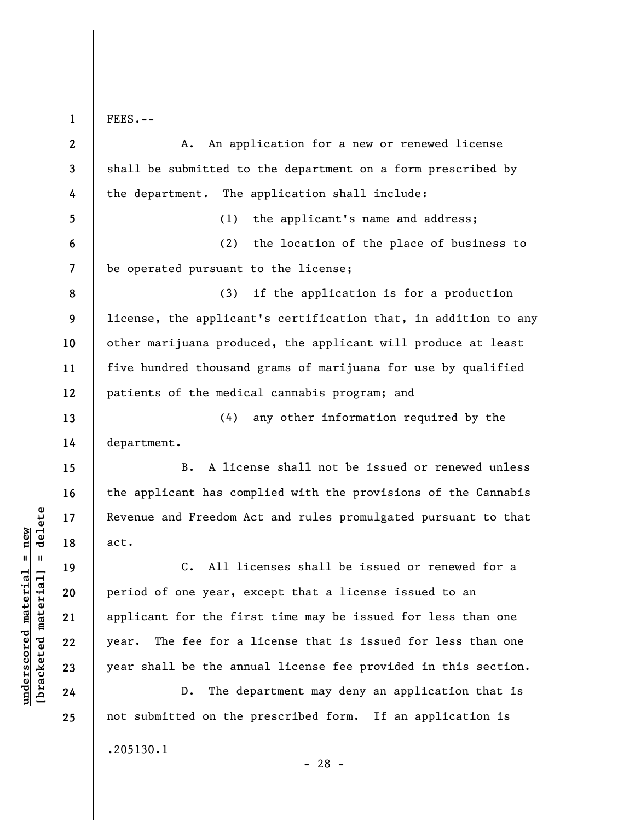**1** 

FEES.--

**2 3 4 5 6 7 8 9 10 11 12 13 14 15 16 17 18 19 20 21 22 23 24 25**  A. An application for a new or renewed license shall be submitted to the department on a form prescribed by the department. The application shall include: (1) the applicant's name and address; (2) the location of the place of business to be operated pursuant to the license; (3) if the application is for a production license, the applicant's certification that, in addition to any other marijuana produced, the applicant will produce at least five hundred thousand grams of marijuana for use by qualified patients of the medical cannabis program; and (4) any other information required by the department. B. A license shall not be issued or renewed unless the applicant has complied with the provisions of the Cannabis Revenue and Freedom Act and rules promulgated pursuant to that act. C. All licenses shall be issued or renewed for a period of one year, except that a license issued to an applicant for the first time may be issued for less than one year. The fee for a license that is issued for less than one year shall be the annual license fee provided in this section. D. The department may deny an application that is not submitted on the prescribed form. If an application is

.205130.1

**underscored material = new [bracketed material] = delete**

 $\frac{1}{2}$  intereted material = delete  $underscored material = new$ 

- 28 -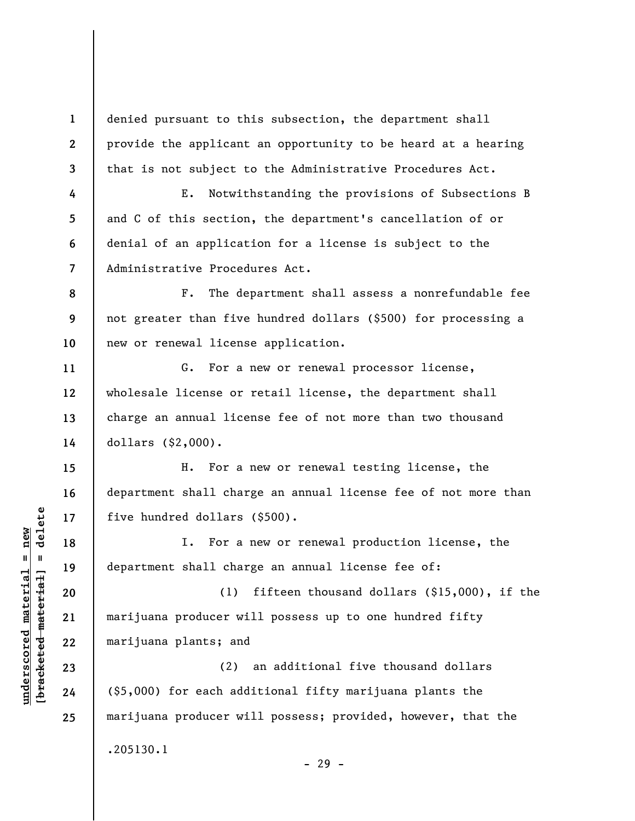denied pursuant to this subsection, the department shall provide the applicant an opportunity to be heard at a hearing that is not subject to the Administrative Procedures Act.

E. Notwithstanding the provisions of Subsections B and C of this section, the department's cancellation of or denial of an application for a license is subject to the Administrative Procedures Act.

**8 9 10**  F. The department shall assess a nonrefundable fee not greater than five hundred dollars (\$500) for processing a new or renewal license application.

G. For a new or renewal processor license, wholesale license or retail license, the department shall charge an annual license fee of not more than two thousand dollars (\$2,000).

H. For a new or renewal testing license, the department shall charge an annual license fee of not more than five hundred dollars (\$500).

I. For a new or renewal production license, the department shall charge an annual license fee of:

(1) fifteen thousand dollars (\$15,000), if the marijuana producer will possess up to one hundred fifty marijuana plants; and

(2) an additional five thousand dollars (\$5,000) for each additional fifty marijuana plants the marijuana producer will possess; provided, however, that the .205130.1

- 29 -

**1** 

**2** 

**3** 

**4** 

**5** 

**6** 

**7** 

**11** 

**12** 

**13** 

**14** 

**15** 

**16** 

**17** 

**18** 

**19** 

**20** 

**21** 

**22** 

**23** 

**24**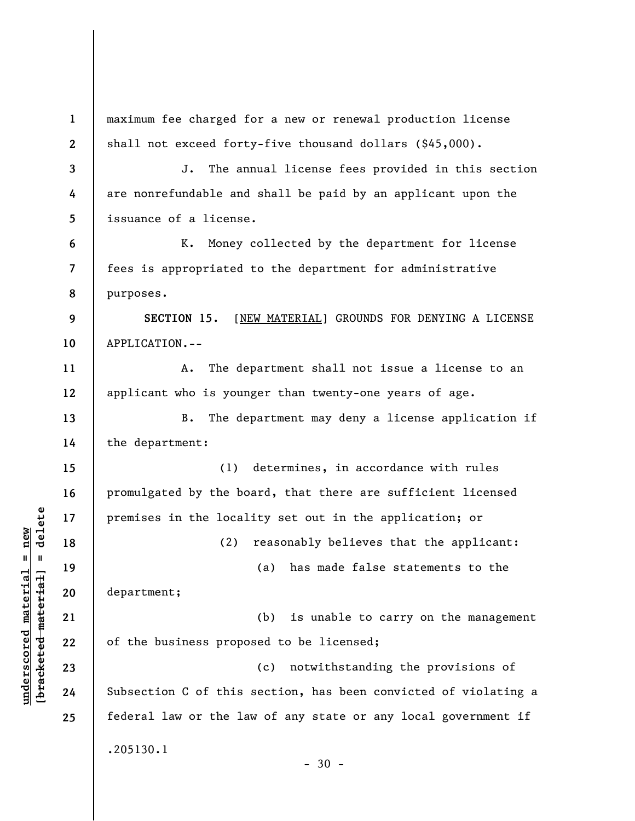| $\mathbf{1}$   | maximum fee charged for a new or renewal production license     |
|----------------|-----------------------------------------------------------------|
| $\mathbf{2}$   | shall not exceed forty-five thousand dollars $(§45,000)$ .      |
| $\mathbf{3}$   | The annual license fees provided in this section<br>J.          |
| 4              | are nonrefundable and shall be paid by an applicant upon the    |
| 5              | issuance of a license.                                          |
| 6              | Money collected by the department for license<br>к.             |
| $\overline{7}$ | fees is appropriated to the department for administrative       |
| 8              | purposes.                                                       |
| 9              | SECTION 15.<br>[NEW MATERIAL] GROUNDS FOR DENYING A LICENSE     |
| 10             | APPLICATION.--                                                  |
| 11             | The department shall not issue a license to an<br>Α.            |
| 12             | applicant who is younger than twenty-one years of age.          |
| 13             | The department may deny a license application if<br>B.          |
| 14             | the department:                                                 |
| 15             | determines, in accordance with rules<br>(1)                     |
| 16             | promulgated by the board, that there are sufficient licensed    |
| 17             | premises in the locality set out in the application; or         |
| 18             | reasonably believes that the applicant:<br>(2)                  |
| 19             | (a) has made false statements to the                            |
| 20             | department;                                                     |
| 21             | (b)<br>is unable to carry on the management                     |
| 22             | of the business proposed to be licensed;                        |
| 23             | notwithstanding the provisions of<br>(c)                        |
| 24             | Subsection C of this section, has been convicted of violating a |
| 25             | federal law or the law of any state or any local government if  |
|                | .205130.1<br>$-30 -$                                            |

**underscored material = new [bracketed material] = delete**

 $[**bracket eted metert et**] = **del et e**$  $underscored material = new$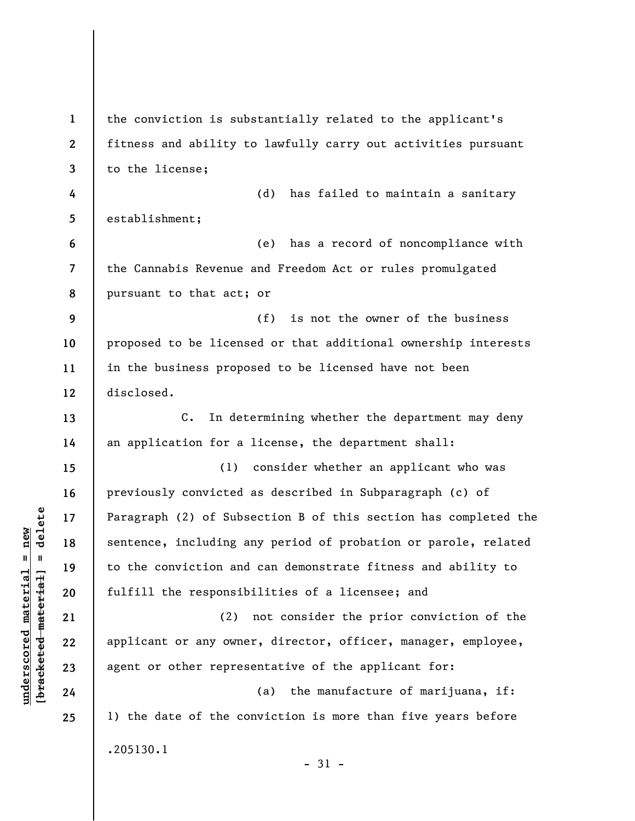**1 2 3 4 5 6 7 8 9 10 11 12 13 14 15 16 17 18 19 20 21 22 23 24 25**  the conviction is substantially related to the applicant's fitness and ability to lawfully carry out activities pursuant to the license; (d) has failed to maintain a sanitary establishment; (e) has a record of noncompliance with the Cannabis Revenue and Freedom Act or rules promulgated pursuant to that act; or (f) is not the owner of the business proposed to be licensed or that additional ownership interests in the business proposed to be licensed have not been disclosed. C. In determining whether the department may deny an application for a license, the department shall: (1) consider whether an applicant who was previously convicted as described in Subparagraph (c) of Paragraph (2) of Subsection B of this section has completed the sentence, including any period of probation or parole, related to the conviction and can demonstrate fitness and ability to fulfill the responsibilities of a licensee; and (2) not consider the prior conviction of the applicant or any owner, director, officer, manager, employee, agent or other representative of the applicant for: (a) the manufacture of marijuana, if: 1) the date of the conviction is more than five years before .205130.1  $-31 -$ 

 $\frac{1}{2}$  bracketed material = delete **[bracketed material] = delete**  $underscored material = new$ **underscored material = new**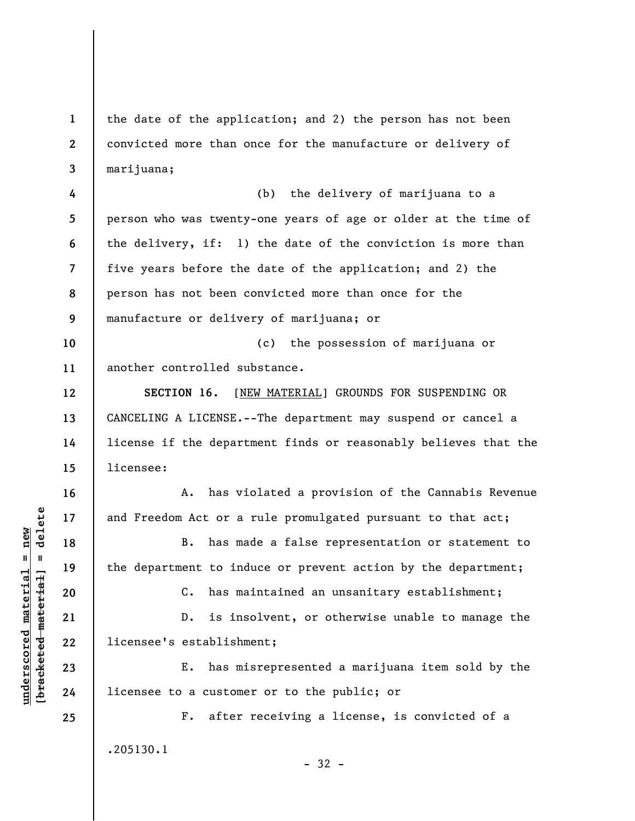**1 2 3**  the date of the application; and 2) the person has not been convicted more than once for the manufacture or delivery of marijuana;

**4 5 6 7 8 9**  (b) the delivery of marijuana to a person who was twenty-one years of age or older at the time of the delivery, if: 1) the date of the conviction is more than five years before the date of the application; and 2) the person has not been convicted more than once for the manufacture or delivery of marijuana; or

**10 11**  (c) the possession of marijuana or another controlled substance.

**SECTION 16.** [NEW MATERIAL] GROUNDS FOR SUSPENDING OR CANCELING A LICENSE.--The department may suspend or cancel a license if the department finds or reasonably believes that the licensee:

A. has violated a provision of the Cannabis Revenue and Freedom Act or a rule promulgated pursuant to that act;

B. has made a false representation or statement to the department to induce or prevent action by the department;

C. has maintained an unsanitary establishment;

D. is insolvent, or otherwise unable to manage the licensee's establishment;

E. has misrepresented a marijuana item sold by the licensee to a customer or to the public; or

F. after receiving a license, is convicted of a .205130.1

- 32 -

 $\frac{1}{2}$  intereted material = delete **[bracketed material] = delete**  $underscored material = new$ **underscored material = new**

**12** 

**13** 

**14** 

**15** 

**16** 

**17** 

**18** 

**19** 

**20** 

**21** 

**22** 

**23** 

**24**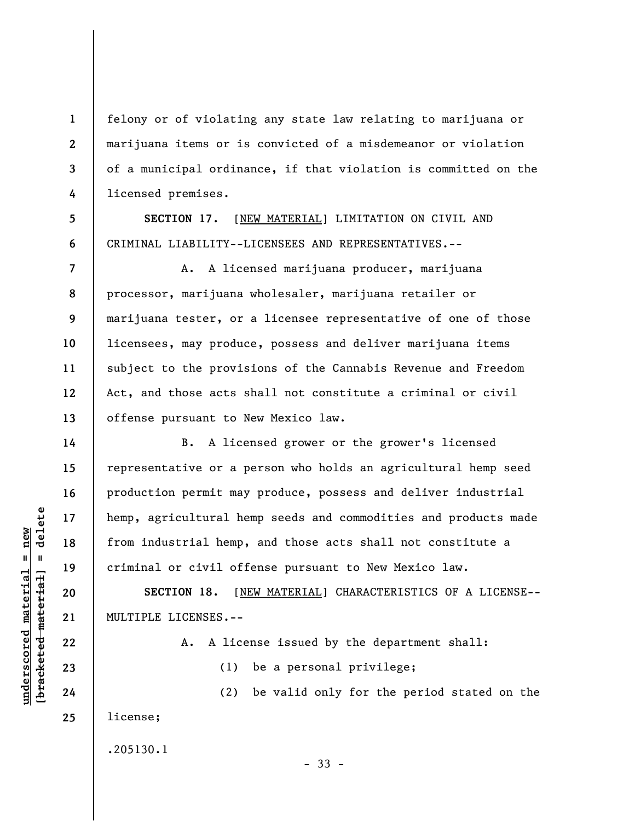felony or of violating any state law relating to marijuana or marijuana items or is convicted of a misdemeanor or violation of a municipal ordinance, if that violation is committed on the licensed premises.

**SECTION 17.** [NEW MATERIAL] LIMITATION ON CIVIL AND CRIMINAL LIABILITY--LICENSEES AND REPRESENTATIVES.--

A. A licensed marijuana producer, marijuana processor, marijuana wholesaler, marijuana retailer or marijuana tester, or a licensee representative of one of those licensees, may produce, possess and deliver marijuana items subject to the provisions of the Cannabis Revenue and Freedom Act, and those acts shall not constitute a criminal or civil offense pursuant to New Mexico law.

B. A licensed grower or the grower's licensed representative or a person who holds an agricultural hemp seed production permit may produce, possess and deliver industrial hemp, agricultural hemp seeds and commodities and products made from industrial hemp, and those acts shall not constitute a criminal or civil offense pursuant to New Mexico law.

**SECTION 18.** [NEW MATERIAL] CHARACTERISTICS OF A LICENSE-- MULTIPLE LICENSES.--

A. A license issued by the department shall:

(2) be valid only for the period stated on the

(1) be a personal privilege;

license;

.205130.1

- 33 -

 $\frac{1}{2}$  intereted material = delete **[bracketed material] = delete**  $underscored material = new$ **underscored material = new**

**1** 

**2** 

**3** 

**4** 

**5** 

**6** 

**7** 

**8** 

**9** 

**10** 

**11** 

**12** 

**13** 

**14** 

**15** 

**16** 

**17** 

**18** 

**19** 

**20** 

**21** 

**22** 

**23** 

**24**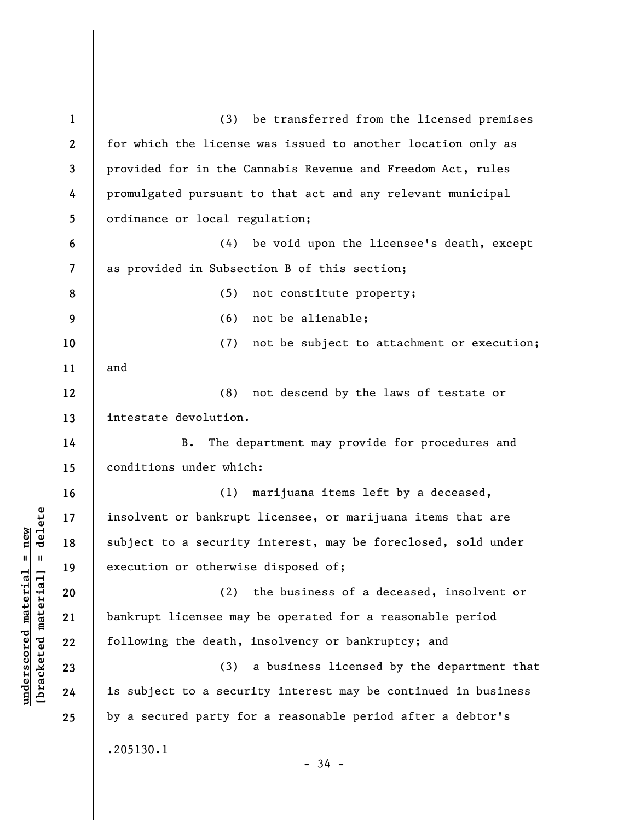**1 2 3 4 5 6 7 8 9 10 11 12 13 14 15 16 17 18 19 20 21 22 23 24 25**  (3) be transferred from the licensed premises for which the license was issued to another location only as provided for in the Cannabis Revenue and Freedom Act, rules promulgated pursuant to that act and any relevant municipal ordinance or local regulation; (4) be void upon the licensee's death, except as provided in Subsection B of this section; (5) not constitute property; (6) not be alienable; (7) not be subject to attachment or execution; and (8) not descend by the laws of testate or intestate devolution. B. The department may provide for procedures and conditions under which: (1) marijuana items left by a deceased, insolvent or bankrupt licensee, or marijuana items that are subject to a security interest, may be foreclosed, sold under execution or otherwise disposed of; (2) the business of a deceased, insolvent or bankrupt licensee may be operated for a reasonable period following the death, insolvency or bankruptcy; and (3) a business licensed by the department that is subject to a security interest may be continued in business by a secured party for a reasonable period after a debtor's .205130.1  $-34 -$ 

**underscored material = new [bracketed material] = delete**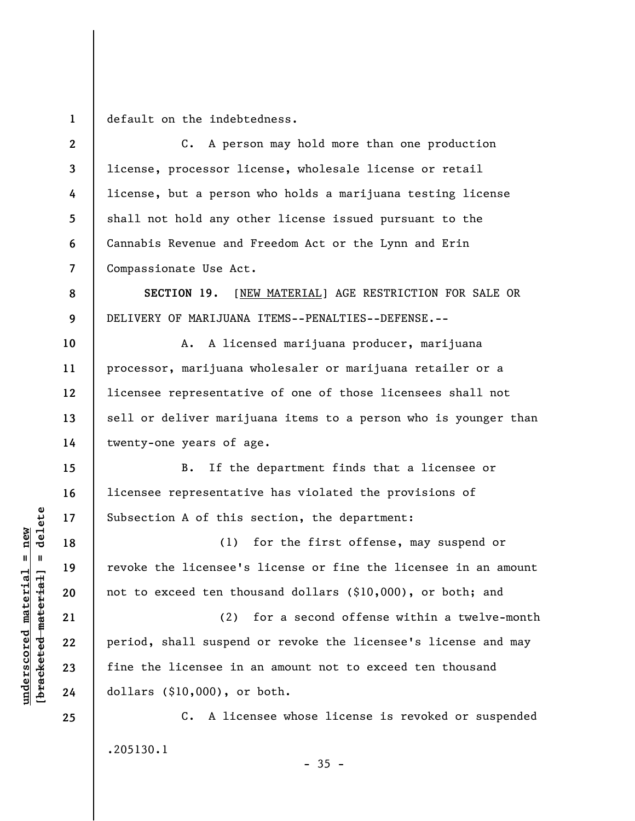**1**  default on the indebtedness.

**2 3 4 5 6 7 8 9 10 11 12 13 14 15 16 17 18 19 20 21 22 23 24 25**  C. A person may hold more than one production license, processor license, wholesale license or retail license, but a person who holds a marijuana testing license shall not hold any other license issued pursuant to the Cannabis Revenue and Freedom Act or the Lynn and Erin Compassionate Use Act. **SECTION 19.** [NEW MATERIAL] AGE RESTRICTION FOR SALE OR DELIVERY OF MARIJUANA ITEMS--PENALTIES--DEFENSE.-- A. A licensed marijuana producer, marijuana processor, marijuana wholesaler or marijuana retailer or a licensee representative of one of those licensees shall not sell or deliver marijuana items to a person who is younger than twenty-one years of age. B. If the department finds that a licensee or licensee representative has violated the provisions of Subsection A of this section, the department: (1) for the first offense, may suspend or revoke the licensee's license or fine the licensee in an amount not to exceed ten thousand dollars (\$10,000), or both; and (2) for a second offense within a twelve-month period, shall suspend or revoke the licensee's license and may fine the licensee in an amount not to exceed ten thousand dollars (\$10,000), or both. C. A licensee whose license is revoked or suspended .205130.1

 $\frac{1}{2}$  bracketed material = delete **[bracketed material] = delete**  $underscored material = new$ **underscored material = new**

 $-35 -$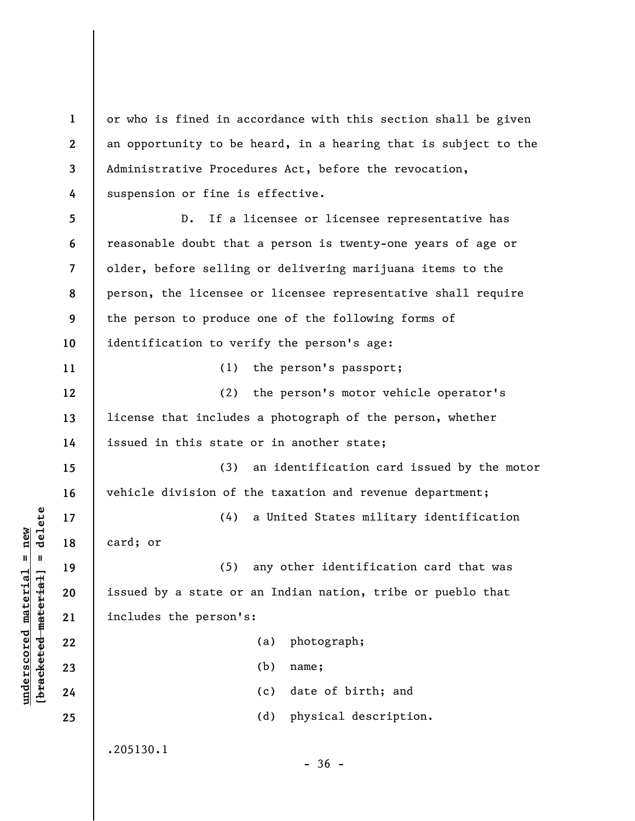**1 2 3 4**  or who is fined in accordance with this section shall be given an opportunity to be heard, in a hearing that is subject to the Administrative Procedures Act, before the revocation, suspension or fine is effective.

**5 6 7 8 9 10 11 12 13 14 15 16 17 18 19 20 21 22 23 24 25**  D. If a licensee or licensee representative has reasonable doubt that a person is twenty-one years of age or older, before selling or delivering marijuana items to the person, the licensee or licensee representative shall require the person to produce one of the following forms of identification to verify the person's age: (1) the person's passport; (2) the person's motor vehicle operator's license that includes a photograph of the person, whether issued in this state or in another state; (3) an identification card issued by the motor vehicle division of the taxation and revenue department; (4) a United States military identification card; or (5) any other identification card that was issued by a state or an Indian nation, tribe or pueblo that includes the person's: (a) photograph; (b) name; (c) date of birth; and (d) physical description. .205130.1  $-36 -$ 

**underscored material = new [bracketed material] = delete**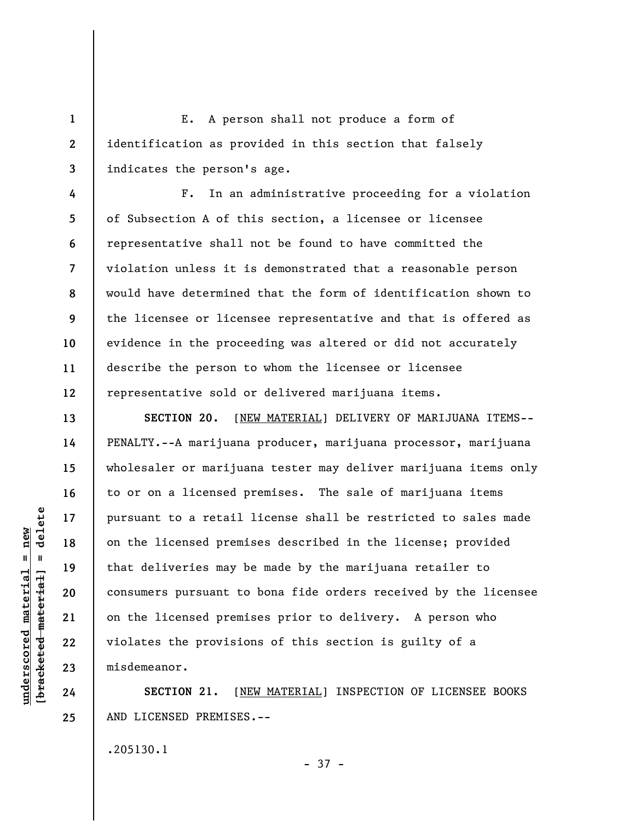E. A person shall not produce a form of identification as provided in this section that falsely indicates the person's age.

F. In an administrative proceeding for a violation of Subsection A of this section, a licensee or licensee representative shall not be found to have committed the violation unless it is demonstrated that a reasonable person would have determined that the form of identification shown to the licensee or licensee representative and that is offered as evidence in the proceeding was altered or did not accurately describe the person to whom the licensee or licensee representative sold or delivered marijuana items.

**SECTION 20.** [NEW MATERIAL] DELIVERY OF MARIJUANA ITEMS-- PENALTY.--A marijuana producer, marijuana processor, marijuana wholesaler or marijuana tester may deliver marijuana items only to or on a licensed premises. The sale of marijuana items pursuant to a retail license shall be restricted to sales made on the licensed premises described in the license; provided that deliveries may be made by the marijuana retailer to consumers pursuant to bona fide orders received by the licensee on the licensed premises prior to delivery. A person who violates the provisions of this section is guilty of a misdemeanor.

**SECTION 21.** [NEW MATERIAL] INSPECTION OF LICENSEE BOOKS AND LICENSED PREMISES.--

- 37 -

.205130.1

delete **[bracketed material] = delete**  $underscored material = new$ **underscored material = new**  $\mathbf{I}$ bracketed material

**1** 

**2** 

**3** 

**4** 

**5** 

**6** 

**7** 

**8** 

**9** 

**10** 

**11** 

**12** 

**13** 

**14** 

**15** 

**16** 

**17** 

**18** 

**19** 

**20** 

**21** 

**22** 

**23** 

**24**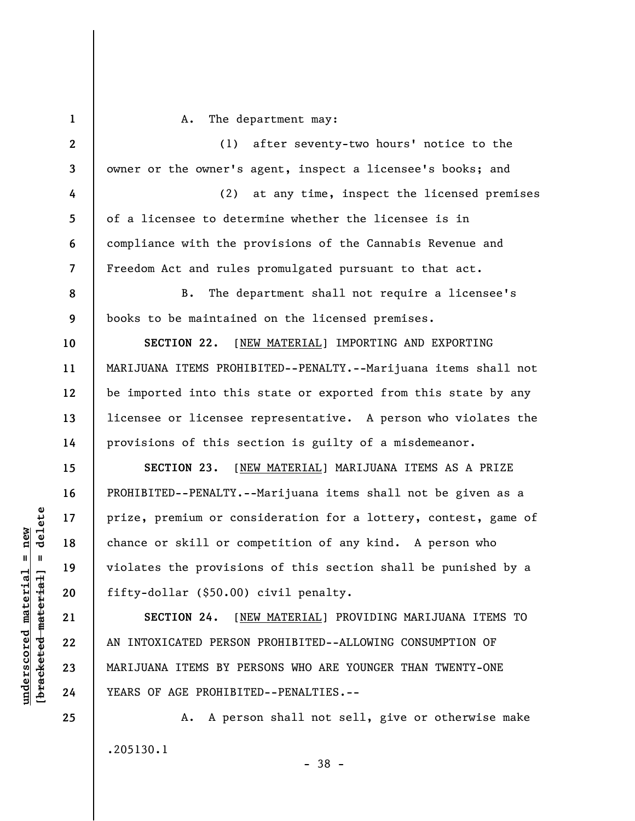**1 2 3 4 5 6 7 8 9 10 11 12 13 14 15 16 17 18 19 20 21 22 23 24 25**  A. The department may: (1) after seventy-two hours' notice to the owner or the owner's agent, inspect a licensee's books; and (2) at any time, inspect the licensed premises of a licensee to determine whether the licensee is in compliance with the provisions of the Cannabis Revenue and Freedom Act and rules promulgated pursuant to that act. B. The department shall not require a licensee's books to be maintained on the licensed premises. **SECTION 22.** [NEW MATERIAL] IMPORTING AND EXPORTING MARIJUANA ITEMS PROHIBITED--PENALTY.--Marijuana items shall not be imported into this state or exported from this state by any licensee or licensee representative. A person who violates the provisions of this section is guilty of a misdemeanor. **SECTION 23.** [NEW MATERIAL] MARIJUANA ITEMS AS A PRIZE PROHIBITED--PENALTY.--Marijuana items shall not be given as a prize, premium or consideration for a lottery, contest, game of chance or skill or competition of any kind. A person who violates the provisions of this section shall be punished by a fifty-dollar (\$50.00) civil penalty. **SECTION 24.** [NEW MATERIAL] PROVIDING MARIJUANA ITEMS TO AN INTOXICATED PERSON PROHIBITED--ALLOWING CONSUMPTION OF MARIJUANA ITEMS BY PERSONS WHO ARE YOUNGER THAN TWENTY-ONE YEARS OF AGE PROHIBITED--PENALTIES.-- A. A person shall not sell, give or otherwise make

.205130.1

 $\frac{1}{2}$  intereted material = delete **[bracketed material] = delete**  $underscored material = new$ **underscored material = new**

- 38 -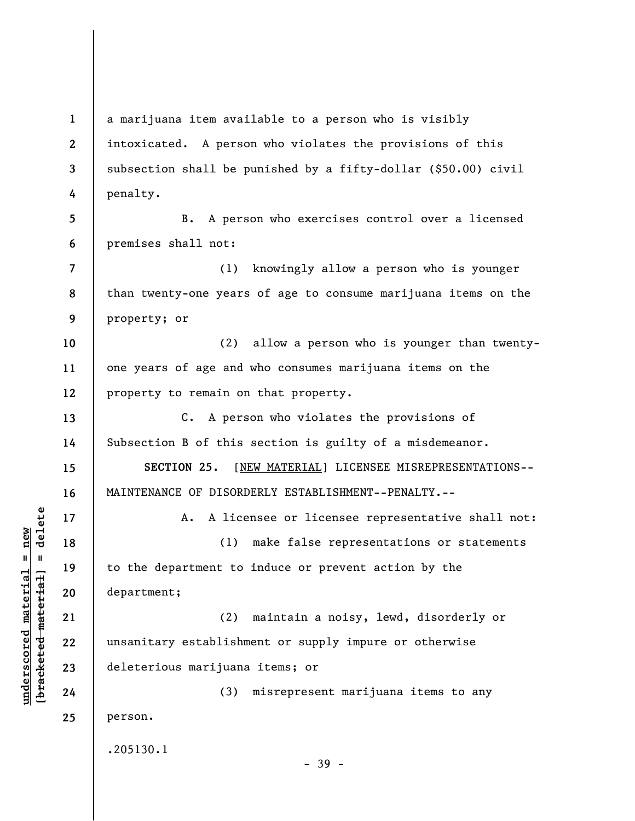**2 3 4 5 6 7 8 9 10 11 12 13 14 15 16 17 18 19 20 21 22 23 24 25**  intoxicated. A person who violates the provisions of this subsection shall be punished by a fifty-dollar (\$50.00) civil penalty. B. A person who exercises control over a licensed premises shall not: (1) knowingly allow a person who is younger than twenty-one years of age to consume marijuana items on the property; or (2) allow a person who is younger than twentyone years of age and who consumes marijuana items on the property to remain on that property. C. A person who violates the provisions of Subsection B of this section is guilty of a misdemeanor. **SECTION 25**. [NEW MATERIAL] LICENSEE MISREPRESENTATIONS-- MAINTENANCE OF DISORDERLY ESTABLISHMENT--PENALTY.-- A. A licensee or licensee representative shall not: (1) make false representations or statements to the department to induce or prevent action by the department; (2) maintain a noisy, lewd, disorderly or unsanitary establishment or supply impure or otherwise deleterious marijuana items; or (3) misrepresent marijuana items to any person. .205130.1 - 39 -

a marijuana item available to a person who is visibly

**underscored material = new [bracketed material] = delete**

 $\frac{1}{2}$  intereted material = delete  $underscored material = new$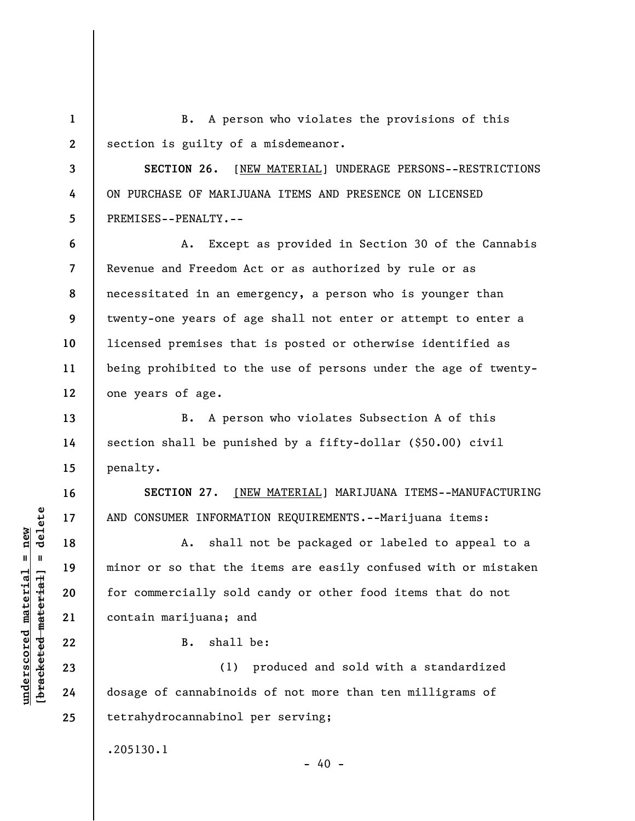**1 2**  B. A person who violates the provisions of this section is guilty of a misdemeanor.

**3 4 5 SECTION 26.** [NEW MATERIAL] UNDERAGE PERSONS--RESTRICTIONS ON PURCHASE OF MARIJUANA ITEMS AND PRESENCE ON LICENSED PREMISES--PENALTY.--

**6 7 8 9 10 11 12**  A. Except as provided in Section 30 of the Cannabis Revenue and Freedom Act or as authorized by rule or as necessitated in an emergency, a person who is younger than twenty-one years of age shall not enter or attempt to enter a licensed premises that is posted or otherwise identified as being prohibited to the use of persons under the age of twentyone years of age.

B. A person who violates Subsection A of this section shall be punished by a fifty-dollar (\$50.00) civil penalty.

**SECTION 27**. [NEW MATERIAL] MARIJUANA ITEMS--MANUFACTURING AND CONSUMER INFORMATION REQUIREMENTS.--Marijuana items:

A. shall not be packaged or labeled to appeal to a minor or so that the items are easily confused with or mistaken for commercially sold candy or other food items that do not contain marijuana; and

B. shall be:

(1) produced and sold with a standardized dosage of cannabinoids of not more than ten milligrams of tetrahydrocannabinol per serving;

 $- 40 -$ 

.205130.1

 $\frac{1}{2}$  intereted material = delete **[bracketed material] = delete 20 21 22 23 24** 

**13** 

**14** 

**15** 

**16** 

**17** 

**18** 

**19** 

**25** 

**underscored material = new**

 $underscored material = new$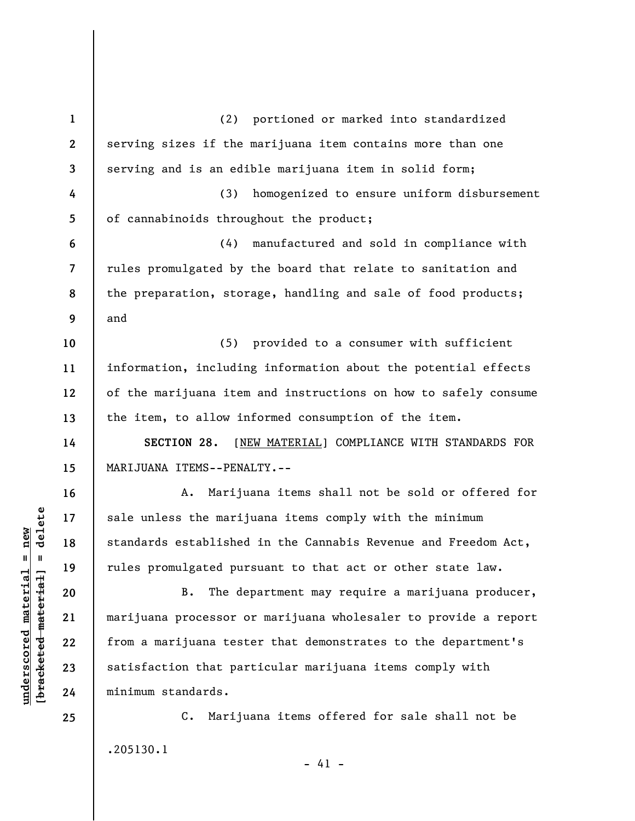**1 2 3 4 5 6 7 8 9 10 11 12 13 14 15 16 17 18 19 20 21 22 23 24 25**  (2) portioned or marked into standardized serving sizes if the marijuana item contains more than one serving and is an edible marijuana item in solid form; (3) homogenized to ensure uniform disbursement of cannabinoids throughout the product; (4) manufactured and sold in compliance with rules promulgated by the board that relate to sanitation and the preparation, storage, handling and sale of food products; and (5) provided to a consumer with sufficient information, including information about the potential effects of the marijuana item and instructions on how to safely consume the item, to allow informed consumption of the item. **SECTION 28.** [NEW MATERIAL] COMPLIANCE WITH STANDARDS FOR MARIJUANA ITEMS--PENALTY.-- A. Marijuana items shall not be sold or offered for sale unless the marijuana items comply with the minimum standards established in the Cannabis Revenue and Freedom Act, rules promulgated pursuant to that act or other state law. B. The department may require a marijuana producer, marijuana processor or marijuana wholesaler to provide a report from a marijuana tester that demonstrates to the department's satisfaction that particular marijuana items comply with minimum standards. C. Marijuana items offered for sale shall not be

.205130.1

 $- 41 -$ 

 $\frac{1}{2}$  of  $\frac{1}{2}$  and  $\frac{1}{2}$  and  $\frac{1}{2}$  and  $\frac{1}{2}$  and  $\frac{1}{2}$  and  $\frac{1}{2}$  and  $\frac{1}{2}$  and  $\frac{1}{2}$  and  $\frac{1}{2}$  and  $\frac{1}{2}$  and  $\frac{1}{2}$  and  $\frac{1}{2}$  and  $\frac{1}{2}$  and  $\frac{1}{2}$  and  $\frac{1}{2}$  an **[bracketed material] = delete**  $underscored material = new$ **underscored material = new**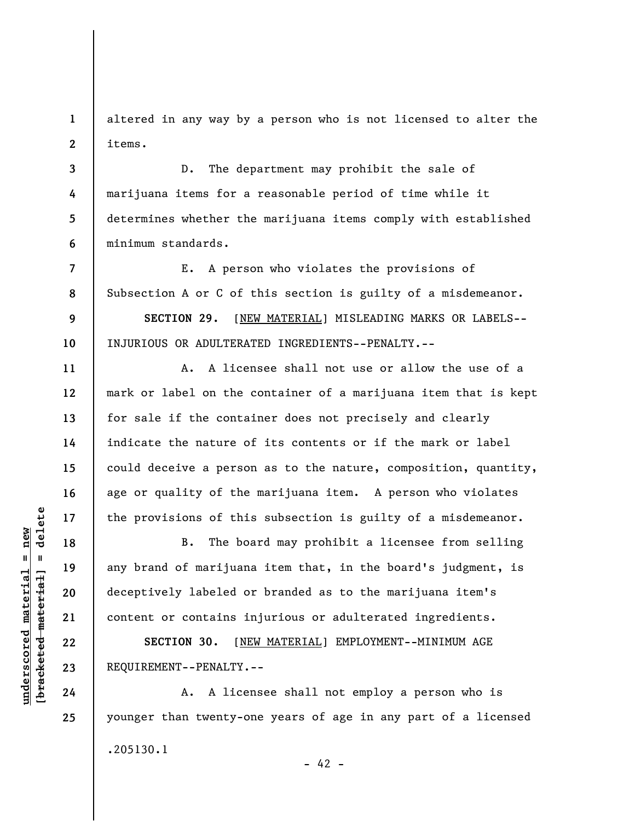**1 2**  altered in any way by a person who is not licensed to alter the items.

**3 4 5 6**  D. The department may prohibit the sale of marijuana items for a reasonable period of time while it determines whether the marijuana items comply with established minimum standards.

E. A person who violates the provisions of Subsection A or C of this section is guilty of a misdemeanor. **SECTION 29.** [NEW MATERIAL] MISLEADING MARKS OR LABELS--

INJURIOUS OR ADULTERATED INGREDIENTS--PENALTY.--

A. A licensee shall not use or allow the use of a mark or label on the container of a marijuana item that is kept for sale if the container does not precisely and clearly indicate the nature of its contents or if the mark or label could deceive a person as to the nature, composition, quantity, age or quality of the marijuana item. A person who violates the provisions of this subsection is guilty of a misdemeanor.

B. The board may prohibit a licensee from selling any brand of marijuana item that, in the board's judgment, is deceptively labeled or branded as to the marijuana item's content or contains injurious or adulterated ingredients.

**SECTION 30.** [NEW MATERIAL] EMPLOYMENT--MINIMUM AGE REQUIREMENT--PENALTY.--

A. A licensee shall not employ a person who is younger than twenty-one years of age in any part of a licensed .205130.1  $- 42 -$ 

 $\frac{1}{2}$  intereted material = delete **[bracketed material] = delete**  $underscored material = new$ **underscored material = new**

**7** 

**8** 

**9** 

**10** 

**11** 

**12** 

**13** 

**14** 

**15** 

**16** 

**17** 

**18** 

**19** 

**20** 

**21** 

**22** 

**23** 

**24**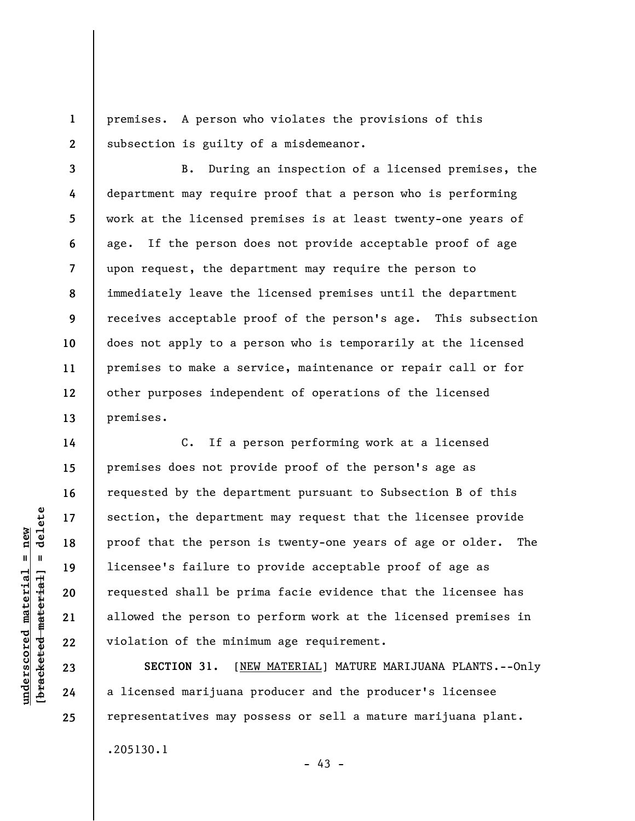**1 2**  premises. A person who violates the provisions of this subsection is guilty of a misdemeanor.

**3 4 5 6 7 8 9 10 11 12 13**  B. During an inspection of a licensed premises, the department may require proof that a person who is performing work at the licensed premises is at least twenty-one years of age. If the person does not provide acceptable proof of age upon request, the department may require the person to immediately leave the licensed premises until the department receives acceptable proof of the person's age. This subsection does not apply to a person who is temporarily at the licensed premises to make a service, maintenance or repair call or for other purposes independent of operations of the licensed premises.

C. If a person performing work at a licensed premises does not provide proof of the person's age as requested by the department pursuant to Subsection B of this section, the department may request that the licensee provide proof that the person is twenty-one years of age or older. The licensee's failure to provide acceptable proof of age as requested shall be prima facie evidence that the licensee has allowed the person to perform work at the licensed premises in violation of the minimum age requirement.

**SECTION 31.** [NEW MATERIAL] MATURE MARIJUANA PLANTS.--Only a licensed marijuana producer and the producer's licensee representatives may possess or sell a mature marijuana plant.

.205130.1

 $\frac{1}{2}$ **[bracketed material] = delete**  $underscored material = new$ **underscored material = new**

**14** 

**15** 

**16** 

**17** 

**18** 

**19** 

**20** 

**21** 

**22** 

**23** 

**24** 

**25** 

 $- 43 -$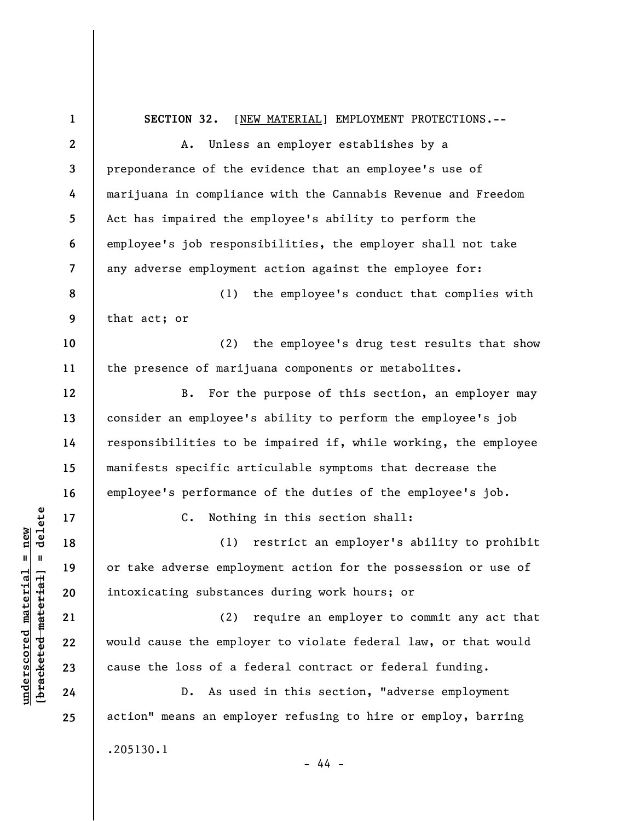**1 2 3 4 5 6 7 8 9 10 11 12 13 14 15 16 17 18 19 20 21 22 23 24 25 SECTION 32.** [NEW MATERIAL] EMPLOYMENT PROTECTIONS.-- A. Unless an employer establishes by a preponderance of the evidence that an employee's use of marijuana in compliance with the Cannabis Revenue and Freedom Act has impaired the employee's ability to perform the employee's job responsibilities, the employer shall not take any adverse employment action against the employee for: (1) the employee's conduct that complies with that act; or (2) the employee's drug test results that show the presence of marijuana components or metabolites. B. For the purpose of this section, an employer may consider an employee's ability to perform the employee's job responsibilities to be impaired if, while working, the employee manifests specific articulable symptoms that decrease the employee's performance of the duties of the employee's job. C. Nothing in this section shall: (1) restrict an employer's ability to prohibit or take adverse employment action for the possession or use of intoxicating substances during work hours; or (2) require an employer to commit any act that would cause the employer to violate federal law, or that would cause the loss of a federal contract or federal funding. D. As used in this section, "adverse employment action" means an employer refusing to hire or employ, barring .205130.1 - 44 -

**underscored material = new [bracketed material] = delete**

 $\frac{1}{2}$  intereted material = delete  $underscored material = new$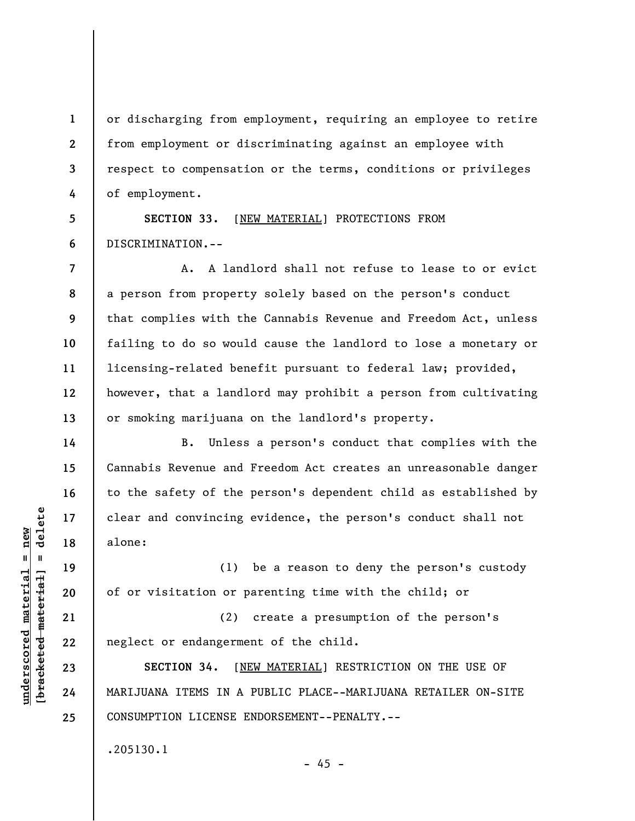or discharging from employment, requiring an employee to retire from employment or discriminating against an employee with respect to compensation or the terms, conditions or privileges of employment.

**5 6 SECTION 33.** [NEW MATERIAL] PROTECTIONS FROM DISCRIMINATION.--

**8**  A. A landlord shall not refuse to lease to or evict a person from property solely based on the person's conduct that complies with the Cannabis Revenue and Freedom Act, unless failing to do so would cause the landlord to lose a monetary or licensing-related benefit pursuant to federal law; provided, however, that a landlord may prohibit a person from cultivating or smoking marijuana on the landlord's property.

B. Unless a person's conduct that complies with the Cannabis Revenue and Freedom Act creates an unreasonable danger to the safety of the person's dependent child as established by clear and convincing evidence, the person's conduct shall not alone:

(1) be a reason to deny the person's custody of or visitation or parenting time with the child; or

(2) create a presumption of the person's neglect or endangerment of the child.

**SECTION 34.** [NEW MATERIAL] RESTRICTION ON THE USE OF MARIJUANA ITEMS IN A PUBLIC PLACE--MARIJUANA RETAILER ON-SITE CONSUMPTION LICENSE ENDORSEMENT--PENALTY.--

 $- 45 -$ 

.205130.1

 $\frac{1}{2}$  intereted material = delete **[bracketed material] = delete**  $underscored material = new$ **underscored material = new**

**1** 

**2** 

**3** 

**4** 

**7** 

**9** 

**10** 

**11** 

**12** 

**13** 

**14** 

**15** 

**16** 

**17** 

**18** 

**19** 

**20** 

**21** 

**22** 

**23** 

**24**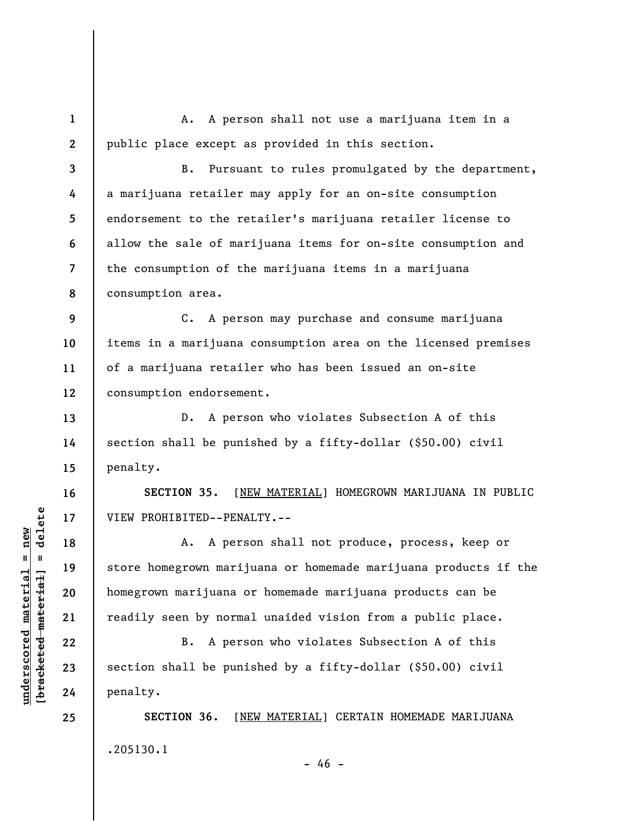**1 2**  A. A person shall not use a marijuana item in a public place except as provided in this section.

**3 4 5 6 7 8**  B. Pursuant to rules promulgated by the department, a marijuana retailer may apply for an on-site consumption endorsement to the retailer's marijuana retailer license to allow the sale of marijuana items for on-site consumption and the consumption of the marijuana items in a marijuana consumption area.

**9 10 11 12**  C. A person may purchase and consume marijuana items in a marijuana consumption area on the licensed premises of a marijuana retailer who has been issued an on-site consumption endorsement.

D. A person who violates Subsection A of this section shall be punished by a fifty-dollar (\$50.00) civil penalty.

**SECTION 35.** [NEW MATERIAL] HOMEGROWN MARIJUANA IN PUBLIC VIEW PROHIBITED--PENALTY.--

A. A person shall not produce, process, keep or store homegrown marijuana or homemade marijuana products if the homegrown marijuana or homemade marijuana products can be readily seen by normal unaided vision from a public place.

B. A person who violates Subsection A of this section shall be punished by a fifty-dollar (\$50.00) civil penalty.

**SECTION 36.** [NEW MATERIAL] CERTAIN HOMEMADE MARIJUANA .205130.1

 $- 46 -$ 

 $\frac{1}{2}$  intereted material = delete **[bracketed material] = delete**  $underscored material = new$ **underscored material = new**

**13** 

**14** 

**15** 

**16** 

**17** 

**18** 

**19** 

**20** 

**21** 

**22** 

**23** 

**24**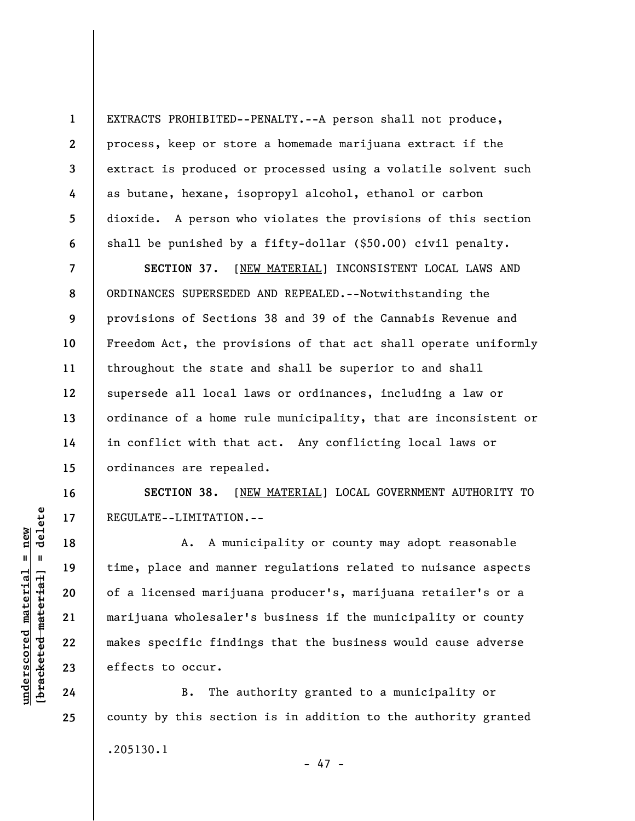EXTRACTS PROHIBITED--PENALTY.--A person shall not produce, process, keep or store a homemade marijuana extract if the extract is produced or processed using a volatile solvent such as butane, hexane, isopropyl alcohol, ethanol or carbon dioxide. A person who violates the provisions of this section shall be punished by a fifty-dollar (\$50.00) civil penalty.

**7 8 9 10 11 12 13 14 15 SECTION 37.** [NEW MATERIAL] INCONSISTENT LOCAL LAWS AND ORDINANCES SUPERSEDED AND REPEALED.--Notwithstanding the provisions of Sections 38 and 39 of the Cannabis Revenue and Freedom Act, the provisions of that act shall operate uniformly throughout the state and shall be superior to and shall supersede all local laws or ordinances, including a law or ordinance of a home rule municipality, that are inconsistent or in conflict with that act. Any conflicting local laws or ordinances are repealed.

**SECTION 38.** [NEW MATERIAL] LOCAL GOVERNMENT AUTHORITY TO REGULATE--LIMITATION.--

A. A municipality or county may adopt reasonable time, place and manner regulations related to nuisance aspects of a licensed marijuana producer's, marijuana retailer's or a marijuana wholesaler's business if the municipality or county makes specific findings that the business would cause adverse effects to occur.

B. The authority granted to a municipality or county by this section is in addition to the authority granted .205130.1 - 47 -

 $\frac{1}{2}$  intereted material = delete **[bracketed material] = delete**  $underscored material = new$ **underscored material = new**

**1** 

**2** 

**3** 

**4** 

**5** 

**6** 

**16** 

**17** 

**18** 

**19** 

**20** 

**21** 

**22** 

**23** 

**24**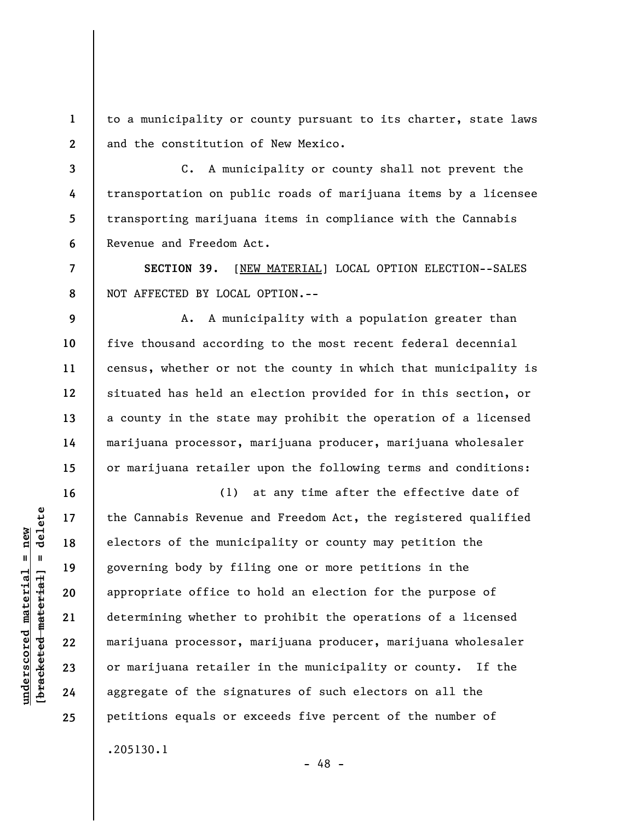**1 2**  to a municipality or county pursuant to its charter, state laws and the constitution of New Mexico.

**3 4 5 6**  C. A municipality or county shall not prevent the transportation on public roads of marijuana items by a licensee transporting marijuana items in compliance with the Cannabis Revenue and Freedom Act.

**SECTION 39.** [NEW MATERIAL] LOCAL OPTION ELECTION--SALES NOT AFFECTED BY LOCAL OPTION.--

A. A municipality with a population greater than five thousand according to the most recent federal decennial census, whether or not the county in which that municipality is situated has held an election provided for in this section, or a county in the state may prohibit the operation of a licensed marijuana processor, marijuana producer, marijuana wholesaler or marijuana retailer upon the following terms and conditions:

(1) at any time after the effective date of the Cannabis Revenue and Freedom Act, the registered qualified electors of the municipality or county may petition the governing body by filing one or more petitions in the appropriate office to hold an election for the purpose of determining whether to prohibit the operations of a licensed marijuana processor, marijuana producer, marijuana wholesaler or marijuana retailer in the municipality or county. If the aggregate of the signatures of such electors on all the petitions equals or exceeds five percent of the number of .205130.1

- 48 -

**7** 

**8** 

**9** 

**10** 

**11** 

**12** 

**13** 

**14** 

**15** 

**16** 

**17** 

**18** 

**19** 

**20** 

**21** 

**22** 

**23** 

**24**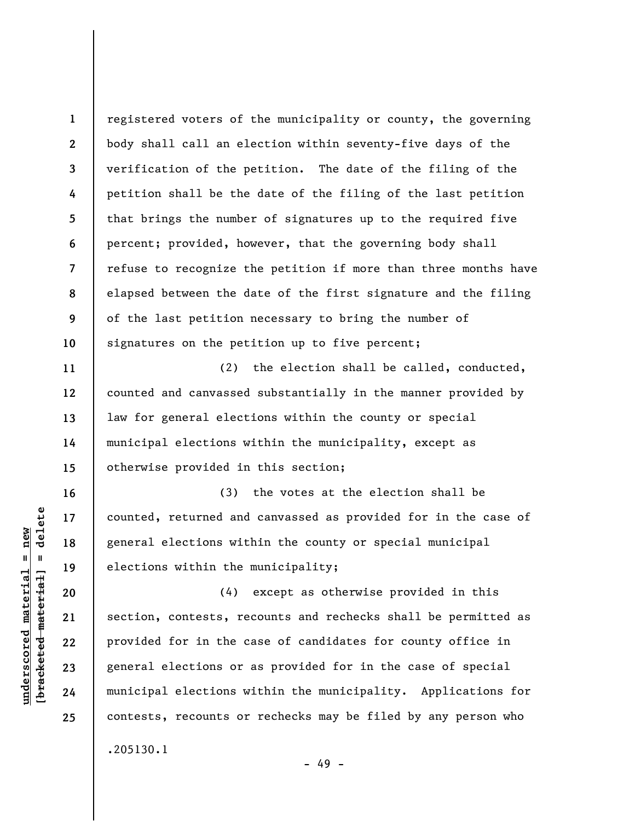**1 2 3 4 5 6 7 8 9 10**  registered voters of the municipality or county, the governing body shall call an election within seventy-five days of the verification of the petition. The date of the filing of the petition shall be the date of the filing of the last petition that brings the number of signatures up to the required five percent; provided, however, that the governing body shall refuse to recognize the petition if more than three months have elapsed between the date of the first signature and the filing of the last petition necessary to bring the number of signatures on the petition up to five percent;

(2) the election shall be called, conducted, counted and canvassed substantially in the manner provided by law for general elections within the county or special municipal elections within the municipality, except as otherwise provided in this section;

(3) the votes at the election shall be counted, returned and canvassed as provided for in the case of general elections within the county or special municipal elections within the municipality;

(4) except as otherwise provided in this section, contests, recounts and rechecks shall be permitted as provided for in the case of candidates for county office in general elections or as provided for in the case of special municipal elections within the municipality. Applications for contests, recounts or rechecks may be filed by any person who .205130.1

 $\frac{1}{2}$  of  $\frac{1}{2}$  and  $\frac{1}{2}$  and  $\frac{1}{2}$  and  $\frac{1}{2}$  and  $\frac{1}{2}$  and  $\frac{1}{2}$  and  $\frac{1}{2}$  and  $\frac{1}{2}$  and  $\frac{1}{2}$  and  $\frac{1}{2}$  and  $\frac{1}{2}$  and  $\frac{1}{2}$  and  $\frac{1}{2}$  and  $\frac{1}{2}$  and  $\frac{1}{2}$  an **[bracketed material] = delete**  $anderscored material = new$ **underscored material = new**

**11** 

**12** 

**13** 

**14** 

**15** 

**16** 

**17** 

**18** 

**19** 

**20** 

**21** 

**22** 

**23** 

**24** 

**25** 

- 49 -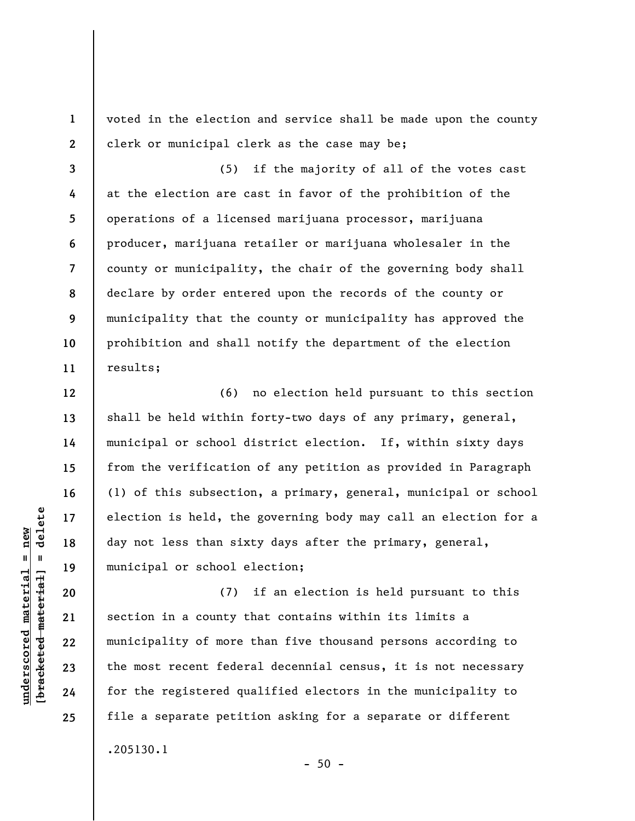voted in the election and service shall be made upon the county clerk or municipal clerk as the case may be;

**3 4 5 6 7 8 9 10 11**  (5) if the majority of all of the votes cast at the election are cast in favor of the prohibition of the operations of a licensed marijuana processor, marijuana producer, marijuana retailer or marijuana wholesaler in the county or municipality, the chair of the governing body shall declare by order entered upon the records of the county or municipality that the county or municipality has approved the prohibition and shall notify the department of the election results;

(6) no election held pursuant to this section shall be held within forty-two days of any primary, general, municipal or school district election. If, within sixty days from the verification of any petition as provided in Paragraph (1) of this subsection, a primary, general, municipal or school election is held, the governing body may call an election for a day not less than sixty days after the primary, general, municipal or school election;

(7) if an election is held pursuant to this section in a county that contains within its limits a municipality of more than five thousand persons according to the most recent federal decennial census, it is not necessary for the registered qualified electors in the municipality to file a separate petition asking for a separate or different .205130.1

 $\frac{1}{2}$  of  $\frac{1}{2}$  and  $\frac{1}{2}$  and  $\frac{1}{2}$  and  $\frac{1}{2}$  and  $\frac{1}{2}$  and  $\frac{1}{2}$  and  $\frac{1}{2}$  and  $\frac{1}{2}$  and  $\frac{1}{2}$  and  $\frac{1}{2}$  and  $\frac{1}{2}$  and  $\frac{1}{2}$  and  $\frac{1}{2}$  and  $\frac{1}{2}$  and  $\frac{1}{2}$  an **[bracketed material] = delete**  $underscored material = new$ **underscored material = new**

**1** 

**2** 

**12** 

**13** 

**14** 

**15** 

**16** 

**17** 

**18** 

**19** 

**20** 

**21** 

**22** 

**23** 

**24** 

**25** 

 $-50 -$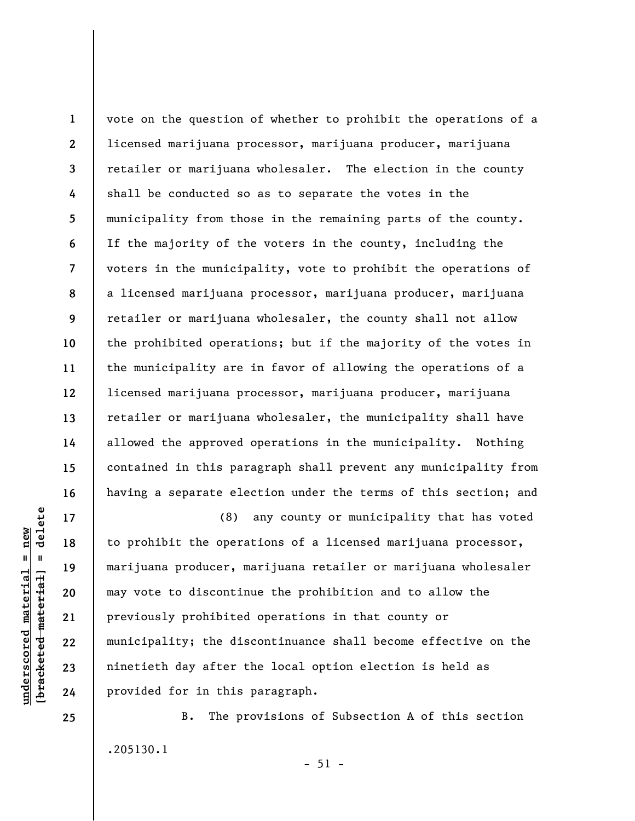vote on the question of whether to prohibit the operations of a licensed marijuana processor, marijuana producer, marijuana retailer or marijuana wholesaler. The election in the county shall be conducted so as to separate the votes in the municipality from those in the remaining parts of the county. If the majority of the voters in the county, including the voters in the municipality, vote to prohibit the operations of a licensed marijuana processor, marijuana producer, marijuana retailer or marijuana wholesaler, the county shall not allow the prohibited operations; but if the majority of the votes in the municipality are in favor of allowing the operations of a licensed marijuana processor, marijuana producer, marijuana retailer or marijuana wholesaler, the municipality shall have allowed the approved operations in the municipality. Nothing contained in this paragraph shall prevent any municipality from having a separate election under the terms of this section; and

(8) any county or municipality that has voted to prohibit the operations of a licensed marijuana processor, marijuana producer, marijuana retailer or marijuana wholesaler may vote to discontinue the prohibition and to allow the previously prohibited operations in that county or municipality; the discontinuance shall become effective on the ninetieth day after the local option election is held as provided for in this paragraph.

B. The provisions of Subsection A of this section .205130.1

delete **[bracketed material] = delete**  $underscored material = new$ **underscored material = new**  $\frac{1}{2}$ 

**1** 

**2** 

**3** 

**4** 

**5** 

**6** 

**7** 

**8** 

**9** 

**10** 

**11** 

**12** 

**13** 

**14** 

**15** 

**16** 

**17** 

**18** 

**19** 

**20** 

**21** 

**22** 

**23** 

**24** 

**25** 

 $-51 -$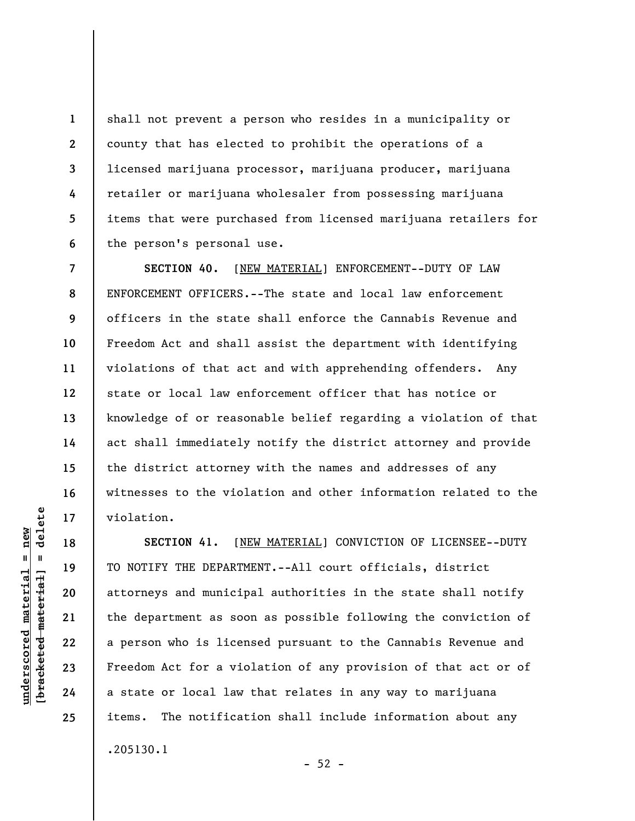shall not prevent a person who resides in a municipality or county that has elected to prohibit the operations of a licensed marijuana processor, marijuana producer, marijuana retailer or marijuana wholesaler from possessing marijuana items that were purchased from licensed marijuana retailers for the person's personal use.

**SECTION 40.** [NEW MATERIAL] ENFORCEMENT--DUTY OF LAW ENFORCEMENT OFFICERS.--The state and local law enforcement officers in the state shall enforce the Cannabis Revenue and Freedom Act and shall assist the department with identifying violations of that act and with apprehending offenders. Any state or local law enforcement officer that has notice or knowledge of or reasonable belief regarding a violation of that act shall immediately notify the district attorney and provide the district attorney with the names and addresses of any witnesses to the violation and other information related to the violation.

**SECTION 41.** [NEW MATERIAL] CONVICTION OF LICENSEE--DUTY TO NOTIFY THE DEPARTMENT.--All court officials, district attorneys and municipal authorities in the state shall notify the department as soon as possible following the conviction of a person who is licensed pursuant to the Cannabis Revenue and Freedom Act for a violation of any provision of that act or of a state or local law that relates in any way to marijuana items. The notification shall include information about any .205130.1

**1** 

**2** 

**3** 

**4** 

**5** 

**6** 

**7** 

**8** 

**9** 

**10** 

**11** 

**12** 

**13** 

**14** 

**15** 

**16** 

**17** 

**18** 

**19** 

**20** 

**21** 

**22** 

**23** 

**24** 

**25** 

 $-52 -$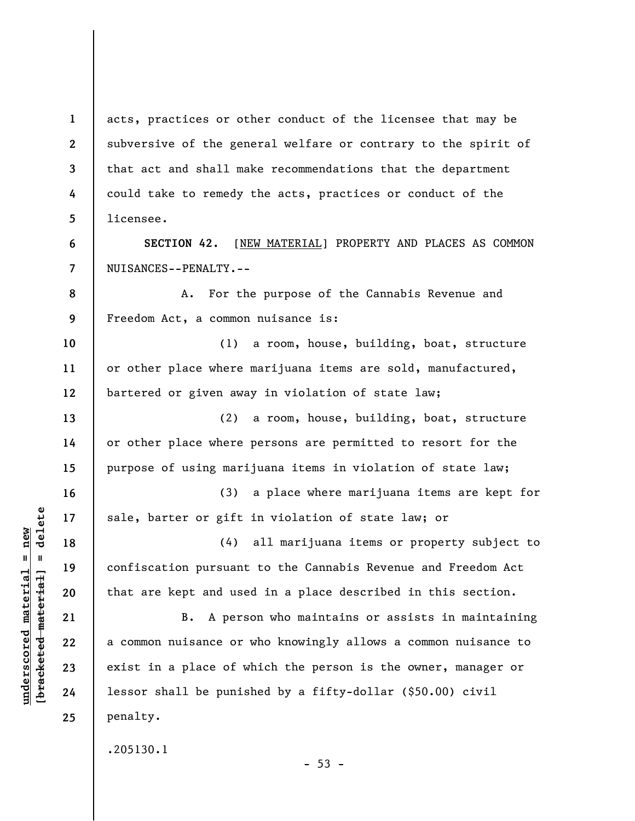**1 2 3 4 5**  acts, practices or other conduct of the licensee that may be subversive of the general welfare or contrary to the spirit of that act and shall make recommendations that the department could take to remedy the acts, practices or conduct of the licensee.

**SECTION 42.** [NEW MATERIAL] PROPERTY AND PLACES AS COMMON NUISANCES--PENALTY.--

**8 9**  A. For the purpose of the Cannabis Revenue and Freedom Act, a common nuisance is:

**10 12**  (1) a room, house, building, boat, structure or other place where marijuana items are sold, manufactured, bartered or given away in violation of state law;

(2) a room, house, building, boat, structure or other place where persons are permitted to resort for the purpose of using marijuana items in violation of state law;

(3) a place where marijuana items are kept for sale, barter or gift in violation of state law; or

(4) all marijuana items or property subject to confiscation pursuant to the Cannabis Revenue and Freedom Act that are kept and used in a place described in this section.

B. A person who maintains or assists in maintaining a common nuisance or who knowingly allows a common nuisance to exist in a place of which the person is the owner, manager or lessor shall be punished by a fifty-dollar (\$50.00) civil penalty.

.205130.1

 $-53 -$ 

 $\frac{1}{2}$  of  $\frac{1}{2}$  and  $\frac{1}{2}$  and  $\frac{1}{2}$  and  $\frac{1}{2}$  and  $\frac{1}{2}$  and  $\frac{1}{2}$  and  $\frac{1}{2}$  and  $\frac{1}{2}$  and  $\frac{1}{2}$  and  $\frac{1}{2}$  and  $\frac{1}{2}$  and  $\frac{1}{2}$  and  $\frac{1}{2}$  and  $\frac{1}{2}$  and  $\frac{1}{2}$  an **[bracketed material] = delete**  $underscored material = new$ **underscored material = new**

**6** 

**7** 

**11** 

**13** 

**14** 

**15** 

**16** 

**17** 

**18** 

**19** 

**20** 

**21** 

**22** 

**23** 

**24**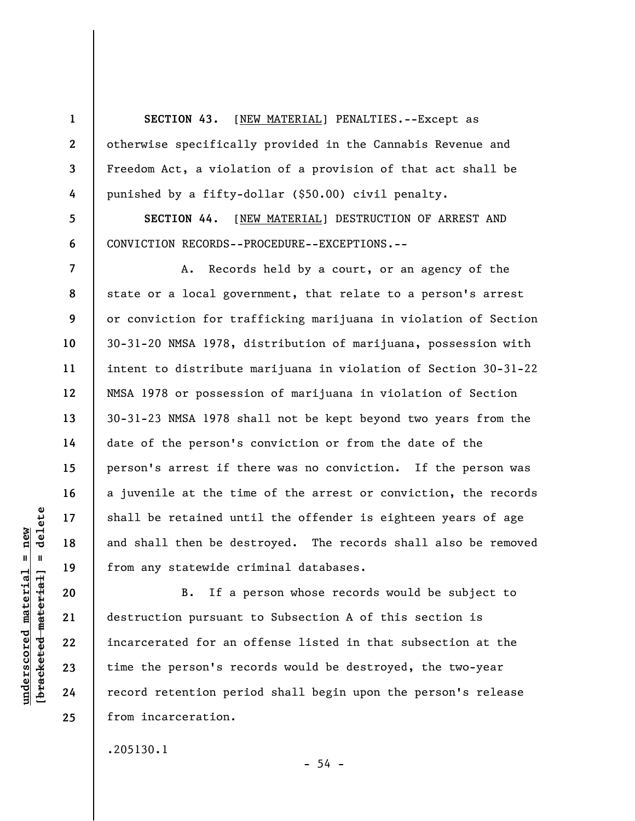**SECTION 43.** [NEW MATERIAL] PENALTIES.--Except as otherwise specifically provided in the Cannabis Revenue and Freedom Act, a violation of a provision of that act shall be punished by a fifty-dollar (\$50.00) civil penalty.

**SECTION 44**. [NEW MATERIAL] DESTRUCTION OF ARREST AND CONVICTION RECORDS--PROCEDURE--EXCEPTIONS.--

A. Records held by a court, or an agency of the state or a local government, that relate to a person's arrest or conviction for trafficking marijuana in violation of Section 30-31-20 NMSA 1978, distribution of marijuana, possession with intent to distribute marijuana in violation of Section 30-31-22 NMSA 1978 or possession of marijuana in violation of Section 30-31-23 NMSA 1978 shall not be kept beyond two years from the date of the person's conviction or from the date of the person's arrest if there was no conviction. If the person was a juvenile at the time of the arrest or conviction, the records shall be retained until the offender is eighteen years of age and shall then be destroyed. The records shall also be removed from any statewide criminal databases.

B. If a person whose records would be subject to destruction pursuant to Subsection A of this section is incarcerated for an offense listed in that subsection at the time the person's records would be destroyed, the two-year record retention period shall begin upon the person's release from incarceration.

 $-54 -$ 

.205130.1

delete **[bracketed material] = delete**  $underscored material = new$ **underscored material = new**  $\mathbf{I}$ bracketed material

**1** 

**2** 

**3** 

**4** 

**5** 

**6** 

**7** 

**8** 

**9** 

**10** 

**11** 

**12** 

**13** 

**14** 

**15** 

**16** 

**17** 

**18** 

**19** 

**20** 

**21** 

**22** 

**23** 

**24**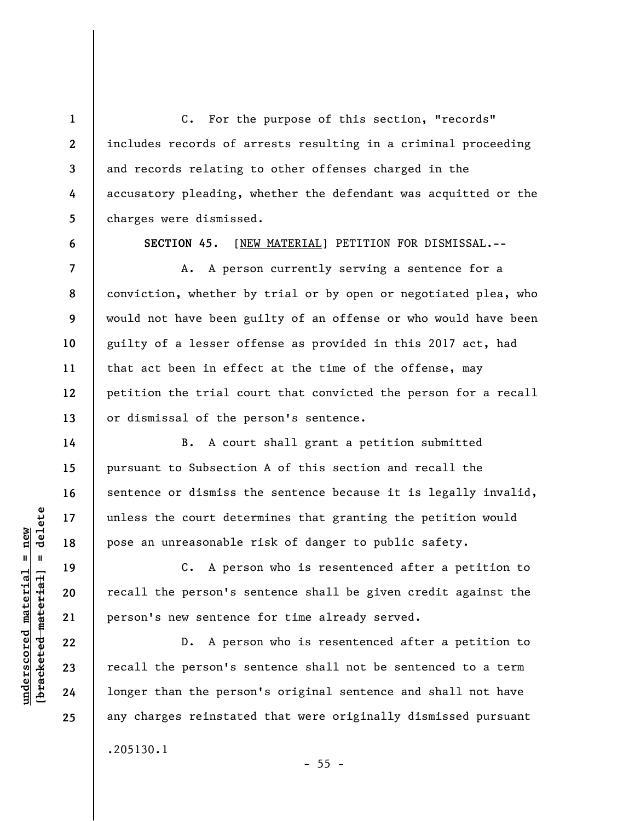C. For the purpose of this section, "records" includes records of arrests resulting in a criminal proceeding and records relating to other offenses charged in the accusatory pleading, whether the defendant was acquitted or the charges were dismissed.

**6** 

**7** 

**8** 

**9** 

**10** 

**11** 

**12** 

**13** 

**14** 

**15** 

**16** 

**17** 

**18** 

**19** 

**20** 

**21** 

**22** 

**23** 

**24** 

**25** 

**1** 

**2** 

**3** 

**4** 

**5** 

**SECTION 45**. [NEW MATERIAL] PETITION FOR DISMISSAL.--

A. A person currently serving a sentence for a conviction, whether by trial or by open or negotiated plea, who would not have been guilty of an offense or who would have been guilty of a lesser offense as provided in this 2017 act, had that act been in effect at the time of the offense, may petition the trial court that convicted the person for a recall or dismissal of the person's sentence.

B. A court shall grant a petition submitted pursuant to Subsection A of this section and recall the sentence or dismiss the sentence because it is legally invalid, unless the court determines that granting the petition would pose an unreasonable risk of danger to public safety.

C. A person who is resentenced after a petition to recall the person's sentence shall be given credit against the person's new sentence for time already served.

D. A person who is resentenced after a petition to recall the person's sentence shall not be sentenced to a term longer than the person's original sentence and shall not have any charges reinstated that were originally dismissed pursuant

.205130.1

 $- 55 -$ 

 $\frac{1}{2}$  intereted material = delete **[bracketed material] = delete**  $anderscored material = new$ **underscored material = new**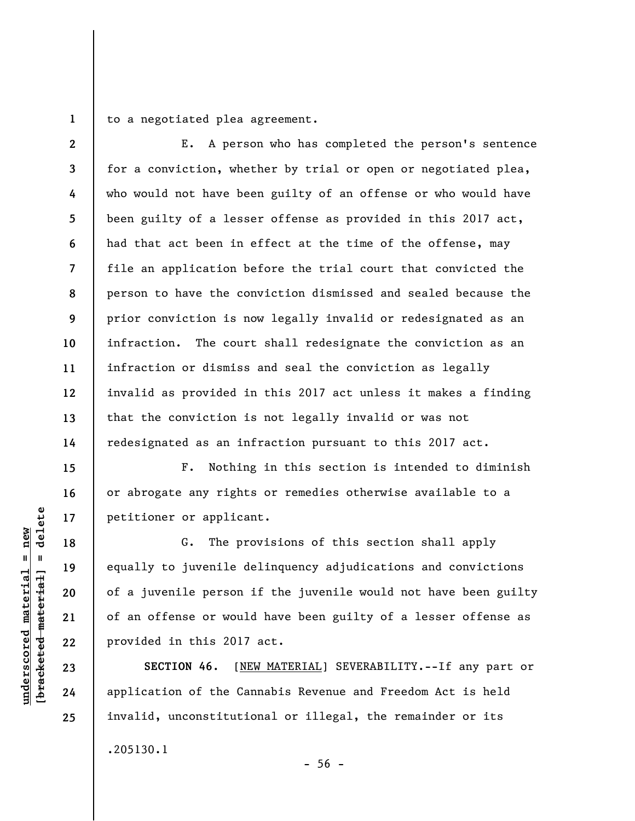**1**  to a negotiated plea agreement.

**2 3 4 5 6 7 8 9 10 11 12 13 14**  E. A person who has completed the person's sentence for a conviction, whether by trial or open or negotiated plea, who would not have been guilty of an offense or who would have been guilty of a lesser offense as provided in this 2017 act, had that act been in effect at the time of the offense, may file an application before the trial court that convicted the person to have the conviction dismissed and sealed because the prior conviction is now legally invalid or redesignated as an infraction. The court shall redesignate the conviction as an infraction or dismiss and seal the conviction as legally invalid as provided in this 2017 act unless it makes a finding that the conviction is not legally invalid or was not redesignated as an infraction pursuant to this 2017 act.

F. Nothing in this section is intended to diminish or abrogate any rights or remedies otherwise available to a petitioner or applicant.

G. The provisions of this section shall apply equally to juvenile delinquency adjudications and convictions of a juvenile person if the juvenile would not have been guilty of an offense or would have been guilty of a lesser offense as provided in this 2017 act.

**SECTION 46**. [NEW MATERIAL] SEVERABILITY.--If any part or application of the Cannabis Revenue and Freedom Act is held invalid, unconstitutional or illegal, the remainder or its .205130.1

 $\frac{1}{2}$  of  $\frac{1}{2}$  and  $\frac{1}{2}$  and  $\frac{1}{2}$  and  $\frac{1}{2}$  and  $\frac{1}{2}$  and  $\frac{1}{2}$  and  $\frac{1}{2}$  and  $\frac{1}{2}$  and  $\frac{1}{2}$  and  $\frac{1}{2}$  and  $\frac{1}{2}$  and  $\frac{1}{2}$  and  $\frac{1}{2}$  and  $\frac{1}{2}$  and  $\frac{1}{2}$  an **[bracketed material] = delete**  $anderscored material = new$ **underscored material = new**

**15** 

**16** 

**17** 

**18** 

**19** 

**20** 

**21** 

**22** 

**23** 

**24**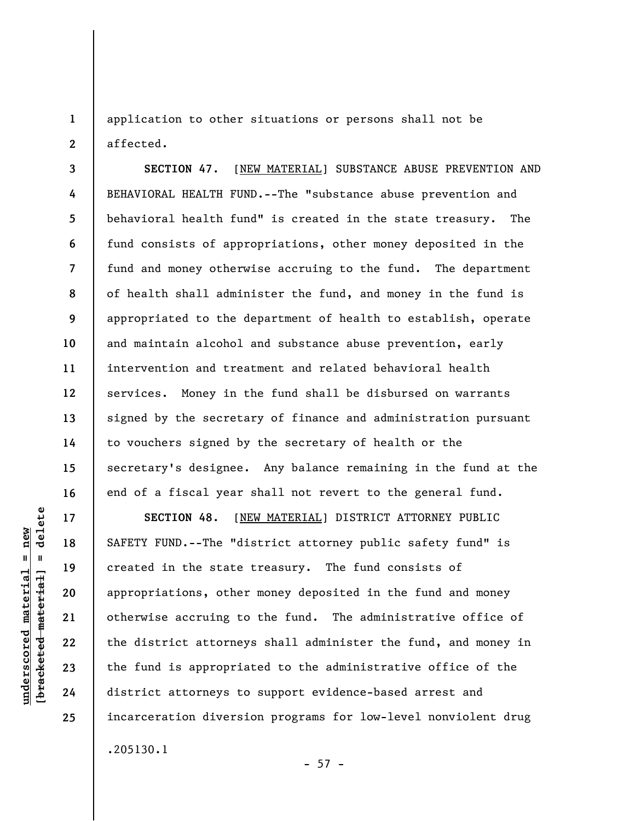**1 2**  application to other situations or persons shall not be affected.

**3 4 5 6 7 8 9 10 11 12 13 14 15 16 SECTION 47**. [NEW MATERIAL] SUBSTANCE ABUSE PREVENTION AND BEHAVIORAL HEALTH FUND.--The "substance abuse prevention and behavioral health fund" is created in the state treasury. The fund consists of appropriations, other money deposited in the fund and money otherwise accruing to the fund. The department of health shall administer the fund, and money in the fund is appropriated to the department of health to establish, operate and maintain alcohol and substance abuse prevention, early intervention and treatment and related behavioral health services. Money in the fund shall be disbursed on warrants signed by the secretary of finance and administration pursuant to vouchers signed by the secretary of health or the secretary's designee. Any balance remaining in the fund at the end of a fiscal year shall not revert to the general fund.

**SECTION 48**. [NEW MATERIAL] DISTRICT ATTORNEY PUBLIC SAFETY FUND.--The "district attorney public safety fund" is created in the state treasury. The fund consists of appropriations, other money deposited in the fund and money otherwise accruing to the fund. The administrative office of the district attorneys shall administer the fund, and money in the fund is appropriated to the administrative office of the district attorneys to support evidence-based arrest and incarceration diversion programs for low-level nonviolent drug .205130.1

 $- 57 -$ 

**17** 

**18** 

**19** 

**20** 

**21** 

**22** 

**23** 

**24**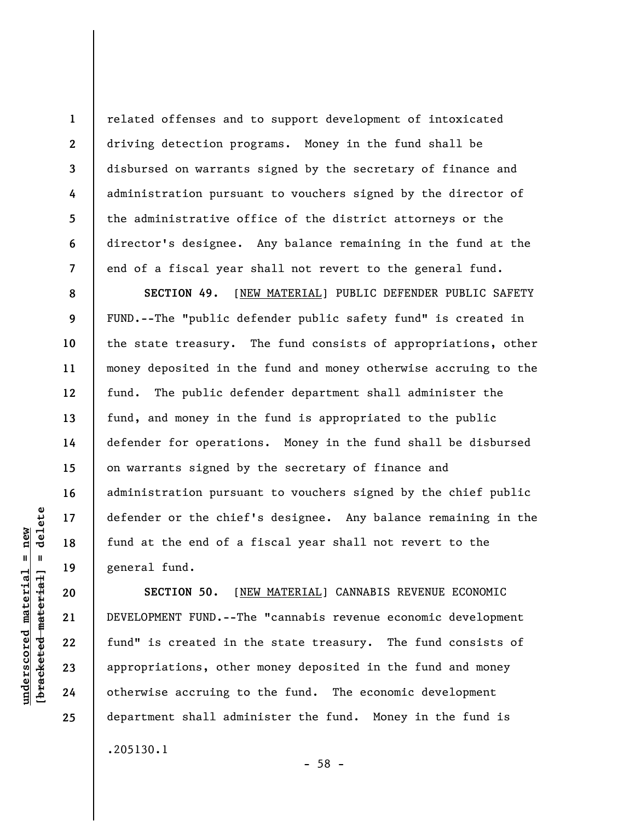related offenses and to support development of intoxicated driving detection programs. Money in the fund shall be disbursed on warrants signed by the secretary of finance and administration pursuant to vouchers signed by the director of the administrative office of the district attorneys or the director's designee. Any balance remaining in the fund at the end of a fiscal year shall not revert to the general fund.

**SECTION 49.** [NEW MATERIAL] PUBLIC DEFENDER PUBLIC SAFETY FUND.--The "public defender public safety fund" is created in the state treasury. The fund consists of appropriations, other money deposited in the fund and money otherwise accruing to the fund. The public defender department shall administer the fund, and money in the fund is appropriated to the public defender for operations. Money in the fund shall be disbursed on warrants signed by the secretary of finance and administration pursuant to vouchers signed by the chief public defender or the chief's designee. Any balance remaining in the fund at the end of a fiscal year shall not revert to the general fund.

**SECTION 50.** [NEW MATERIAL] CANNABIS REVENUE ECONOMIC DEVELOPMENT FUND.--The "cannabis revenue economic development fund" is created in the state treasury. The fund consists of appropriations, other money deposited in the fund and money otherwise accruing to the fund. The economic development department shall administer the fund. Money in the fund is .205130.1

 $\frac{1}{2}$  intereted material = delete **[bracketed material] = delete**  $underscored material = new$ **underscored material = new**

**1** 

**2** 

**3** 

**4** 

**5** 

**6** 

**7** 

**8** 

**9** 

**10** 

**11** 

**12** 

**13** 

**14** 

**15** 

**16** 

**17** 

**18** 

**19** 

**20** 

**21** 

**22** 

**23** 

**24** 

**25** 

- 58 -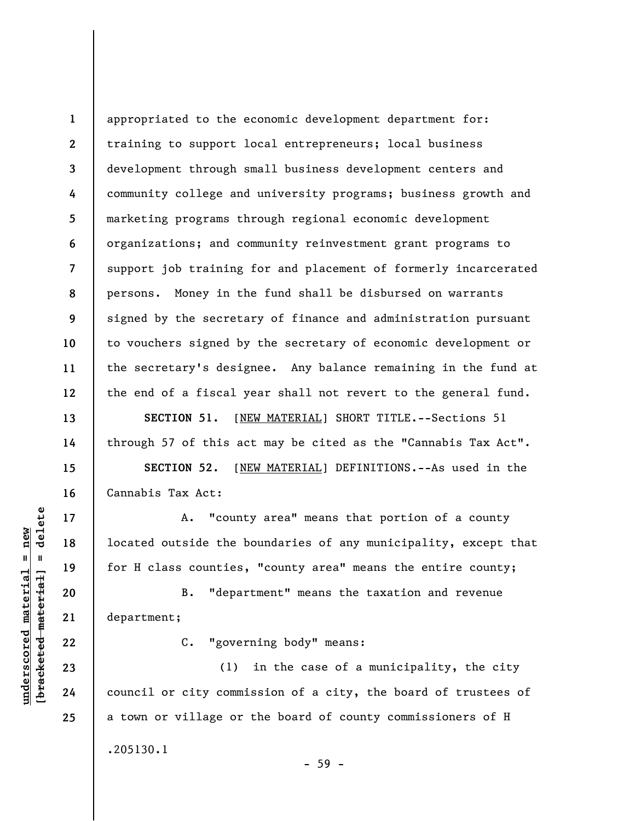**1 2 3 4 5 6 7 8 9 10 11 12**  appropriated to the economic development department for: training to support local entrepreneurs; local business development through small business development centers and community college and university programs; business growth and marketing programs through regional economic development organizations; and community reinvestment grant programs to support job training for and placement of formerly incarcerated persons. Money in the fund shall be disbursed on warrants signed by the secretary of finance and administration pursuant to vouchers signed by the secretary of economic development or the secretary's designee. Any balance remaining in the fund at the end of a fiscal year shall not revert to the general fund.

**SECTION 51.** [NEW MATERIAL] SHORT TITLE.--Sections 51 through 57 of this act may be cited as the "Cannabis Tax Act".

**SECTION 52.** [NEW MATERIAL] DEFINITIONS.--As used in the Cannabis Tax Act:

A. "county area" means that portion of a county located outside the boundaries of any municipality, except that for H class counties, "county area" means the entire county;

B. "department" means the taxation and revenue department;

C. "governing body" means:

(1) in the case of a municipality, the city council or city commission of a city, the board of trustees of a town or village or the board of county commissioners of H .205130.1 - 59 -

 $b$ racketed material] = delete **[bracketed material] = delete**  $underscored material = new$ **underscored material = new**

**13** 

**14** 

**15** 

**16** 

**17** 

**18** 

**19** 

**20** 

**21** 

**22** 

**23** 

**24**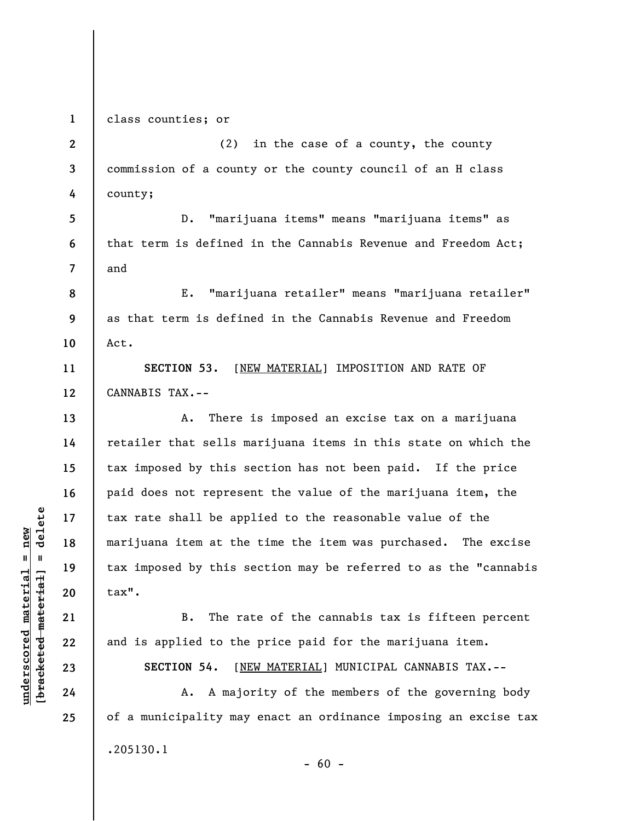**1**  class counties; or

**2 3 4**  (2) in the case of a county, the county commission of a county or the county council of an H class county;

**5 6 7**  D. "marijuana items" means "marijuana items" as that term is defined in the Cannabis Revenue and Freedom Act; and

**8 9 10**  E. "marijuana retailer" means "marijuana retailer" as that term is defined in the Cannabis Revenue and Freedom Act.

**11 12 SECTION 53.** [NEW MATERIAL] IMPOSITION AND RATE OF CANNABIS TAX.--

A. There is imposed an excise tax on a marijuana retailer that sells marijuana items in this state on which the tax imposed by this section has not been paid. If the price paid does not represent the value of the marijuana item, the tax rate shall be applied to the reasonable value of the marijuana item at the time the item was purchased. The excise tax imposed by this section may be referred to as the "cannabis tax".

B. The rate of the cannabis tax is fifteen percent and is applied to the price paid for the marijuana item.

**SECTION 54.** [NEW MATERIAL] MUNICIPAL CANNABIS TAX.--

A. A majority of the members of the governing body of a municipality may enact an ordinance imposing an excise tax .205130.1  $- 60 -$ 

 $\frac{1}{2}$  intereted material = delete **[bracketed material] = delete**  $underscored material = new$ **underscored material = new**

**13** 

**14** 

**15** 

**16** 

**17** 

**18** 

**19** 

**20** 

**21** 

**22** 

**23** 

**24**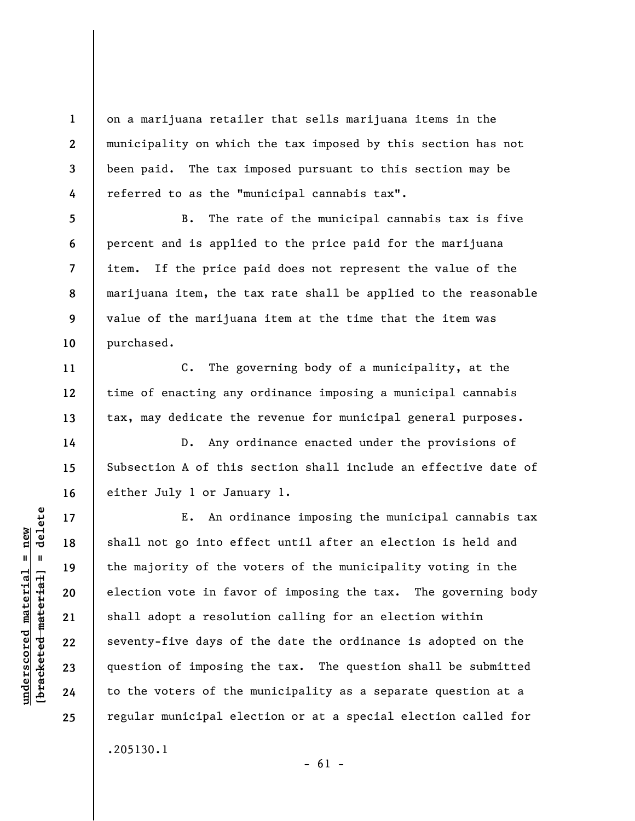on a marijuana retailer that sells marijuana items in the municipality on which the tax imposed by this section has not been paid. The tax imposed pursuant to this section may be referred to as the "municipal cannabis tax".

B. The rate of the municipal cannabis tax is five percent and is applied to the price paid for the marijuana item. If the price paid does not represent the value of the marijuana item, the tax rate shall be applied to the reasonable value of the marijuana item at the time that the item was purchased.

C. The governing body of a municipality, at the time of enacting any ordinance imposing a municipal cannabis tax, may dedicate the revenue for municipal general purposes.

D. Any ordinance enacted under the provisions of Subsection A of this section shall include an effective date of either July 1 or January 1.

E. An ordinance imposing the municipal cannabis tax shall not go into effect until after an election is held and the majority of the voters of the municipality voting in the election vote in favor of imposing the tax. The governing body shall adopt a resolution calling for an election within seventy-five days of the date the ordinance is adopted on the question of imposing the tax. The question shall be submitted to the voters of the municipality as a separate question at a regular municipal election or at a special election called for .205130.1

 $\frac{1}{2}$  of  $\frac{1}{2}$  and  $\frac{1}{2}$  and  $\frac{1}{2}$  and  $\frac{1}{2}$  and  $\frac{1}{2}$  and  $\frac{1}{2}$  and  $\frac{1}{2}$  and  $\frac{1}{2}$  and  $\frac{1}{2}$  and  $\frac{1}{2}$  and  $\frac{1}{2}$  and  $\frac{1}{2}$  and  $\frac{1}{2}$  and  $\frac{1}{2}$  and  $\frac{1}{2}$  an **[bracketed material] = delete**  $underscored material = new$ **underscored material = new**

**1** 

**2** 

**3** 

**4** 

**5** 

**6** 

**7** 

**8** 

**9** 

**10** 

**11** 

**12** 

**13** 

**14** 

**15** 

**16** 

**17** 

**18** 

**19** 

**20** 

**21** 

**22** 

**23** 

**24** 

**25** 

 $- 61 -$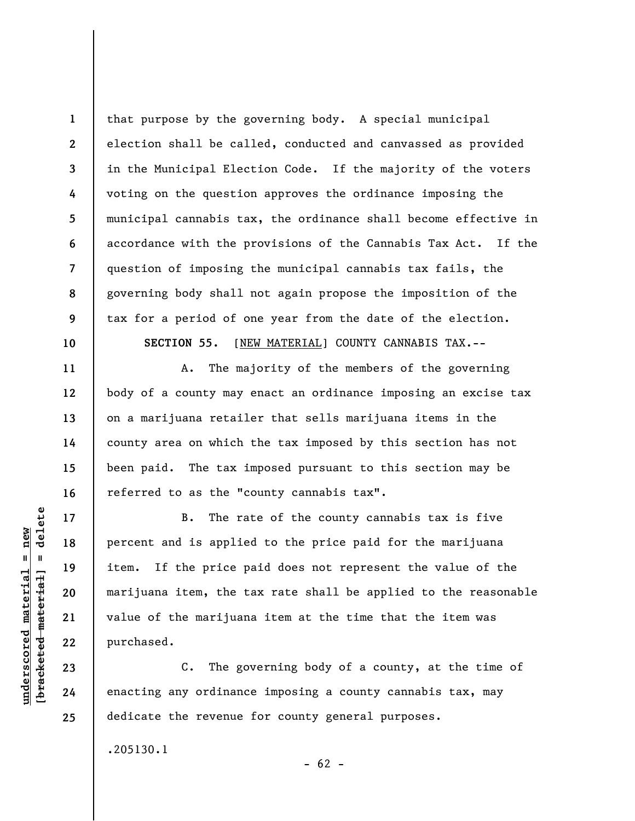**1 2 3 4 5 6 7 8 9 10**  that purpose by the governing body. A special municipal election shall be called, conducted and canvassed as provided in the Municipal Election Code. If the majority of the voters voting on the question approves the ordinance imposing the municipal cannabis tax, the ordinance shall become effective in accordance with the provisions of the Cannabis Tax Act. If the question of imposing the municipal cannabis tax fails, the governing body shall not again propose the imposition of the tax for a period of one year from the date of the election. **SECTION 55.** [NEW MATERIAL] COUNTY CANNABIS TAX.--

A. The majority of the members of the governing body of a county may enact an ordinance imposing an excise tax on a marijuana retailer that sells marijuana items in the county area on which the tax imposed by this section has not been paid. The tax imposed pursuant to this section may be referred to as the "county cannabis tax".

B. The rate of the county cannabis tax is five percent and is applied to the price paid for the marijuana item. If the price paid does not represent the value of the marijuana item, the tax rate shall be applied to the reasonable value of the marijuana item at the time that the item was purchased.

C. The governing body of a county, at the time of enacting any ordinance imposing a county cannabis tax, may dedicate the revenue for county general purposes.

 $- 62 -$ 

.205130.1

delete **[bracketed material] = delete**  $underscored material = new$ **underscored material = new**  $\mathbf{u}$ bracketed material

**11** 

**12** 

**13** 

**14** 

**15** 

**16** 

**17** 

**18** 

**19** 

**20** 

**21** 

**22** 

**23** 

**24**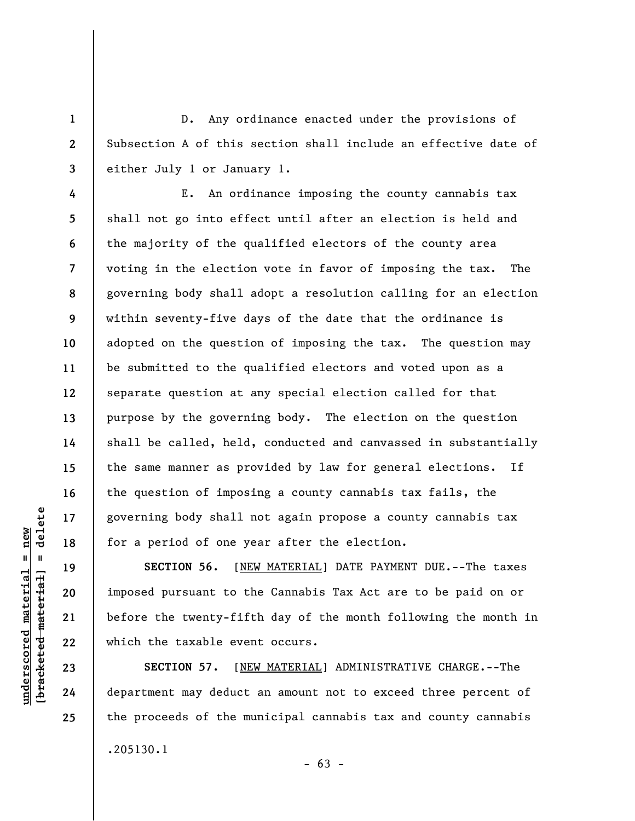D. Any ordinance enacted under the provisions of Subsection A of this section shall include an effective date of either July 1 or January 1.

**4 5 6 7 8 9 10 11 12 13 14 15 16 17 18**  E. An ordinance imposing the county cannabis tax shall not go into effect until after an election is held and the majority of the qualified electors of the county area voting in the election vote in favor of imposing the tax. The governing body shall adopt a resolution calling for an election within seventy-five days of the date that the ordinance is adopted on the question of imposing the tax. The question may be submitted to the qualified electors and voted upon as a separate question at any special election called for that purpose by the governing body. The election on the question shall be called, held, conducted and canvassed in substantially the same manner as provided by law for general elections. If the question of imposing a county cannabis tax fails, the governing body shall not again propose a county cannabis tax for a period of one year after the election.

**SECTION 56.** [NEW MATERIAL] DATE PAYMENT DUE.--The taxes imposed pursuant to the Cannabis Tax Act are to be paid on or before the twenty-fifth day of the month following the month in which the taxable event occurs.

**SECTION 57.** [NEW MATERIAL] ADMINISTRATIVE CHARGE.--The department may deduct an amount not to exceed three percent of the proceeds of the municipal cannabis tax and county cannabis .205130.1

 $\frac{1}{2}$  intereted material = delete **[bracketed material] = delete**  $underscored material = new$ **underscored material = new**

**19** 

**20** 

**21** 

**22** 

**23** 

**24** 

**25** 

**1** 

**2**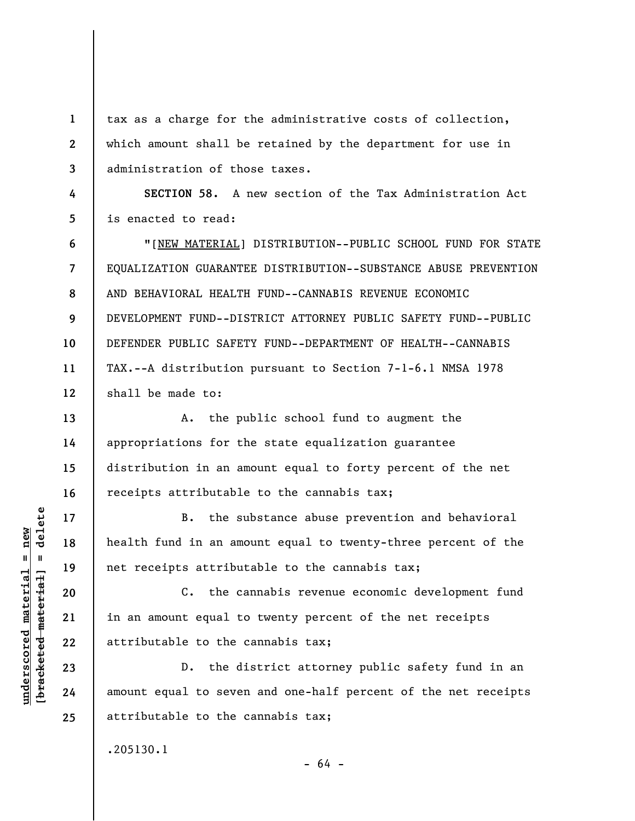tax as a charge for the administrative costs of collection, which amount shall be retained by the department for use in administration of those taxes.

**4 5 SECTION 58.** A new section of the Tax Administration Act is enacted to read:

**6 7 8 9 10 11 12**  "[NEW MATERIAL] DISTRIBUTION--PUBLIC SCHOOL FUND FOR STATE EQUALIZATION GUARANTEE DISTRIBUTION--SUBSTANCE ABUSE PREVENTION AND BEHAVIORAL HEALTH FUND--CANNABIS REVENUE ECONOMIC DEVELOPMENT FUND--DISTRICT ATTORNEY PUBLIC SAFETY FUND--PUBLIC DEFENDER PUBLIC SAFETY FUND--DEPARTMENT OF HEALTH--CANNABIS TAX.--A distribution pursuant to Section 7-1-6.1 NMSA 1978 shall be made to:

A. the public school fund to augment the appropriations for the state equalization guarantee distribution in an amount equal to forty percent of the net receipts attributable to the cannabis tax;

B. the substance abuse prevention and behavioral health fund in an amount equal to twenty-three percent of the net receipts attributable to the cannabis tax;

C. the cannabis revenue economic development fund in an amount equal to twenty percent of the net receipts attributable to the cannabis tax;

D. the district attorney public safety fund in an amount equal to seven and one-half percent of the net receipts attributable to the cannabis tax;

.205130.1

 $=$  delete **[bracketed material] = delete**  $underscored material = new$ **underscored material = new** bracketed material

**1** 

**2** 

**3** 

**13** 

**14** 

**15** 

**16** 

**17** 

**18** 

**19** 

**20** 

**21** 

**22** 

**23** 

**24** 

**25** 

- 64 -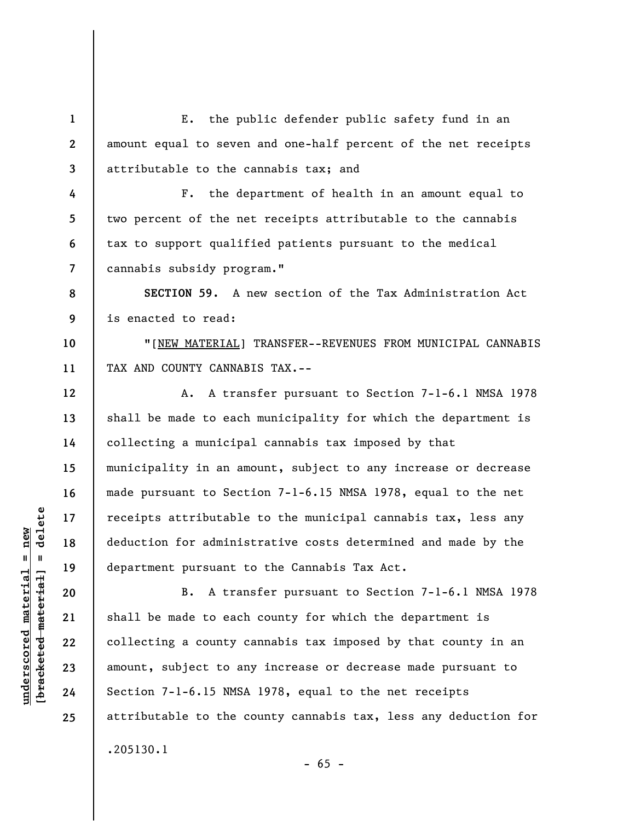**1 2 3**  E. the public defender public safety fund in an amount equal to seven and one-half percent of the net receipts attributable to the cannabis tax; and

F. the department of health in an amount equal to two percent of the net receipts attributable to the cannabis tax to support qualified patients pursuant to the medical cannabis subsidy program."

**8 9 SECTION 59.** A new section of the Tax Administration Act is enacted to read:

"[NEW MATERIAL] TRANSFER--REVENUES FROM MUNICIPAL CANNABIS TAX AND COUNTY CANNABIS TAX.--

A. A transfer pursuant to Section 7-1-6.1 NMSA 1978 shall be made to each municipality for which the department is collecting a municipal cannabis tax imposed by that municipality in an amount, subject to any increase or decrease made pursuant to Section 7-1-6.15 NMSA 1978, equal to the net receipts attributable to the municipal cannabis tax, less any deduction for administrative costs determined and made by the department pursuant to the Cannabis Tax Act.

B. A transfer pursuant to Section 7-1-6.1 NMSA 1978 shall be made to each county for which the department is collecting a county cannabis tax imposed by that county in an amount, subject to any increase or decrease made pursuant to Section 7-1-6.15 NMSA 1978, equal to the net receipts attributable to the county cannabis tax, less any deduction for .205130.1

 $- 65 -$ 

 $\frac{1}{2}$  of  $\frac{1}{2}$  and  $\frac{1}{2}$  and  $\frac{1}{2}$  and  $\frac{1}{2}$  and  $\frac{1}{2}$  and  $\frac{1}{2}$  and  $\frac{1}{2}$  and  $\frac{1}{2}$  and  $\frac{1}{2}$  and  $\frac{1}{2}$  and  $\frac{1}{2}$  and  $\frac{1}{2}$  and  $\frac{1}{2}$  and  $\frac{1}{2}$  and  $\frac{1}{2}$  an **[bracketed material] = delete**  $underscored material = new$ **underscored material = new**

**4** 

**5** 

**6** 

**7** 

**10** 

**11** 

**12** 

**13** 

**14** 

**15** 

**16** 

**17** 

**18** 

**19** 

**20** 

**21** 

**22** 

**23** 

**24**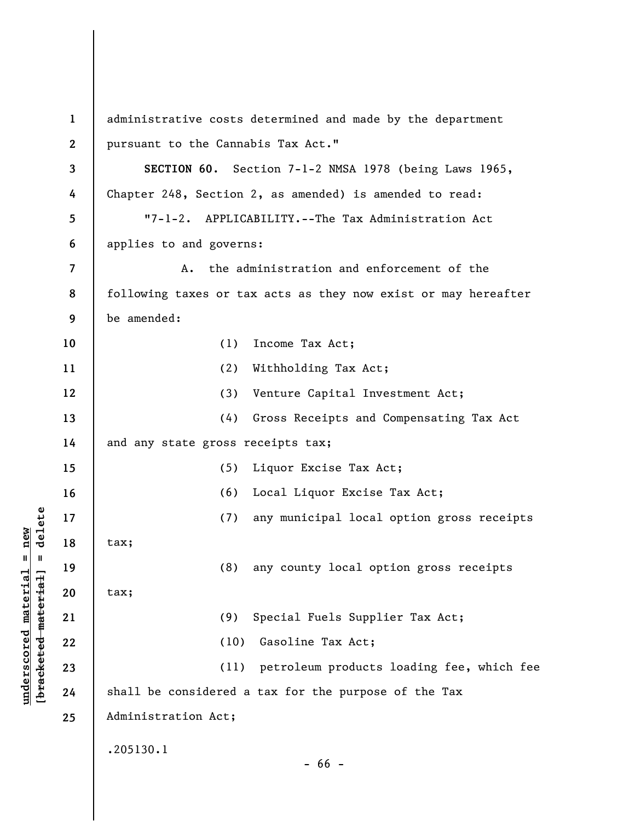**1 2 3 4 5 6 7 8 9 10 11 12 13 14 15 16 17 18 19 20 21 22 23 24 25**  administrative costs determined and made by the department pursuant to the Cannabis Tax Act." **SECTION 60**. Section 7-1-2 NMSA 1978 (being Laws 1965, Chapter 248, Section 2, as amended) is amended to read: "7-1-2. APPLICABILITY.--The Tax Administration Act applies to and governs: A. the administration and enforcement of the following taxes or tax acts as they now exist or may hereafter be amended: (1) Income Tax Act; (2) Withholding Tax Act; (3) Venture Capital Investment Act; (4) Gross Receipts and Compensating Tax Act and any state gross receipts tax; (5) Liquor Excise Tax Act; (6) Local Liquor Excise Tax Act; (7) any municipal local option gross receipts tax; (8) any county local option gross receipts tax; (9) Special Fuels Supplier Tax Act; (10) Gasoline Tax Act; (11) petroleum products loading fee, which fee shall be considered a tax for the purpose of the Tax Administration Act; .205130.1 - 66 -

**underscored material = new [bracketed material] = delete**

 $b$ racketed material] = delete  $underscored material = new$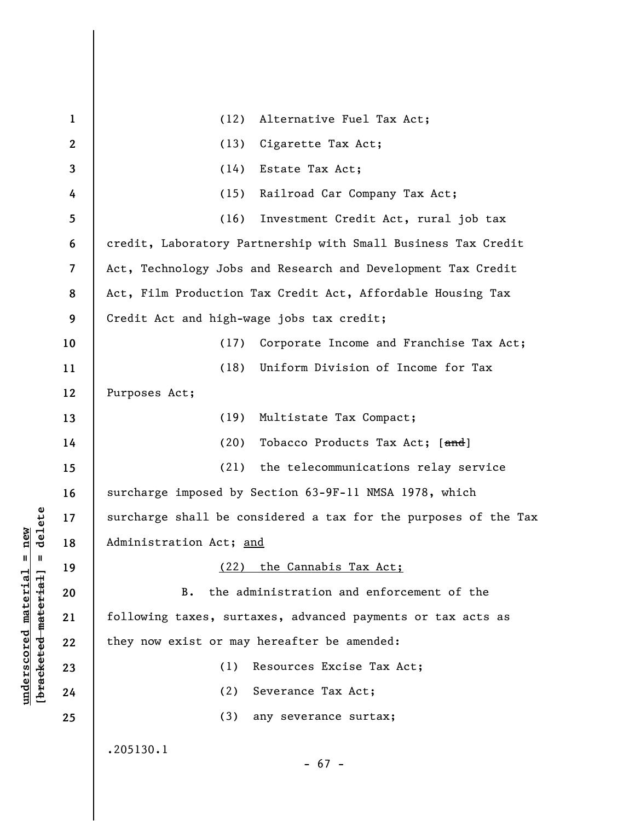| $\mathbf{1}$ | Alternative Fuel Tax Act;<br>(12)                               |
|--------------|-----------------------------------------------------------------|
| $\mathbf{2}$ | Cigarette Tax Act;<br>(13)                                      |
| 3            | (14)<br>Estate Tax Act;                                         |
| 4            | Railroad Car Company Tax Act;<br>(15)                           |
| 5            | (16)<br>Investment Credit Act, rural job tax                    |
| 6            | credit, Laboratory Partnership with Small Business Tax Credit   |
| 7            | Act, Technology Jobs and Research and Development Tax Credit    |
| 8            | Act, Film Production Tax Credit Act, Affordable Housing Tax     |
| 9            | Credit Act and high-wage jobs tax credit;                       |
| 10           | Corporate Income and Franchise Tax Act;<br>(17)                 |
| 11           | Uniform Division of Income for Tax<br>(18)                      |
| 12           | Purposes Act;                                                   |
| 13           | (19)<br>Multistate Tax Compact;                                 |
| 14           | (20)<br>Tobacco Products Tax Act; [and]                         |
| 15           | (21)<br>the telecommunications relay service                    |
| 16           | surcharge imposed by Section 63-9F-11 NMSA 1978, which          |
| 17           | surcharge shall be considered a tax for the purposes of the Tax |
| 18           | Administration Act; and                                         |
| 19           | the Cannabis Tax Act;<br>(22)                                   |
| 20           | the administration and enforcement of the<br><b>B.</b>          |
| 21           | following taxes, surtaxes, advanced payments or tax acts as     |
| 22           | they now exist or may hereafter be amended:                     |
| 23           | (1)<br>Resources Excise Tax Act;                                |
| 24           | (2)<br>Severance Tax Act;                                       |
| 25           | (3)<br>any severance surtax;                                    |
|              | .205130.1<br>$-67 -$                                            |

**underscored material = new [bracketed material] = delete**

 $[**bracket eted metert et**] = **del et e**$  $underscored material = new$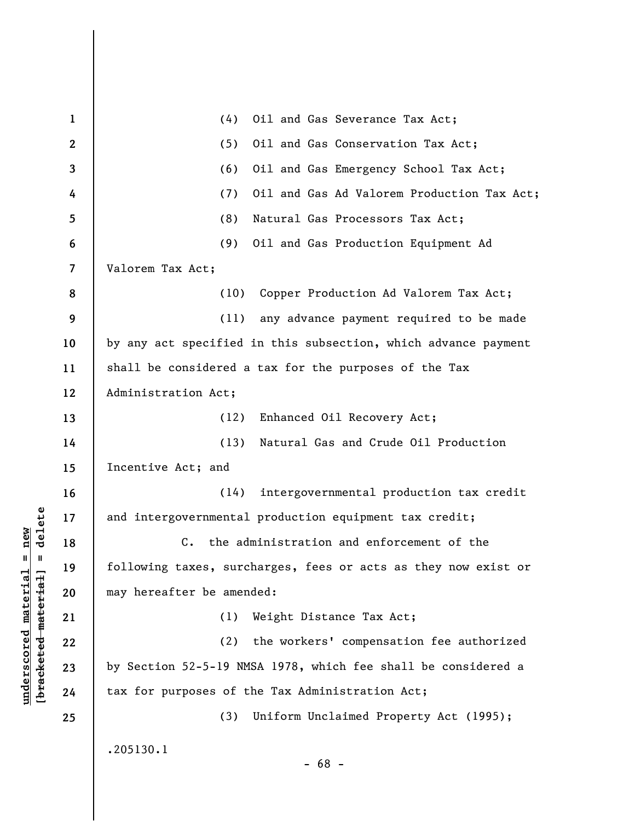| $\mathbf{1}$             | (4)<br>Oil and Gas Severance Tax Act;                          |
|--------------------------|----------------------------------------------------------------|
| $\mathbf{2}$             | (5)<br>Oil and Gas Conservation Tax Act;                       |
| 3                        | (6)<br>Oil and Gas Emergency School Tax Act;                   |
| 4                        | (7)<br>Oil and Gas Ad Valorem Production Tax Act;              |
| 5                        | (8)<br>Natural Gas Processors Tax Act;                         |
| 6                        | (9)<br>Oil and Gas Production Equipment Ad                     |
| $\overline{\mathcal{L}}$ | Valorem Tax Act;                                               |
| 8                        | (10) Copper Production Ad Valorem Tax Act;                     |
| 9                        | (11) any advance payment required to be made                   |
| 10                       | by any act specified in this subsection, which advance payment |
| 11                       | shall be considered a tax for the purposes of the Tax          |
| 12                       | Administration Act;                                            |
| 13                       | (12)<br>Enhanced Oil Recovery Act;                             |
| 14                       | Natural Gas and Crude Oil Production<br>(13)                   |
| 15                       | Incentive Act; and                                             |
| 16                       | intergovernmental production tax credit<br>(14)                |
| 17                       | and intergovernmental production equipment tax credit;         |
| 18                       | C. the administration and enforcement of the                   |
| 19                       | following taxes, surcharges, fees or acts as they now exist or |
| 20                       | may hereafter be amended:                                      |
| 21                       | (1)<br>Weight Distance Tax Act;                                |
| 22                       | (2)<br>the workers' compensation fee authorized                |
| 23                       | by Section 52-5-19 NMSA 1978, which fee shall be considered a  |
| 24                       | tax for purposes of the Tax Administration Act;                |
| 25                       | (3)<br>Uniform Unclaimed Property Act (1995);                  |
|                          | .205130.1                                                      |
|                          | $-68 -$                                                        |

**underscored material = new [bracketed material] = delete**

 $[**bracket eted metert et**] = **del et e**$  $underscored material = new$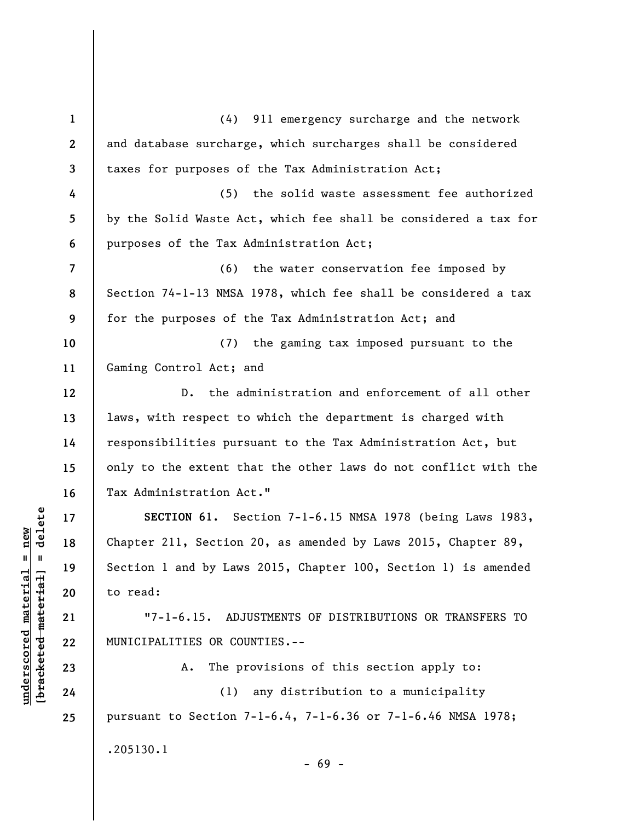**1 2 3 4 5 6 7 8 9 10 11 12 13 14 15 16 17 18 19 20 21 22 23 24 25**  (4) 911 emergency surcharge and the network and database surcharge, which surcharges shall be considered taxes for purposes of the Tax Administration Act; (5) the solid waste assessment fee authorized by the Solid Waste Act, which fee shall be considered a tax for purposes of the Tax Administration Act; (6) the water conservation fee imposed by Section 74-1-13 NMSA 1978, which fee shall be considered a tax for the purposes of the Tax Administration Act; and (7) the gaming tax imposed pursuant to the Gaming Control Act; and D. the administration and enforcement of all other laws, with respect to which the department is charged with responsibilities pursuant to the Tax Administration Act, but only to the extent that the other laws do not conflict with the Tax Administration Act." **SECTION 61.** Section 7-1-6.15 NMSA 1978 (being Laws 1983, Chapter 211, Section 20, as amended by Laws 2015, Chapter 89, Section 1 and by Laws 2015, Chapter 100, Section 1) is amended to read: "7-1-6.15. ADJUSTMENTS OF DISTRIBUTIONS OR TRANSFERS TO MUNICIPALITIES OR COUNTIES.-- A. The provisions of this section apply to: (1) any distribution to a municipality pursuant to Section 7-1-6.4, 7-1-6.36 or 7-1-6.46 NMSA 1978; .205130.1 - 69 -

 $\frac{1}{2}$  intereted material = delete **[bracketed material] = delete**  $underscored material = new$ **underscored material = new**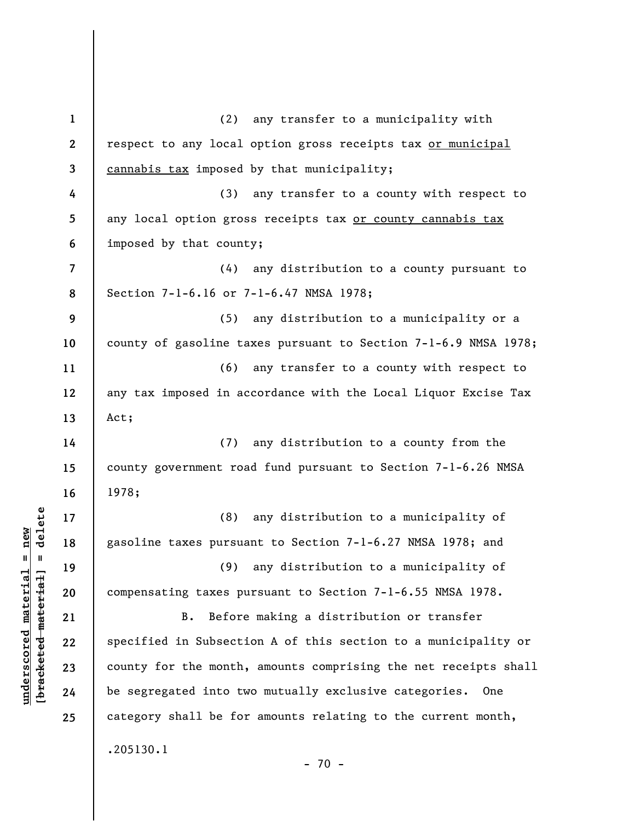**1 2 3 4 5 6 7 8 9 10 11 12 13 14 15 16 17 18 19 20 21 22 23 24 25**  (2) any transfer to a municipality with respect to any local option gross receipts tax or municipal cannabis tax imposed by that municipality; (3) any transfer to a county with respect to any local option gross receipts tax or county cannabis tax imposed by that county; (4) any distribution to a county pursuant to Section 7-1-6.16 or 7-1-6.47 NMSA 1978; (5) any distribution to a municipality or a county of gasoline taxes pursuant to Section 7-1-6.9 NMSA 1978; (6) any transfer to a county with respect to any tax imposed in accordance with the Local Liquor Excise Tax Act; (7) any distribution to a county from the county government road fund pursuant to Section 7-1-6.26 NMSA 1978; (8) any distribution to a municipality of gasoline taxes pursuant to Section 7-1-6.27 NMSA 1978; and (9) any distribution to a municipality of compensating taxes pursuant to Section 7-1-6.55 NMSA 1978. B. Before making a distribution or transfer specified in Subsection A of this section to a municipality or county for the month, amounts comprising the net receipts shall be segregated into two mutually exclusive categories. One category shall be for amounts relating to the current month, .205130.1  $- 70 -$ 

**underscored material = new [bracketed material] = delete**

 $\frac{1}{2}$  of  $\frac{1}{2}$  and  $\frac{1}{2}$  and  $\frac{1}{2}$  and  $\frac{1}{2}$  and  $\frac{1}{2}$  and  $\frac{1}{2}$  and  $\frac{1}{2}$  and  $\frac{1}{2}$  and  $\frac{1}{2}$  and  $\frac{1}{2}$  and  $\frac{1}{2}$  and  $\frac{1}{2}$  and  $\frac{1}{2}$  and  $\frac{1}{2}$  and  $\frac{1}{2}$  an  $underscored material = new$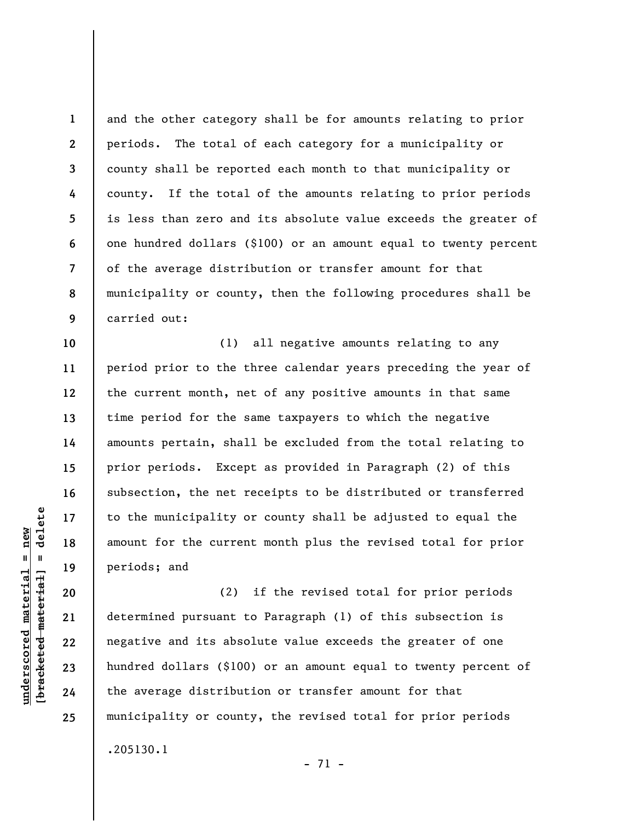**1 2 3 4 5 6 7 8 9**  and the other category shall be for amounts relating to prior periods. The total of each category for a municipality or county shall be reported each month to that municipality or county. If the total of the amounts relating to prior periods is less than zero and its absolute value exceeds the greater of one hundred dollars (\$100) or an amount equal to twenty percent of the average distribution or transfer amount for that municipality or county, then the following procedures shall be carried out:

(1) all negative amounts relating to any period prior to the three calendar years preceding the year of the current month, net of any positive amounts in that same time period for the same taxpayers to which the negative amounts pertain, shall be excluded from the total relating to prior periods. Except as provided in Paragraph (2) of this subsection, the net receipts to be distributed or transferred to the municipality or county shall be adjusted to equal the amount for the current month plus the revised total for prior periods; and

(2) if the revised total for prior periods determined pursuant to Paragraph (1) of this subsection is negative and its absolute value exceeds the greater of one hundred dollars (\$100) or an amount equal to twenty percent of the average distribution or transfer amount for that municipality or county, the revised total for prior periods .205130.1

- 71 -

**10** 

**11** 

**12** 

**13** 

**14** 

**15** 

**16** 

**17** 

**18** 

**19** 

**20** 

**21** 

**22** 

**23** 

**24**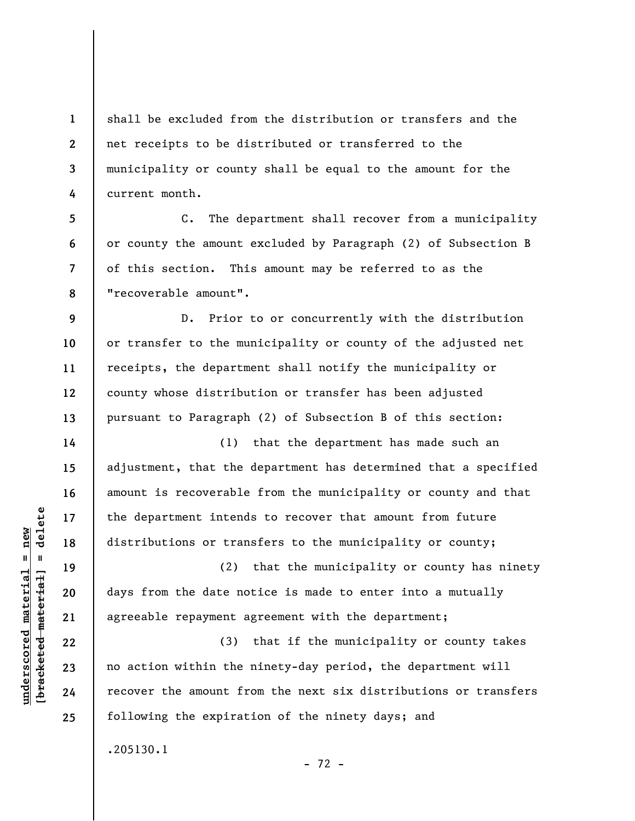**1 2 3 4**  shall be excluded from the distribution or transfers and the net receipts to be distributed or transferred to the municipality or county shall be equal to the amount for the current month.

C. The department shall recover from a municipality or county the amount excluded by Paragraph (2) of Subsection B of this section. This amount may be referred to as the "recoverable amount".

D. Prior to or concurrently with the distribution or transfer to the municipality or county of the adjusted net receipts, the department shall notify the municipality or county whose distribution or transfer has been adjusted pursuant to Paragraph (2) of Subsection B of this section:

(1) that the department has made such an adjustment, that the department has determined that a specified amount is recoverable from the municipality or county and that the department intends to recover that amount from future distributions or transfers to the municipality or county;

(2) that the municipality or county has ninety days from the date notice is made to enter into a mutually agreeable repayment agreement with the department;

(3) that if the municipality or county takes no action within the ninety-day period, the department will recover the amount from the next six distributions or transfers following the expiration of the ninety days; and

- 72 -

.205130.1

 $\frac{1}{2}$  of  $\frac{1}{2}$  and  $\frac{1}{2}$  and  $\frac{1}{2}$  and  $\frac{1}{2}$  and  $\frac{1}{2}$  and  $\frac{1}{2}$  and  $\frac{1}{2}$  and  $\frac{1}{2}$  and  $\frac{1}{2}$  and  $\frac{1}{2}$  and  $\frac{1}{2}$  and  $\frac{1}{2}$  and  $\frac{1}{2}$  and  $\frac{1}{2}$  and  $\frac{1}{2}$  an **[bracketed material] = delete**  $underscored material = new$ **underscored material = new**

**5** 

**6** 

**7** 

**8** 

**9** 

**10** 

**11** 

**12** 

**13** 

**14** 

**15** 

**16** 

**17** 

**18** 

**19** 

**20** 

**21** 

**22** 

**23** 

**24**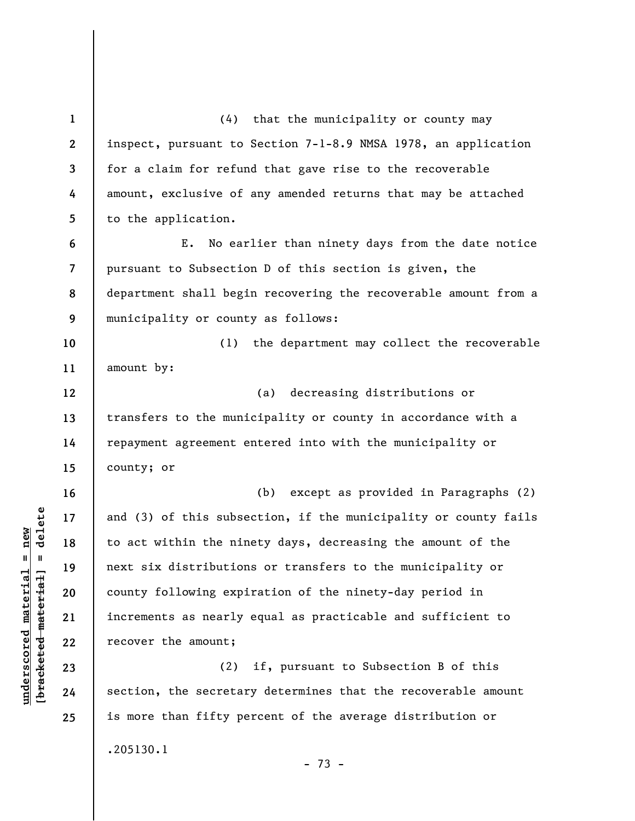**1 2 3 4 5 6 7 8 9 10 11 12 13 14 15 16 17 18 19 20 21 22 23 24 25**  (4) that the municipality or county may inspect, pursuant to Section 7-1-8.9 NMSA 1978, an application for a claim for refund that gave rise to the recoverable amount, exclusive of any amended returns that may be attached to the application. E. No earlier than ninety days from the date notice pursuant to Subsection D of this section is given, the department shall begin recovering the recoverable amount from a municipality or county as follows: (1) the department may collect the recoverable amount by: (a) decreasing distributions or transfers to the municipality or county in accordance with a repayment agreement entered into with the municipality or county; or (b) except as provided in Paragraphs (2) and (3) of this subsection, if the municipality or county fails to act within the ninety days, decreasing the amount of the next six distributions or transfers to the municipality or county following expiration of the ninety-day period in increments as nearly equal as practicable and sufficient to recover the amount; (2) if, pursuant to Subsection B of this section, the secretary determines that the recoverable amount is more than fifty percent of the average distribution or .205130.1

- 73 -

 $b$ racketed material] = delete **[bracketed material] = delete**  $underscored material = new$ **underscored material = new**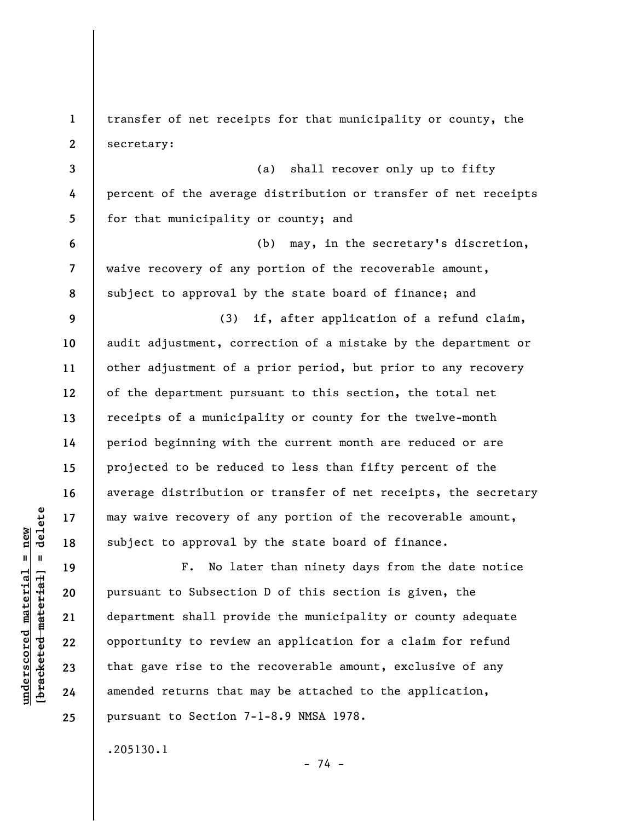**1 2 3 4 5 6 7 8 9 10 11 12 13 14 15 16 17 18 19 20 21 22 23 24 25**  transfer of net receipts for that municipality or county, the secretary: (a) shall recover only up to fifty percent of the average distribution or transfer of net receipts for that municipality or county; and (b) may, in the secretary's discretion, waive recovery of any portion of the recoverable amount, subject to approval by the state board of finance; and (3) if, after application of a refund claim, audit adjustment, correction of a mistake by the department or other adjustment of a prior period, but prior to any recovery of the department pursuant to this section, the total net receipts of a municipality or county for the twelve-month period beginning with the current month are reduced or are projected to be reduced to less than fifty percent of the average distribution or transfer of net receipts, the secretary may waive recovery of any portion of the recoverable amount, subject to approval by the state board of finance. F. No later than ninety days from the date notice pursuant to Subsection D of this section is given, the department shall provide the municipality or county adequate opportunity to review an application for a claim for refund that gave rise to the recoverable amount, exclusive of any amended returns that may be attached to the application, pursuant to Section 7-1-8.9 NMSA 1978.

.205130.1

 $b$ racketed material] = delete **[bracketed material] = delete**  $underscored material = new$ **underscored material = new**

- 74 -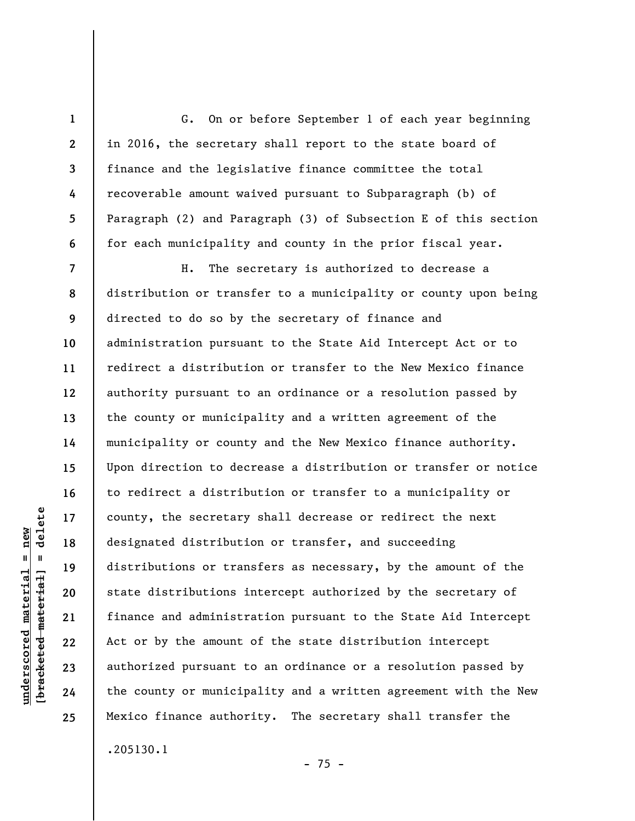**1 2 3 4 5 6 7 8 9 10 11 12 13 14 15 16 17 18 19 20 21 22 23 24 25**  G. On or before September 1 of each year beginning in 2016, the secretary shall report to the state board of finance and the legislative finance committee the total recoverable amount waived pursuant to Subparagraph (b) of Paragraph (2) and Paragraph (3) of Subsection E of this section for each municipality and county in the prior fiscal year. H. The secretary is authorized to decrease a distribution or transfer to a municipality or county upon being directed to do so by the secretary of finance and administration pursuant to the State Aid Intercept Act or to redirect a distribution or transfer to the New Mexico finance authority pursuant to an ordinance or a resolution passed by the county or municipality and a written agreement of the municipality or county and the New Mexico finance authority. Upon direction to decrease a distribution or transfer or notice to redirect a distribution or transfer to a municipality or county, the secretary shall decrease or redirect the next designated distribution or transfer, and succeeding distributions or transfers as necessary, by the amount of the state distributions intercept authorized by the secretary of finance and administration pursuant to the State Aid Intercept Act or by the amount of the state distribution intercept authorized pursuant to an ordinance or a resolution passed by the county or municipality and a written agreement with the New Mexico finance authority. The secretary shall transfer the .205130.1

 $- 75 -$ 

delete **[bracketed material] = delete**  $underscored material = new$ **underscored material = new**  $\frac{1}{2}$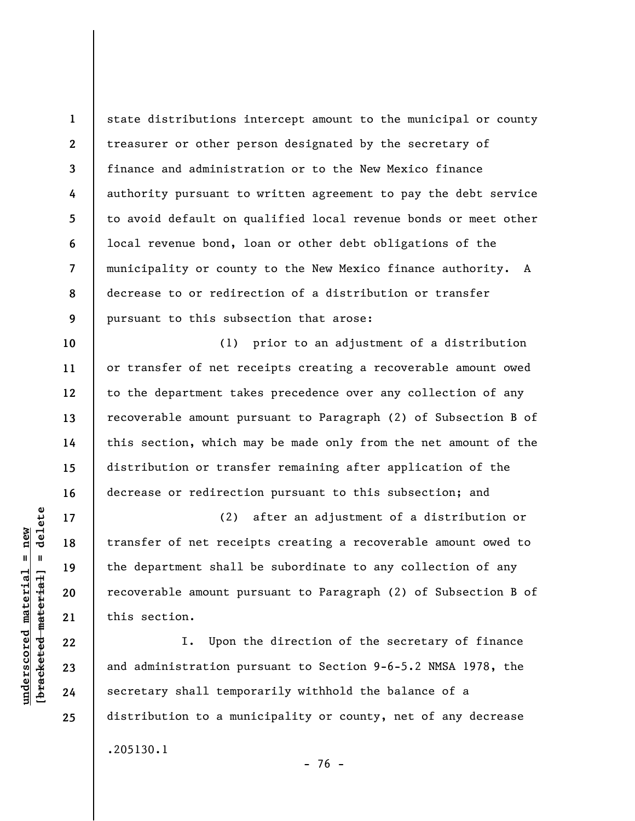**1 2 3 4 5 6 7 8 9**  state distributions intercept amount to the municipal or county treasurer or other person designated by the secretary of finance and administration or to the New Mexico finance authority pursuant to written agreement to pay the debt service to avoid default on qualified local revenue bonds or meet other local revenue bond, loan or other debt obligations of the municipality or county to the New Mexico finance authority. A decrease to or redirection of a distribution or transfer pursuant to this subsection that arose:

(1) prior to an adjustment of a distribution or transfer of net receipts creating a recoverable amount owed to the department takes precedence over any collection of any recoverable amount pursuant to Paragraph (2) of Subsection B of this section, which may be made only from the net amount of the distribution or transfer remaining after application of the decrease or redirection pursuant to this subsection; and

(2) after an adjustment of a distribution or transfer of net receipts creating a recoverable amount owed to the department shall be subordinate to any collection of any recoverable amount pursuant to Paragraph (2) of Subsection B of this section.

I. Upon the direction of the secretary of finance and administration pursuant to Section 9-6-5.2 NMSA 1978, the secretary shall temporarily withhold the balance of a distribution to a municipality or county, net of any decrease .205130.1

 $\frac{1}{2}$  intereted material = delete **[bracketed material] = delete**  $underscored material = new$ **underscored material = new**

**10** 

**11** 

**12** 

**13** 

**14** 

**15** 

**16** 

**17** 

**18** 

**19** 

**20** 

**21** 

**22** 

**23** 

**24** 

**25** 

- 76 -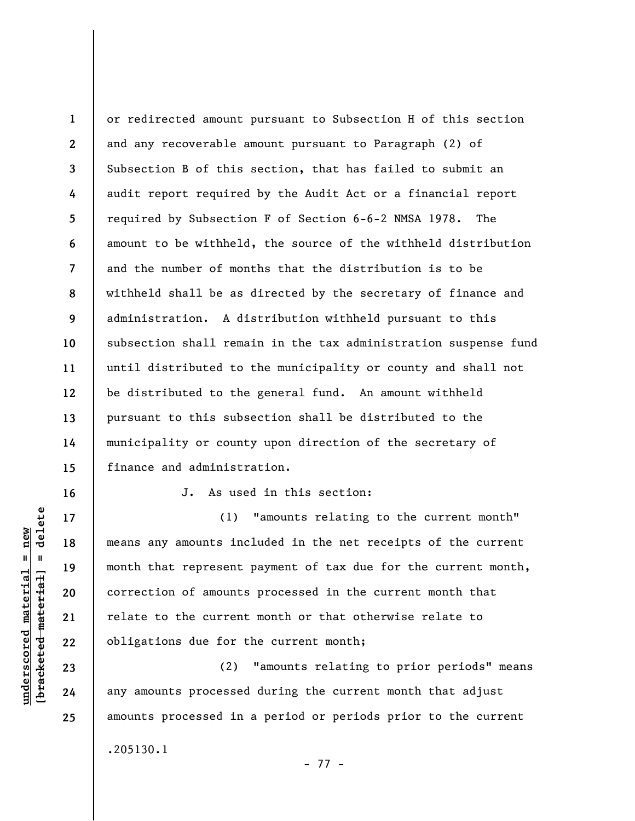**1 2 3 4 5 6 7 8 9 10 11 12 13 14 15**  or redirected amount pursuant to Subsection H of this section and any recoverable amount pursuant to Paragraph (2) of Subsection B of this section, that has failed to submit an audit report required by the Audit Act or a financial report required by Subsection F of Section 6-6-2 NMSA 1978. The amount to be withheld, the source of the withheld distribution and the number of months that the distribution is to be withheld shall be as directed by the secretary of finance and administration. A distribution withheld pursuant to this subsection shall remain in the tax administration suspense fund until distributed to the municipality or county and shall not be distributed to the general fund. An amount withheld pursuant to this subsection shall be distributed to the municipality or county upon direction of the secretary of finance and administration.

**16** 

**17** 

**18** 

**19** 

**20** 

**21** 

**22** 

**23** 

**24** 

**25** 

J. As used in this section:

(1) "amounts relating to the current month" means any amounts included in the net receipts of the current month that represent payment of tax due for the current month, correction of amounts processed in the current month that relate to the current month or that otherwise relate to obligations due for the current month;

(2) "amounts relating to prior periods" means any amounts processed during the current month that adjust amounts processed in a period or periods prior to the current .205130.1

- 77 -

 $\frac{1}{2}$  intereted material = delete **[bracketed material] = delete**  $underscored material = new$ **underscored material = new**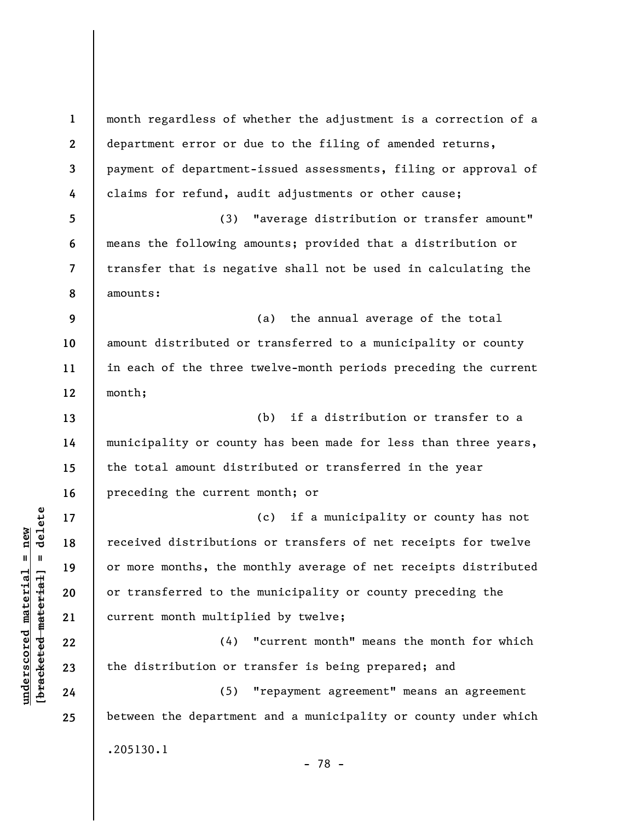**1 2 3 4 5 6 7 8 9 10 11 12 13 14 15 16 17 18 19 20 21 22 23 24 25**  month regardless of whether the adjustment is a correction of a department error or due to the filing of amended returns, payment of department-issued assessments, filing or approval of claims for refund, audit adjustments or other cause; (3) "average distribution or transfer amount" means the following amounts; provided that a distribution or transfer that is negative shall not be used in calculating the amounts: (a) the annual average of the total amount distributed or transferred to a municipality or county in each of the three twelve-month periods preceding the current month; (b) if a distribution or transfer to a municipality or county has been made for less than three years, the total amount distributed or transferred in the year preceding the current month; or (c) if a municipality or county has not received distributions or transfers of net receipts for twelve or more months, the monthly average of net receipts distributed or transferred to the municipality or county preceding the current month multiplied by twelve; (4) "current month" means the month for which the distribution or transfer is being prepared; and (5) "repayment agreement" means an agreement between the department and a municipality or county under which .205130.1

- 78 -

 $\frac{1}{2}$  of  $\frac{1}{2}$  and  $\frac{1}{2}$  and  $\frac{1}{2}$  and  $\frac{1}{2}$  and  $\frac{1}{2}$  and  $\frac{1}{2}$  and  $\frac{1}{2}$  and  $\frac{1}{2}$  and  $\frac{1}{2}$  and  $\frac{1}{2}$  and  $\frac{1}{2}$  and  $\frac{1}{2}$  and  $\frac{1}{2}$  and  $\frac{1}{2}$  and  $\frac{1}{2}$  an **[bracketed material] = delete**  $underscored material = new$ **underscored material = new**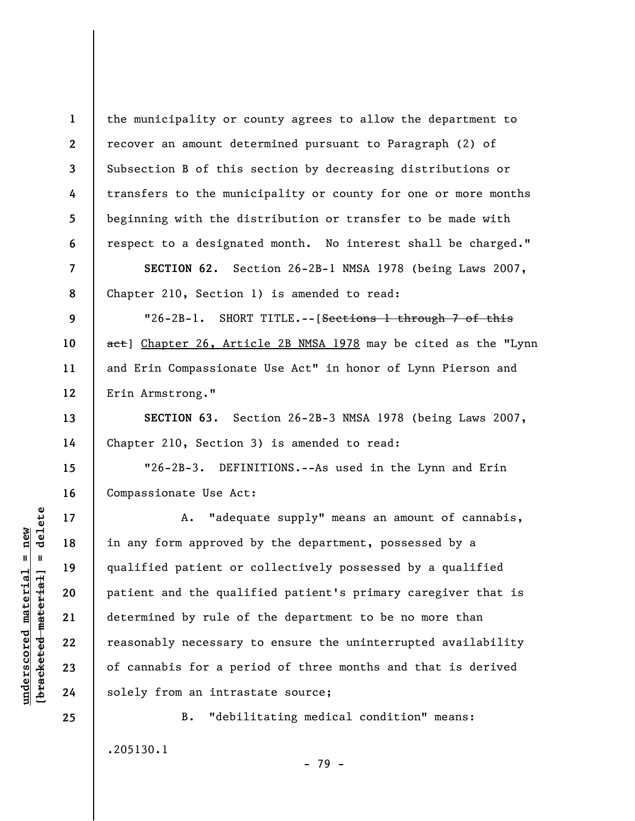**1 2 3 4 5 6 7 8 9 10 11 12 13 14 15 16 17 18 19 20 21 22**  the municipality or county agrees to allow the department to recover an amount determined pursuant to Paragraph (2) of Subsection B of this section by decreasing distributions or transfers to the municipality or county for one or more months beginning with the distribution or transfer to be made with respect to a designated month. No interest shall be charged." **SECTION 62.** Section 26-2B-1 NMSA 1978 (being Laws 2007, Chapter 210, Section 1) is amended to read: "26-2B-1. SHORT TITLE.--[Sections 1 through 7 of this act] Chapter 26, Article 2B NMSA 1978 may be cited as the "Lynn and Erin Compassionate Use Act" in honor of Lynn Pierson and Erin Armstrong." **SECTION 63.** Section 26-2B-3 NMSA 1978 (being Laws 2007, Chapter 210, Section 3) is amended to read: "26-2B-3. DEFINITIONS.--As used in the Lynn and Erin Compassionate Use Act: A. "adequate supply" means an amount of cannabis, in any form approved by the department, possessed by a qualified patient or collectively possessed by a qualified patient and the qualified patient's primary caregiver that is determined by rule of the department to be no more than reasonably necessary to ensure the uninterrupted availability

of cannabis for a period of three months and that is derived solely from an intrastate source;

B. "debilitating medical condition" means: .205130.1

- 79 -

delete **[bracketed material] = delete**  $underscored material = new$ **underscored material = new**  $\mathbf{u}$ bracketed material

**23** 

**24**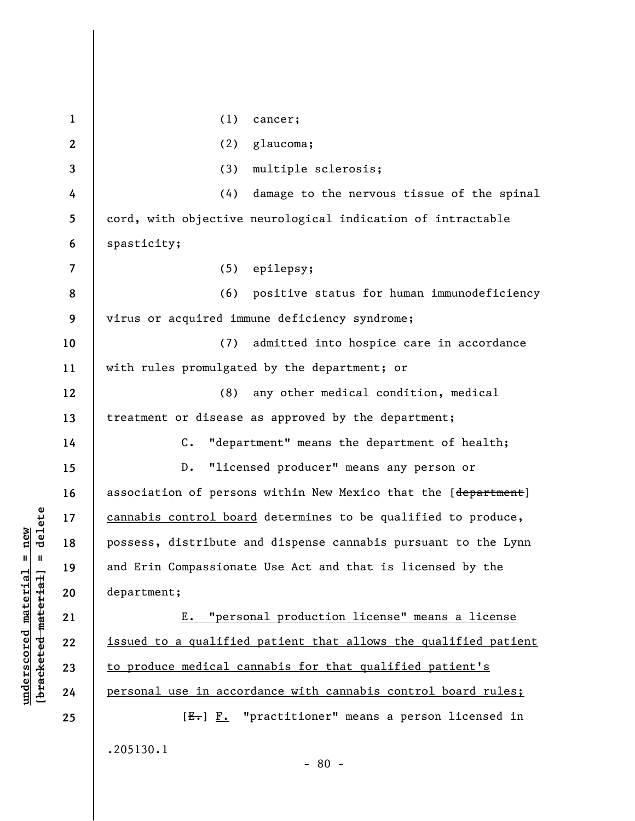**1 2 3 4 5 6 7 8 9 10 11 12 13 14 15 16 17 18 19 20 21 22 23 24 25**  (1) cancer; (2) glaucoma; (3) multiple sclerosis; (4) damage to the nervous tissue of the spinal cord, with objective neurological indication of intractable spasticity; (5) epilepsy; (6) positive status for human immunodeficiency virus or acquired immune deficiency syndrome; (7) admitted into hospice care in accordance with rules promulgated by the department; or (8) any other medical condition, medical treatment or disease as approved by the department; C. "department" means the department of health; D. "licensed producer" means any person or association of persons within New Mexico that the [department] cannabis control board determines to be qualified to produce, possess, distribute and dispense cannabis pursuant to the Lynn and Erin Compassionate Use Act and that is licensed by the department; E. "personal production license" means a license issued to a qualified patient that allows the qualified patient to produce medical cannabis for that qualified patient's personal use in accordance with cannabis control board rules; [E.] F. "practitioner" means a person licensed in .205130.1

 $\frac{1}{2}$  of  $\frac{1}{2}$  and  $\frac{1}{2}$  and  $\frac{1}{2}$  and  $\frac{1}{2}$  and  $\frac{1}{2}$  and  $\frac{1}{2}$  and  $\frac{1}{2}$  and  $\frac{1}{2}$  and  $\frac{1}{2}$  and  $\frac{1}{2}$  and  $\frac{1}{2}$  and  $\frac{1}{2}$  and  $\frac{1}{2}$  and  $\frac{1}{2}$  and  $\frac{1}{2}$  an **[bracketed material] = delete**

**underscored material = new**

 $underscored material = new$ 

- 80 -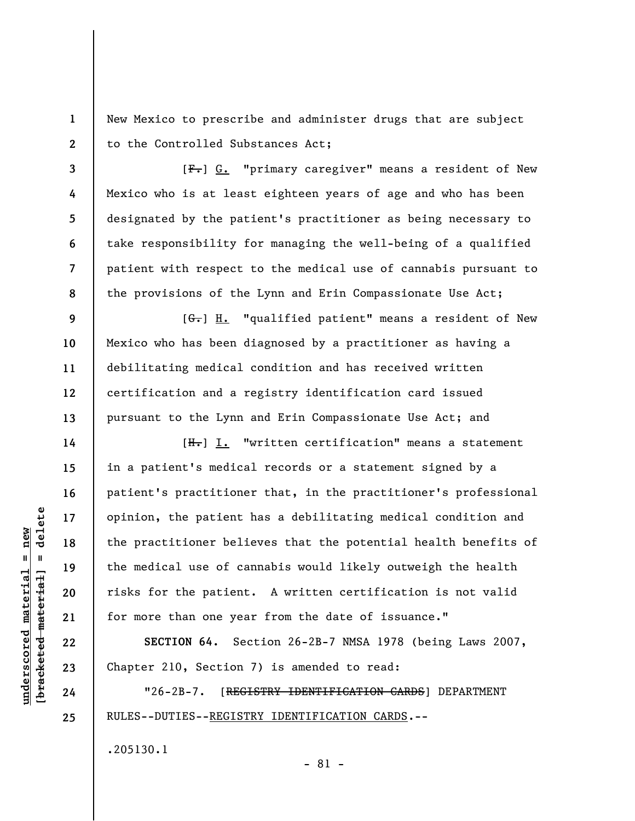New Mexico to prescribe and administer drugs that are subject to the Controlled Substances Act;

[F.] G. "primary caregiver" means a resident of New Mexico who is at least eighteen years of age and who has been designated by the patient's practitioner as being necessary to take responsibility for managing the well-being of a qualified patient with respect to the medical use of cannabis pursuant to the provisions of the Lynn and Erin Compassionate Use Act;

 $[G<sub>r</sub>]$  H. "qualified patient" means a resident of New Mexico who has been diagnosed by a practitioner as having a debilitating medical condition and has received written certification and a registry identification card issued pursuant to the Lynn and Erin Compassionate Use Act; and

[H.] I. "written certification" means a statement in a patient's medical records or a statement signed by a patient's practitioner that, in the practitioner's professional opinion, the patient has a debilitating medical condition and the practitioner believes that the potential health benefits of the medical use of cannabis would likely outweigh the health risks for the patient. A written certification is not valid for more than one year from the date of issuance."

**SECTION 64.** Section 26-2B-7 NMSA 1978 (being Laws 2007, Chapter 210, Section 7) is amended to read:

"26-2B-7. [REGISTRY IDENTIFICATION CARDS] DEPARTMENT RULES--DUTIES--REGISTRY IDENTIFICATION CARDS.--

.205130.1

delete **[bracketed material] = delete**  $underscored material = new$ **underscored material = new**  $\mathbf{I}$ bracketed material

**1** 

**2** 

**3** 

**4** 

**5** 

**6** 

**7** 

**8** 

**9** 

**10** 

**11** 

**12** 

**13** 

**14** 

**15** 

**16** 

**17** 

**18** 

**19** 

**20** 

**21** 

**22** 

**23** 

**24**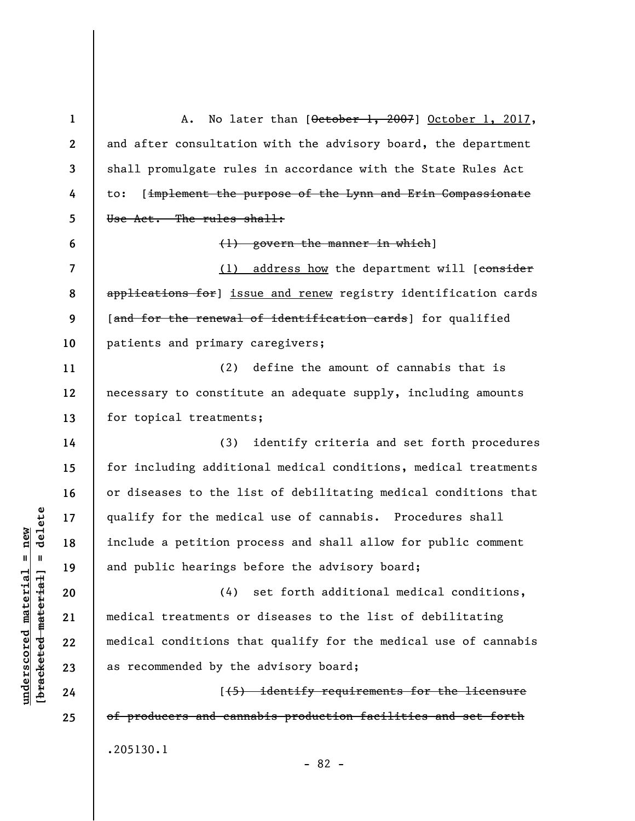**1 2 3 4 5 6 7 8 9 10 11 12 13 14 15 16 17 18 19 20 21 22 23 24 25**  A. No later than [October 1, 2007] October 1, 2017, and after consultation with the advisory board, the department shall promulgate rules in accordance with the State Rules Act to: [implement the purpose of the Lynn and Erin Compassionate Use Act. The rules shall: (1) govern the manner in which] (1) address how the department will [consider applications for] issue and renew registry identification cards [and for the renewal of identification cards] for qualified patients and primary caregivers; (2) define the amount of cannabis that is necessary to constitute an adequate supply, including amounts for topical treatments; (3) identify criteria and set forth procedures for including additional medical conditions, medical treatments or diseases to the list of debilitating medical conditions that qualify for the medical use of cannabis. Procedures shall include a petition process and shall allow for public comment and public hearings before the advisory board; (4) set forth additional medical conditions, medical treatments or diseases to the list of debilitating medical conditions that qualify for the medical use of cannabis as recommended by the advisory board; [(5) identify requirements for the licensure of producers and cannabis production facilities and set forth .205130.1 - 82 -

**underscored material = new [bracketed material] = delete**

 $\frac{1}{2}$  intereted material = delete  $anderscored material = new$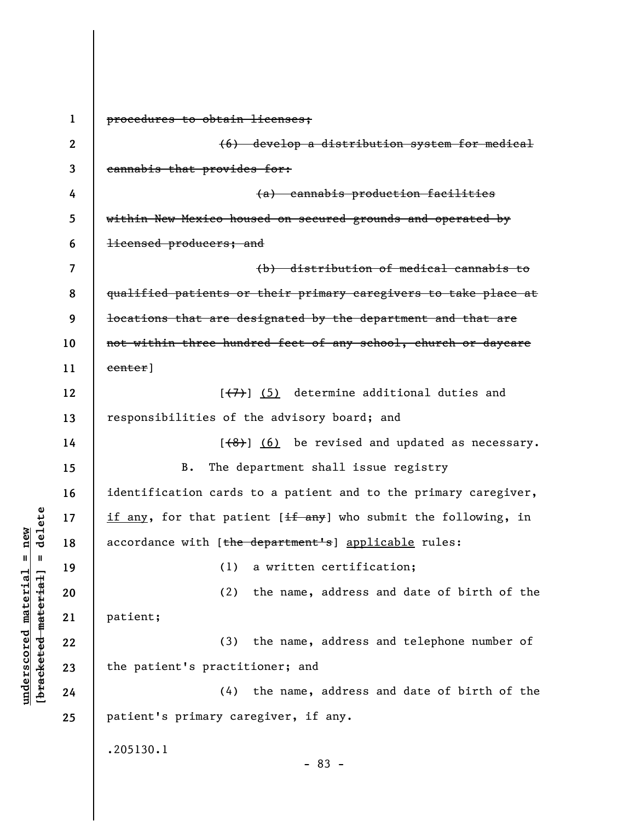**1 2 3 4 5 6 7 8 9 10 11 12 13 14 15 16 17 18 19 20 21 22 23 24 25**  procedures to obtain licenses; (6) develop a distribution system for medical cannabis that provides for: (a) cannabis production facilities within New Mexico housed on secured grounds and operated by licensed producers; and (b) distribution of medical cannabis to qualified patients or their primary caregivers to take place at locations that are designated by the department and that are not within three hundred feet of any school, church or daycare center]  $[**(7)**]$  (5) determine additional duties and responsibilities of the advisory board; and  $[$   $($ 8 $)$ ]  $($  6) be revised and updated as necessary. B. The department shall issue registry identification cards to a patient and to the primary caregiver, if any, for that patient  $[\frac{if \text{ any}}{if} \text{ and } \text{b} \text{ is the following}]$ , in accordance with [the department's] applicable rules: (1) a written certification; (2) the name, address and date of birth of the patient; (3) the name, address and telephone number of the patient's practitioner; and (4) the name, address and date of birth of the patient's primary caregiver, if any. .205130.1 - 83 -

**underscored material = new [bracketed material] = delete**

 $b$ racketed material] = delete  $underscored material = new$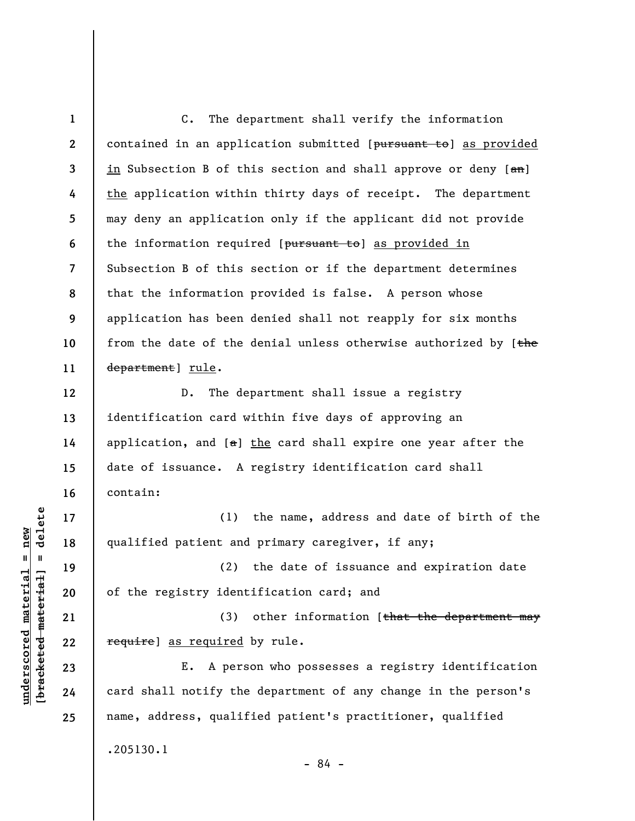**1 2 3 4 5 6 7 8 9 10 11 12**  C. The department shall verify the information contained in an application submitted [pursuant to] as provided in Subsection B of this section and shall approve or deny  $[4\pi]$ the application within thirty days of receipt. The department may deny an application only if the applicant did not provide the information required [pursuant to] as provided in Subsection B of this section or if the department determines that the information provided is false. A person whose application has been denied shall not reapply for six months from the date of the denial unless otherwise authorized by [the department] rule. D. The department shall issue a registry

identification card within five days of approving an application, and  $[a]$  the card shall expire one year after the date of issuance. A registry identification card shall contain:

(1) the name, address and date of birth of the qualified patient and primary caregiver, if any;

(2) the date of issuance and expiration date of the registry identification card; and

(3) other information  $f$ that the department may require] as required by rule.

E. A person who possesses a registry identification card shall notify the department of any change in the person's name, address, qualified patient's practitioner, qualified .205130.1

- 84 -

 $\frac{1}{2}$  of  $\frac{1}{2}$  and  $\frac{1}{2}$  and  $\frac{1}{2}$  and  $\frac{1}{2}$  and  $\frac{1}{2}$  and  $\frac{1}{2}$  and  $\frac{1}{2}$  and  $\frac{1}{2}$  and  $\frac{1}{2}$  and  $\frac{1}{2}$  and  $\frac{1}{2}$  and  $\frac{1}{2}$  and  $\frac{1}{2}$  and  $\frac{1}{2}$  and  $\frac{1}{2}$  an **[bracketed material] = delete**  $underscored material = new$ **underscored material = new**

**13** 

**14** 

**15** 

**16** 

**17** 

**18** 

**19** 

**20** 

**21** 

**22** 

**23** 

**24**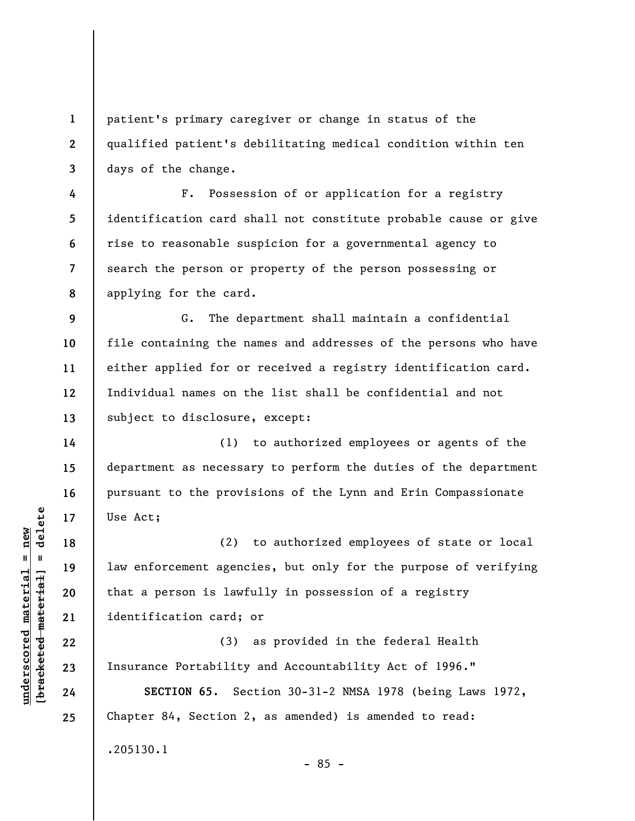patient's primary caregiver or change in status of the qualified patient's debilitating medical condition within ten days of the change.

F. Possession of or application for a registry identification card shall not constitute probable cause or give rise to reasonable suspicion for a governmental agency to search the person or property of the person possessing or applying for the card.

G. The department shall maintain a confidential file containing the names and addresses of the persons who have either applied for or received a registry identification card. Individual names on the list shall be confidential and not subject to disclosure, except:

(1) to authorized employees or agents of the department as necessary to perform the duties of the department pursuant to the provisions of the Lynn and Erin Compassionate Use Act;

(2) to authorized employees of state or local law enforcement agencies, but only for the purpose of verifying that a person is lawfully in possession of a registry identification card; or

(3) as provided in the federal Health Insurance Portability and Accountability Act of 1996."

**SECTION 65.** Section 30-31-2 NMSA 1978 (being Laws 1972, Chapter 84, Section 2, as amended) is amended to read: .205130.1

**1** 

**2** 

**3** 

**4** 

**5** 

**6** 

**7** 

**8** 

**9** 

**10** 

**11** 

**12** 

**13** 

**14** 

**15** 

**16** 

**17** 

**18** 

**19** 

**20** 

**21** 

**22** 

**23** 

**24** 

**25** 

**underscored material = new [bracketed material] = delete**

 $b$ racketed material] = delete  $underscored material = new$ 

- 85 -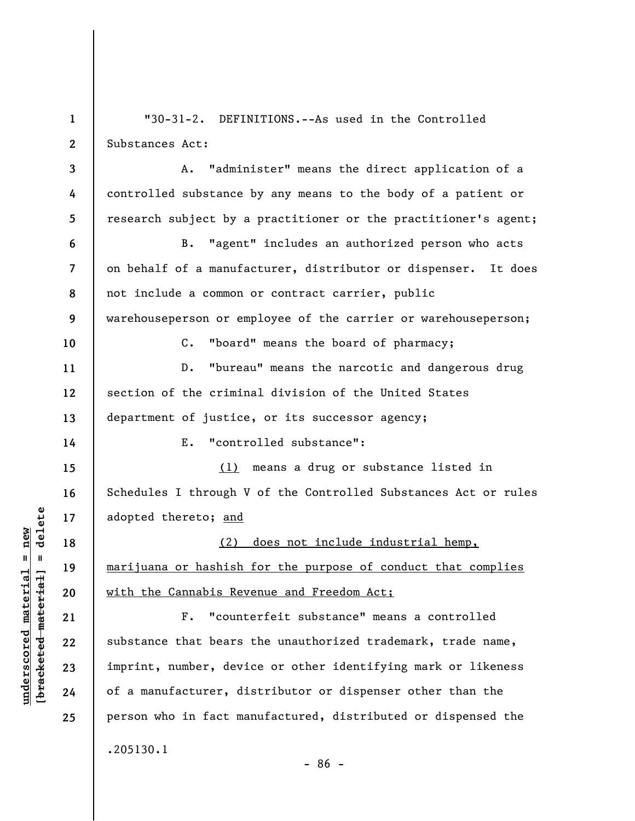**1 2 3 4 5 6 7 8 9 10 11 12 13 14 15 16 17 18 19 20 21 22 23 24 25**  "30-31-2. DEFINITIONS.--As used in the Controlled Substances Act: A. "administer" means the direct application of a controlled substance by any means to the body of a patient or research subject by a practitioner or the practitioner's agent; B. "agent" includes an authorized person who acts on behalf of a manufacturer, distributor or dispenser. It does not include a common or contract carrier, public warehouseperson or employee of the carrier or warehouseperson; C. "board" means the board of pharmacy; D. "bureau" means the narcotic and dangerous drug section of the criminal division of the United States department of justice, or its successor agency; E. "controlled substance": (1) means a drug or substance listed in Schedules I through V of the Controlled Substances Act or rules adopted thereto; and (2) does not include industrial hemp, marijuana or hashish for the purpose of conduct that complies with the Cannabis Revenue and Freedom Act; F. "counterfeit substance" means a controlled substance that bears the unauthorized trademark, trade name, imprint, number, device or other identifying mark or likeness of a manufacturer, distributor or dispenser other than the person who in fact manufactured, distributed or dispensed the .205130.1 - 86 -

**underscored material = new [bracketed material] = delete**

 $\frac{1}{2}$  of  $\frac{1}{2}$  and  $\frac{1}{2}$  and  $\frac{1}{2}$  and  $\frac{1}{2}$  and  $\frac{1}{2}$  and  $\frac{1}{2}$  and  $\frac{1}{2}$  and  $\frac{1}{2}$  and  $\frac{1}{2}$  and  $\frac{1}{2}$  and  $\frac{1}{2}$  and  $\frac{1}{2}$  and  $\frac{1}{2}$  and  $\frac{1}{2}$  and  $\frac{1}{2}$  an  $underscored material = new$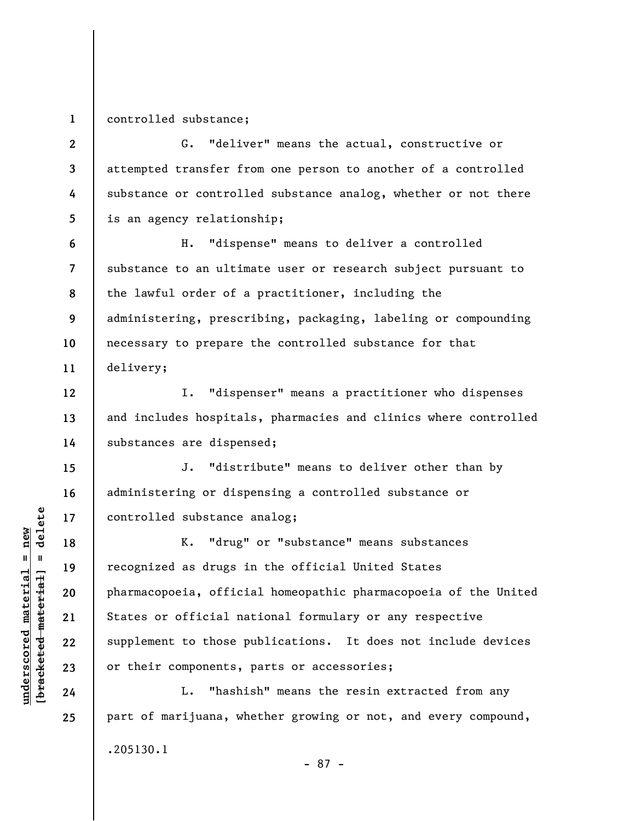**1** 

**12** 

**13** 

**14** 

**15** 

**16** 

**17** 

**18** 

**19** 

**20** 

**21** 

**22** 

**23** 

**24** 

**25** 

controlled substance;

**2 3 4 5**  G. "deliver" means the actual, constructive or attempted transfer from one person to another of a controlled substance or controlled substance analog, whether or not there is an agency relationship;

**6 7 8 9 10 11**  H. "dispense" means to deliver a controlled substance to an ultimate user or research subject pursuant to the lawful order of a practitioner, including the administering, prescribing, packaging, labeling or compounding necessary to prepare the controlled substance for that delivery;

I. "dispenser" means a practitioner who dispenses and includes hospitals, pharmacies and clinics where controlled substances are dispensed;

J. "distribute" means to deliver other than by administering or dispensing a controlled substance or controlled substance analog;

K. "drug" or "substance" means substances recognized as drugs in the official United States pharmacopoeia, official homeopathic pharmacopoeia of the United States or official national formulary or any respective supplement to those publications. It does not include devices or their components, parts or accessories;

L. "hashish" means the resin extracted from any part of marijuana, whether growing or not, and every compound, .205130.1 - 87 -

 $\frac{1}{2}$  intereted material = delete **[bracketed material] = delete**  $underscored material = new$ **underscored material = new**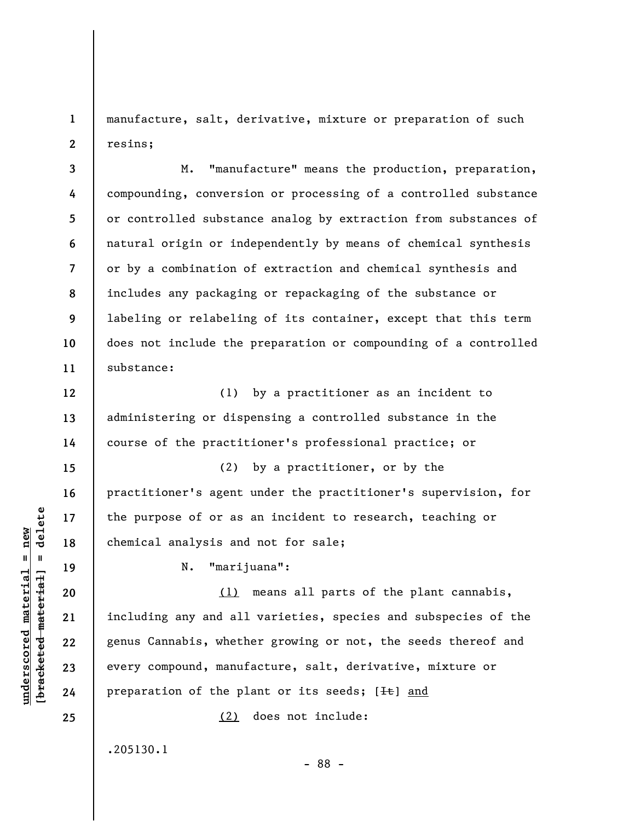**1 2**  manufacture, salt, derivative, mixture or preparation of such resins;

**3 4 5 6 7 8 9 10 11**  M. "manufacture" means the production, preparation, compounding, conversion or processing of a controlled substance or controlled substance analog by extraction from substances of natural origin or independently by means of chemical synthesis or by a combination of extraction and chemical synthesis and includes any packaging or repackaging of the substance or labeling or relabeling of its container, except that this term does not include the preparation or compounding of a controlled substance:

(1) by a practitioner as an incident to administering or dispensing a controlled substance in the course of the practitioner's professional practice; or

(2) by a practitioner, or by the practitioner's agent under the practitioner's supervision, for the purpose of or as an incident to research, teaching or chemical analysis and not for sale;

N. "marijuana":

(1) means all parts of the plant cannabis, including any and all varieties, species and subspecies of the genus Cannabis, whether growing or not, the seeds thereof and every compound, manufacture, salt, derivative, mixture or preparation of the plant or its seeds; [Ht] and

- 88 -

(2) does not include:

.205130.1

 $\frac{1}{2}$  intereted material = delete **[bracketed material] = delete**  $underscored material = new$ **underscored material = new**

**12** 

**13** 

**14** 

**15** 

**16** 

**17** 

**18** 

**19** 

**20** 

**21** 

**22** 

**23** 

**24**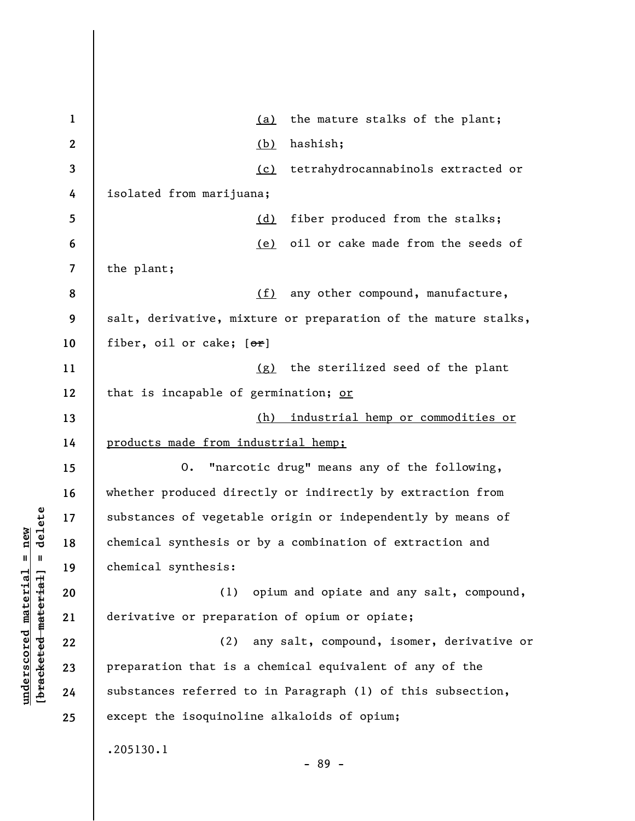| $\mathbf 1$ | the mature stalks of the plant;<br><u>(a)</u>                  |
|-------------|----------------------------------------------------------------|
| 2           | hashish;<br>(b)                                                |
| 3           | tetrahydrocannabinols extracted or<br>(c)                      |
| 4           | isolated from marijuana;                                       |
| 5           | fiber produced from the stalks;<br>(d)                         |
| 6           | oil or cake made from the seeds of<br>(e)                      |
| 7           | the plant;                                                     |
| 8           | (f)<br>any other compound, manufacture,                        |
| 9           | salt, derivative, mixture or preparation of the mature stalks, |
| 10          | fiber, oil or cake; $[\theta r]$                               |
| 11          | the sterilized seed of the plant<br>(g)                        |
| 12          | that is incapable of germination; or                           |
| 13          | industrial hemp or commodities or<br>(h)                       |
| 14          | products made from industrial hemp;                            |
| 15          | "narcotic drug" means any of the following,<br>0.              |
| 16          | whether produced directly or indirectly by extraction from     |
| 17          | substances of vegetable origin or independently by means of    |
| 18          | chemical synthesis or by a combination of extraction and       |
| 19          | chemical synthesis:                                            |
| 20          | opium and opiate and any salt, compound,<br>(1)                |
| 21          | derivative or preparation of opium or opiate;                  |
| 22          | (2)<br>any salt, compound, isomer, derivative or               |
| 23          | preparation that is a chemical equivalent of any of the        |
| 24          | substances referred to in Paragraph (1) of this subsection,    |
| 25          | except the isoquinoline alkaloids of opium;                    |
|             | .205130.1<br>$-89 -$                                           |

**underscored material = new [bracketed material] = delete**

 $[**bracket** etc.**eted** meter $at$ ]. = delete$  $underscored material = new$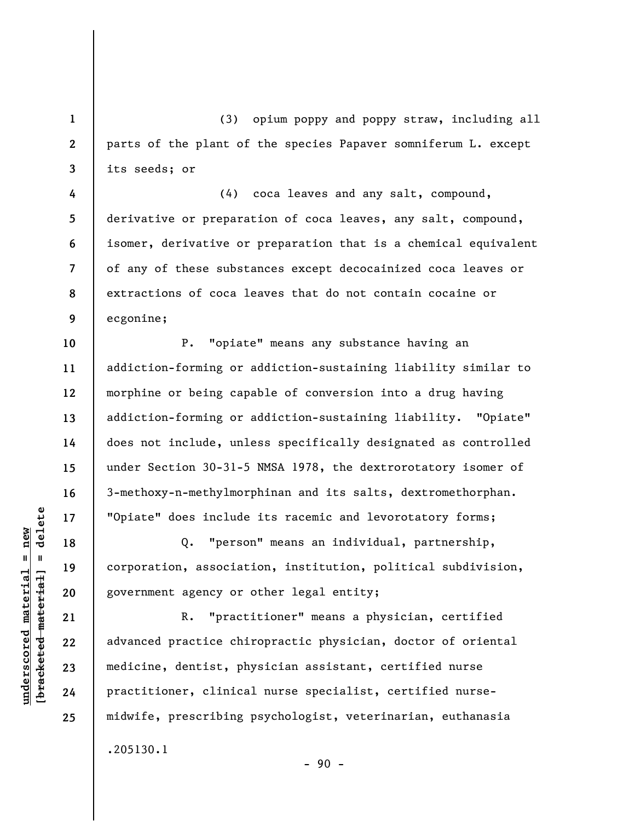(3) opium poppy and poppy straw, including all parts of the plant of the species Papaver somniferum L. except its seeds; or

**8 9**  (4) coca leaves and any salt, compound, derivative or preparation of coca leaves, any salt, compound, isomer, derivative or preparation that is a chemical equivalent of any of these substances except decocainized coca leaves or extractions of coca leaves that do not contain cocaine or ecgonine;

P. "opiate" means any substance having an addiction-forming or addiction-sustaining liability similar to morphine or being capable of conversion into a drug having addiction-forming or addiction-sustaining liability. "Opiate" does not include, unless specifically designated as controlled under Section 30-31-5 NMSA 1978, the dextrorotatory isomer of 3-methoxy-n-methylmorphinan and its salts, dextromethorphan. "Opiate" does include its racemic and levorotatory forms;

Q. "person" means an individual, partnership, corporation, association, institution, political subdivision, government agency or other legal entity;

R. "practitioner" means a physician, certified advanced practice chiropractic physician, doctor of oriental medicine, dentist, physician assistant, certified nurse practitioner, clinical nurse specialist, certified nursemidwife, prescribing psychologist, veterinarian, euthanasia .205130.1

 $-90 -$ 

 $\frac{1}{2}$ **[bracketed material] = delete**  $underscored material = new$ **underscored material = new**

**1** 

**2** 

**3** 

**4** 

**5** 

**6** 

**7** 

**10** 

**11** 

**12** 

**13** 

**14** 

**15** 

**16** 

**17** 

**18** 

**19** 

**20** 

**21** 

**22** 

**23** 

**24**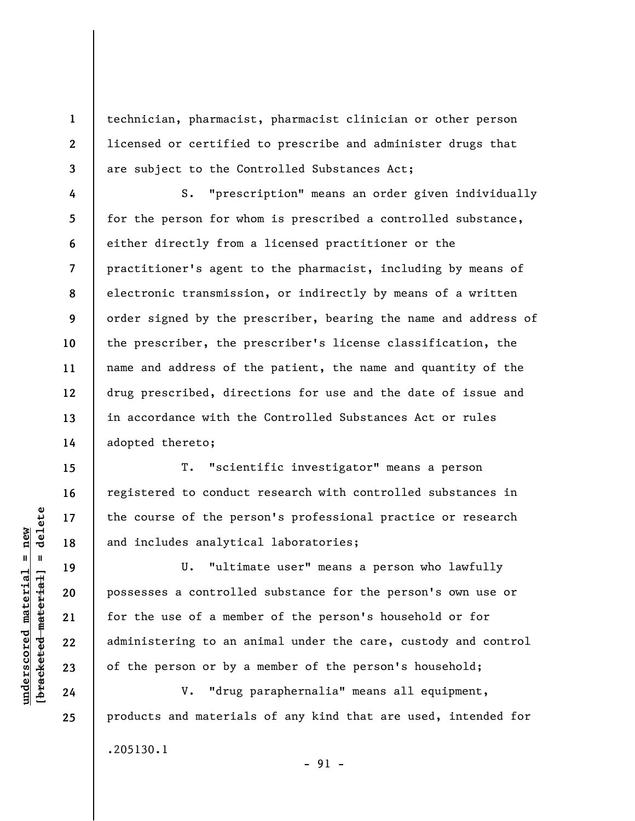technician, pharmacist, pharmacist clinician or other person licensed or certified to prescribe and administer drugs that are subject to the Controlled Substances Act;

S. "prescription" means an order given individually for the person for whom is prescribed a controlled substance, either directly from a licensed practitioner or the practitioner's agent to the pharmacist, including by means of electronic transmission, or indirectly by means of a written order signed by the prescriber, bearing the name and address of the prescriber, the prescriber's license classification, the name and address of the patient, the name and quantity of the drug prescribed, directions for use and the date of issue and in accordance with the Controlled Substances Act or rules adopted thereto;

T. "scientific investigator" means a person registered to conduct research with controlled substances in the course of the person's professional practice or research and includes analytical laboratories;

U. "ultimate user" means a person who lawfully possesses a controlled substance for the person's own use or for the use of a member of the person's household or for administering to an animal under the care, custody and control of the person or by a member of the person's household;

V. "drug paraphernalia" means all equipment, products and materials of any kind that are used, intended for .205130.1

 $\frac{1}{2}$  intereted material = delete **[bracketed material] = delete**  $underscored material = new$ **underscored material = new**

**1** 

**2** 

**3** 

**4** 

**5** 

**6** 

**7** 

**8** 

**9** 

**10** 

**11** 

**12** 

**13** 

**14** 

**15** 

**16** 

**17** 

**18** 

**19** 

**20** 

**21** 

**22** 

**23** 

**24**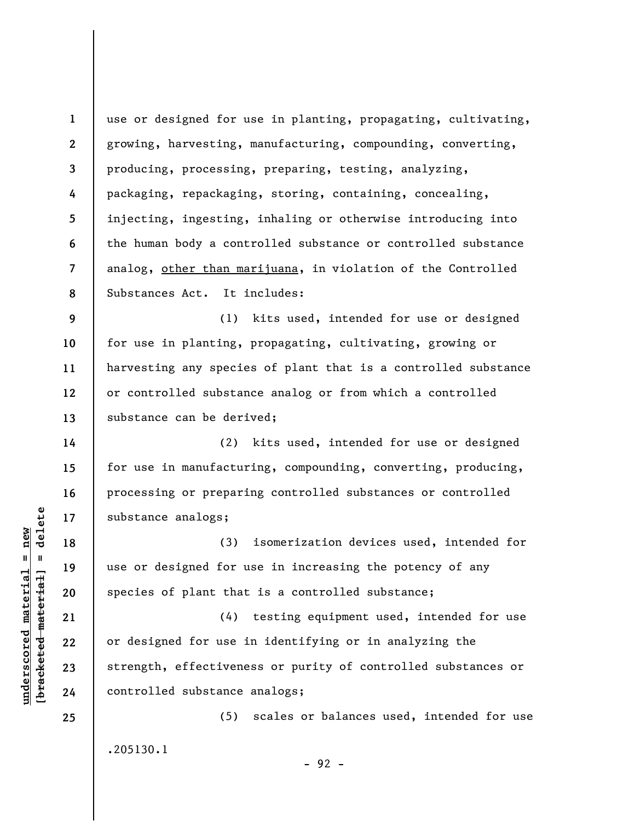**1 2 3 4 5 6 7 8**  use or designed for use in planting, propagating, cultivating, growing, harvesting, manufacturing, compounding, converting, producing, processing, preparing, testing, analyzing, packaging, repackaging, storing, containing, concealing, injecting, ingesting, inhaling or otherwise introducing into the human body a controlled substance or controlled substance analog, other than marijuana, in violation of the Controlled Substances Act. It includes:

**9 10 11 12 13**  (1) kits used, intended for use or designed for use in planting, propagating, cultivating, growing or harvesting any species of plant that is a controlled substance or controlled substance analog or from which a controlled substance can be derived;

(2) kits used, intended for use or designed for use in manufacturing, compounding, converting, producing, processing or preparing controlled substances or controlled substance analogs;

(3) isomerization devices used, intended for use or designed for use in increasing the potency of any species of plant that is a controlled substance;

(4) testing equipment used, intended for use or designed for use in identifying or in analyzing the strength, effectiveness or purity of controlled substances or controlled substance analogs;

(5) scales or balances used, intended for use .205130.1

- 92 -

 $\frac{1}{2}$  intereted material = delete **[bracketed material] = delete**  $underscored material = new$ **underscored material = new**

**14** 

**15** 

**16** 

**17** 

**18** 

**19** 

**20** 

**21** 

**22** 

**23** 

**24**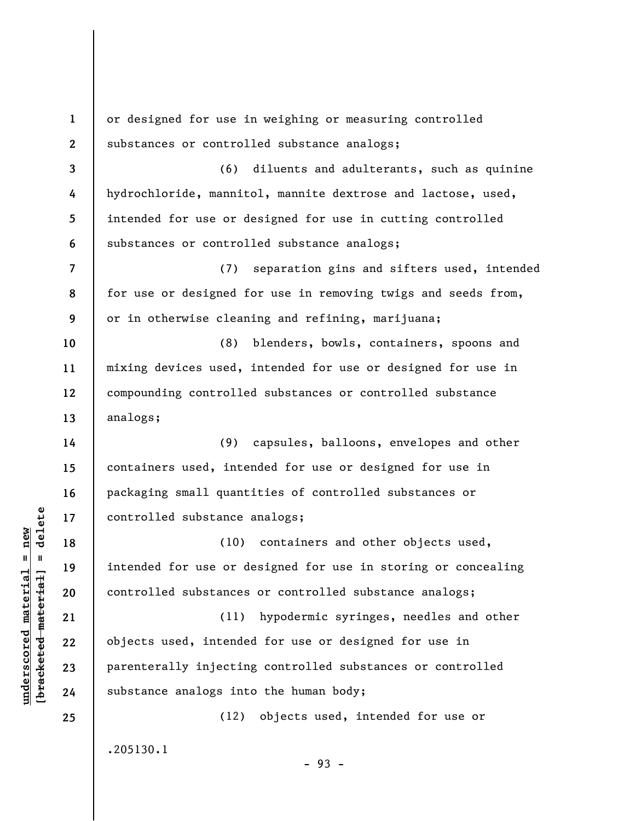**1 2 3 4 5 6 7 8 9 10 11 12 13 14 15 16 17 18 19 20 21 22 23 24 25**  or designed for use in weighing or measuring controlled substances or controlled substance analogs; (6) diluents and adulterants, such as quinine hydrochloride, mannitol, mannite dextrose and lactose, used, intended for use or designed for use in cutting controlled substances or controlled substance analogs; (7) separation gins and sifters used, intended for use or designed for use in removing twigs and seeds from, or in otherwise cleaning and refining, marijuana; (8) blenders, bowls, containers, spoons and mixing devices used, intended for use or designed for use in compounding controlled substances or controlled substance analogs; (9) capsules, balloons, envelopes and other containers used, intended for use or designed for use in packaging small quantities of controlled substances or controlled substance analogs; (10) containers and other objects used, intended for use or designed for use in storing or concealing controlled substances or controlled substance analogs; (11) hypodermic syringes, needles and other objects used, intended for use or designed for use in parenterally injecting controlled substances or controlled substance analogs into the human body; (12) objects used, intended for use or .205130.1 - 93 -

**underscored material = new [bracketed material] = delete**

 $\frac{1}{2}$  of  $\frac{1}{2}$  and  $\frac{1}{2}$  and  $\frac{1}{2}$  and  $\frac{1}{2}$  and  $\frac{1}{2}$  and  $\frac{1}{2}$  and  $\frac{1}{2}$  and  $\frac{1}{2}$  and  $\frac{1}{2}$  and  $\frac{1}{2}$  and  $\frac{1}{2}$  and  $\frac{1}{2}$  and  $\frac{1}{2}$  and  $\frac{1}{2}$  and  $\frac{1}{2}$  an  $underscored material = new$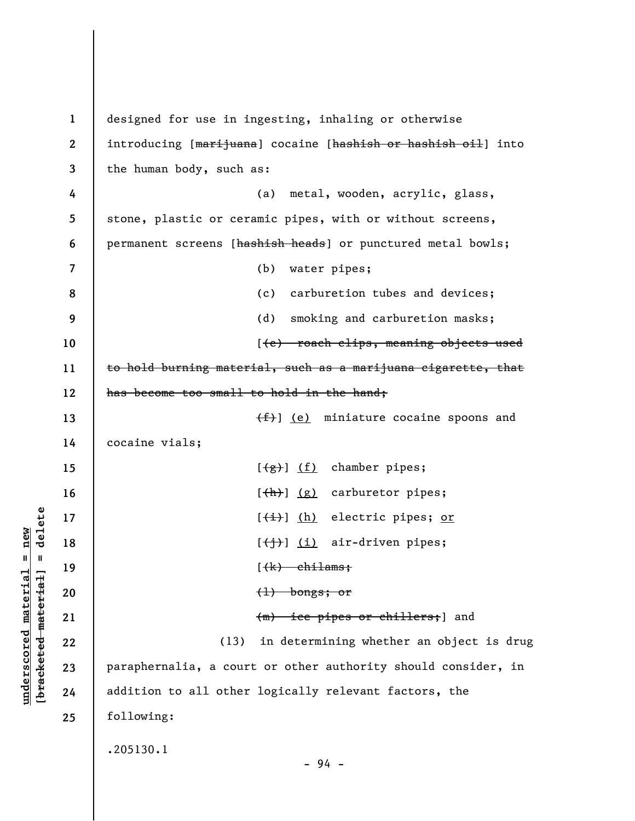**1 2 3 4 5 6 7 8 9 10 11 12 13 14 15 16 17 18 19 20 21 22 23 24 25**  designed for use in ingesting, inhaling or otherwise introducing [marijuana] cocaine [hashish or hashish oil] into the human body, such as: (a) metal, wooden, acrylic, glass, stone, plastic or ceramic pipes, with or without screens, permanent screens [hashish heads] or punctured metal bowls; (b) water pipes; (c) carburetion tubes and devices; (d) smoking and carburetion masks; [(e) roach clips, meaning objects used to hold burning material, such as a marijuana cigarette, that has become too small to hold in the hand;  $(f)$  (e) miniature cocaine spoons and cocaine vials;  $[\frac{1}{2}, \frac{1}{2}]$  (f) chamber pipes;  $[\frac{h}{h}]$  (g) carburetor pipes;  $[\frac{1}{1}]$  (h) electric pipes; or  $[\left(\frac{1}{1}\right)]$  (i) air-driven pipes;  $(\star)$  chilams;  $(1)$  bongs; or (m) ice pipes or chillers;] and (13) in determining whether an object is drug paraphernalia, a court or other authority should consider, in addition to all other logically relevant factors, the following: .205130.1 - 94 -

 $\frac{1}{2}$  intereted material = delete **[bracketed material] = delete**  $underscored material = new$ **underscored material = new**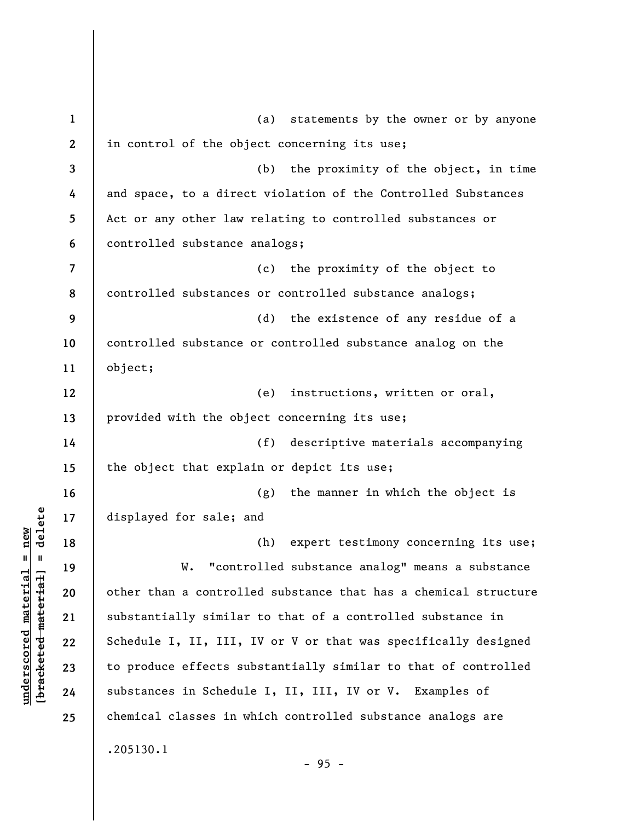**1 2 3 4 5 6 7 8 9 10 11 12 13 14 15 16 17 18 19 20 21 22 23 24 25**  (a) statements by the owner or by anyone in control of the object concerning its use; (b) the proximity of the object, in time and space, to a direct violation of the Controlled Substances Act or any other law relating to controlled substances or controlled substance analogs; (c) the proximity of the object to controlled substances or controlled substance analogs; (d) the existence of any residue of a controlled substance or controlled substance analog on the object; (e) instructions, written or oral, provided with the object concerning its use; (f) descriptive materials accompanying the object that explain or depict its use; (g) the manner in which the object is displayed for sale; and (h) expert testimony concerning its use; W. "controlled substance analog" means a substance other than a controlled substance that has a chemical structure substantially similar to that of a controlled substance in Schedule I, II, III, IV or V or that was specifically designed to produce effects substantially similar to that of controlled substances in Schedule I, II, III, IV or V. Examples of chemical classes in which controlled substance analogs are .205130.1 - 95 -

**underscored material = new [bracketed material] = delete**

 $\frac{1}{2}$  intereted material = delete  $underscored material = new$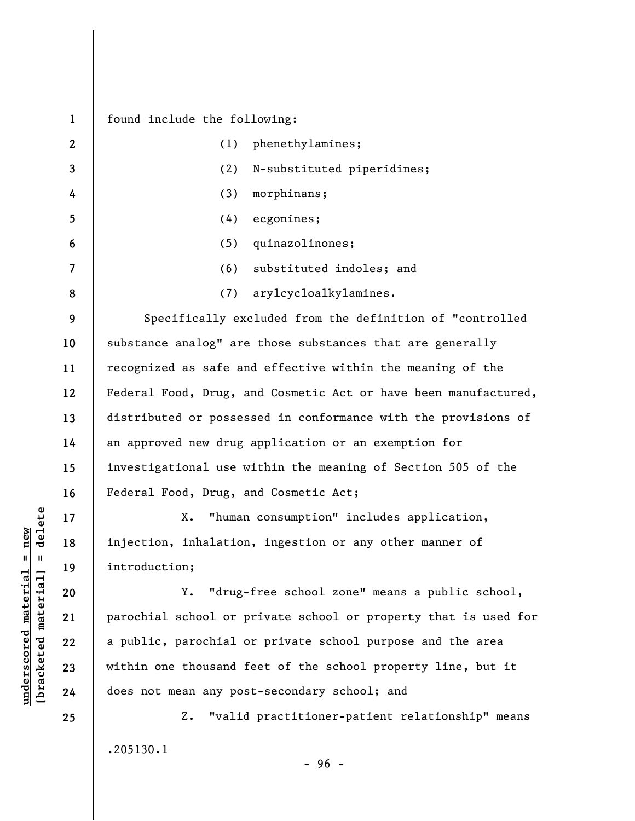**1 2 3 4 5 6 7 8 9 10 11 12 13 14 15 16 17 18 19 20 21 22 23 24 25**  found include the following: (1) phenethylamines; (2) N-substituted piperidines; (3) morphinans; (4) ecgonines; (5) quinazolinones; (6) substituted indoles; and (7) arylcycloalkylamines. Specifically excluded from the definition of "controlled substance analog" are those substances that are generally recognized as safe and effective within the meaning of the Federal Food, Drug, and Cosmetic Act or have been manufactured, distributed or possessed in conformance with the provisions of an approved new drug application or an exemption for investigational use within the meaning of Section 505 of the Federal Food, Drug, and Cosmetic Act; X. "human consumption" includes application, injection, inhalation, ingestion or any other manner of introduction; Y. "drug-free school zone" means a public school, parochial school or private school or property that is used for a public, parochial or private school purpose and the area within one thousand feet of the school property line, but it does not mean any post-secondary school; and Z. "valid practitioner-patient relationship" means

.205130.1

**underscored material = new [bracketed material] = delete**

 $\frac{1}{2}$  of  $\frac{1}{2}$  and  $\frac{1}{2}$  and  $\frac{1}{2}$  and  $\frac{1}{2}$  and  $\frac{1}{2}$  and  $\frac{1}{2}$  and  $\frac{1}{2}$  and  $\frac{1}{2}$  and  $\frac{1}{2}$  and  $\frac{1}{2}$  and  $\frac{1}{2}$  and  $\frac{1}{2}$  and  $\frac{1}{2}$  and  $\frac{1}{2}$  and  $\frac{1}{2}$  an  $underscored material = new$ 

- 96 -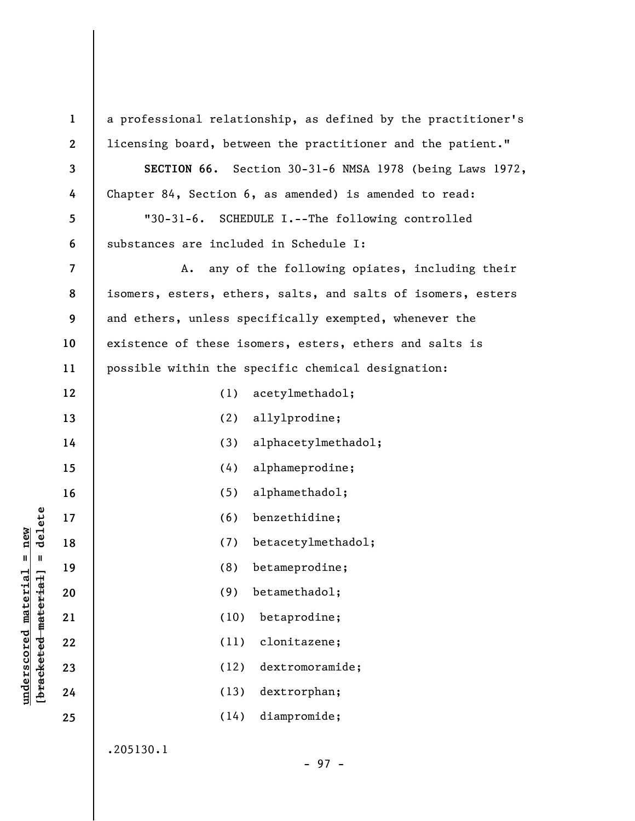**1 2 3 4 5 6 7 8 9 10 11 12 13 14 15 16 17 18 19 20 21 22 23 24 25**  a professional relationship, as defined by the practitioner's licensing board, between the practitioner and the patient." **SECTION 66.** Section 30-31-6 NMSA 1978 (being Laws 1972, Chapter 84, Section 6, as amended) is amended to read: "30-31-6. SCHEDULE I.--The following controlled substances are included in Schedule I: A. any of the following opiates, including their isomers, esters, ethers, salts, and salts of isomers, esters and ethers, unless specifically exempted, whenever the existence of these isomers, esters, ethers and salts is possible within the specific chemical designation: (1) acetylmethadol; (2) allylprodine; (3) alphacetylmethadol; (4) alphameprodine; (5) alphamethadol; (6) benzethidine; (7) betacetylmethadol; (8) betameprodine; (9) betamethadol; (10) betaprodine; (11) clonitazene; (12) dextromoramide; (13) dextrorphan; (14) diampromide; .205130.1

**underscored material = new [bracketed material] = delete**

 $\frac{1}{2}$  intereted material = delete  $underscored material = new$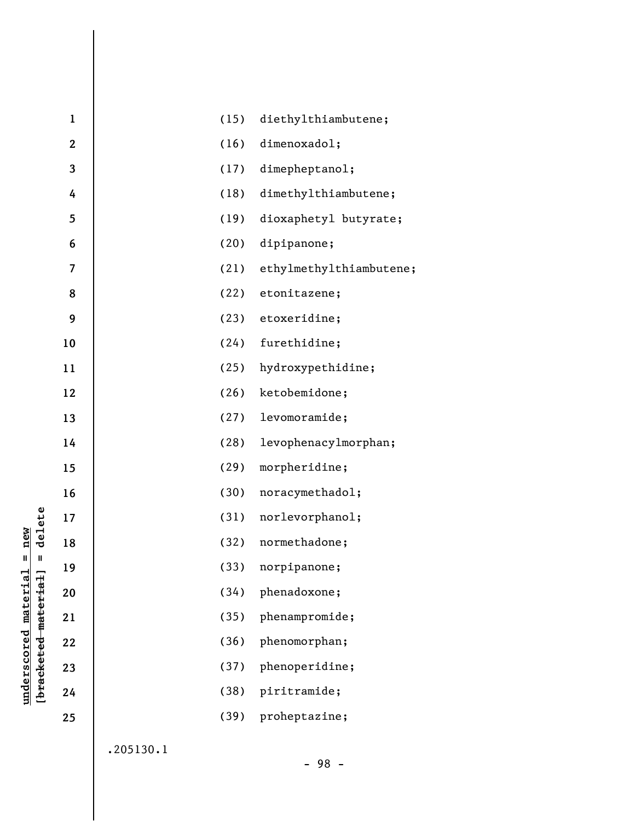|                                             | $\mathbf 1$ | (15) | diethylthiambutene;     |
|---------------------------------------------|-------------|------|-------------------------|
|                                             | $\mathbf 2$ | (16) | dimenoxadol;            |
|                                             | 3           | (17) | dimepheptanol;          |
|                                             | 4           | (18) | dimethylthiambutene;    |
|                                             | 5           | (19) | dioxaphetyl butyrate;   |
|                                             | 6           | (20) | dipipanone;             |
|                                             | 7           | (21) | ethylmethylthiambutene; |
|                                             | 8           | (22) | etonitazene;            |
|                                             | 9           | (23) | etoxeridine;            |
|                                             | 10          | (24) | furethidine;            |
|                                             | 11          | (25) | hydroxypethidine;       |
|                                             | 12          | (26) | ketobemidone;           |
|                                             | 13          | (27) | levomoramide;           |
|                                             | 14          | (28) | levophenacylmorphan;    |
|                                             | 15          | (29) | morpheridine;           |
|                                             | 16          | (30) | noracymethadol;         |
| delete                                      | 17          | (31) | norlevorphanol;         |
| new                                         | 18          | (32) | normethadone;           |
| Ш<br>Ш                                      | 19          | (33) | norpipanone;            |
|                                             | 20          | (34) | phenadoxone;            |
|                                             | 21          | (35) | phenampromide;          |
|                                             | 22          | (36) | phenomorphan;           |
|                                             | 23          | (37) | phenoperidine;          |
| underscored material<br>[bracketed material | 24          | (38) | piritramide;            |
|                                             | 25          | (39) | proheptazine;           |
|                                             |             |      |                         |

.205130.1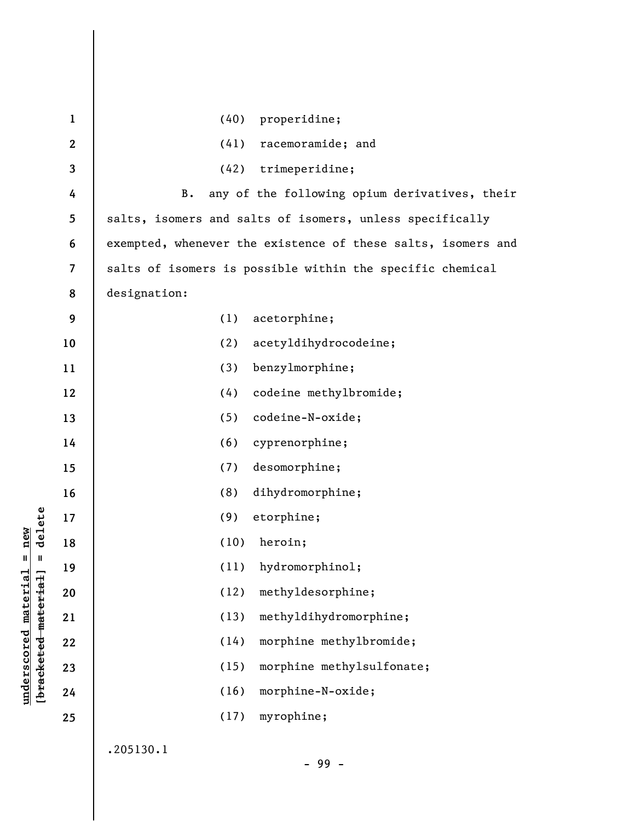| $\mathbf{1}$ | (40)<br>properidine;                                         |
|--------------|--------------------------------------------------------------|
| $\mathbf{2}$ | (41)<br>racemoramide; and                                    |
| 3            | trimeperidine;<br>(42)                                       |
| 4            | any of the following opium derivatives, their<br><b>B.</b>   |
| 5            | salts, isomers and salts of isomers, unless specifically     |
| 6            | exempted, whenever the existence of these salts, isomers and |
| 7            | salts of isomers is possible within the specific chemical    |
| 8            | designation:                                                 |
| 9            | (1)<br>acetorphine;                                          |
| 10           | acetyldihydrocodeine;<br>(2)                                 |
| 11           | benzylmorphine;<br>(3)                                       |
| 12           | codeine methylbromide;<br>(4)                                |
| 13           | codeine-N-oxide;<br>(5)                                      |
| 14           | (6)<br>cyprenorphine;                                        |
| 15           | desomorphine;<br>(7)                                         |
| 16           | dihydromorphine;<br>(8)                                      |
| 17           | etorphine;<br>(9)                                            |
| 18           | heroin;<br>(10)                                              |
| 19           | (11)<br>hydromorphinol;                                      |
| 20           | methyldesorphine;<br>(12)                                    |
| 21           | methyldihydromorphine;<br>(13)                               |
| 22           | morphine methylbromide;<br>(14)                              |
| 23           | morphine methylsulfonate;<br>(15)                            |
| 24           | morphine-N-oxide;<br>(16)                                    |
| 25           | (17)<br>myrophine;                                           |
|              | 2051301                                                      |

.205130.1

**underscored material = new [bracketed material] = delete**

 $[**bracket**et~~ed matched~~ + **net** + **1** + **1**$  = delete  $underscored material = new$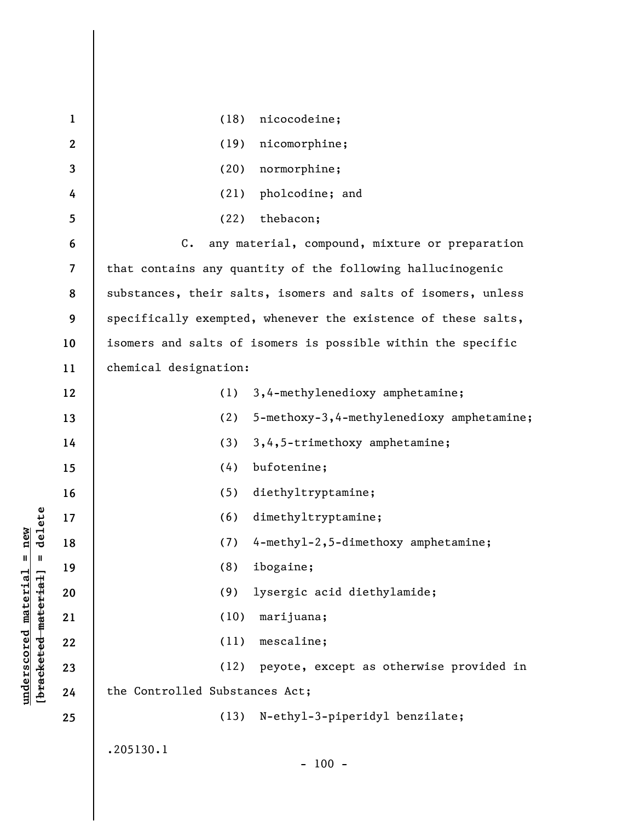| $\mathbf{1}$             | nicocodeine;<br>(18)                                            |
|--------------------------|-----------------------------------------------------------------|
| $\mathbf{2}$             | nicomorphine;<br>(19)                                           |
| 3                        | normorphine;<br>(20)                                            |
| 4                        | pholcodine; and<br>(21)                                         |
| 5                        | thebacon;<br>(22)                                               |
| 6                        | $C_{\bullet}$<br>any material, compound, mixture or preparation |
| $\overline{\mathcal{L}}$ | that contains any quantity of the following hallucinogenic      |
| 8                        | substances, their salts, isomers and salts of isomers, unless   |
| 9                        | specifically exempted, whenever the existence of these salts,   |
| 10                       | isomers and salts of isomers is possible within the specific    |
| 11                       | chemical designation:                                           |
| 12                       | 3,4-methylenedioxy amphetamine;<br>(1)                          |
| 13                       | (2)<br>5-methoxy-3,4-methylenedioxy amphetamine;                |
| 14                       | 3,4,5-trimethoxy amphetamine;<br>(3)                            |
| 15                       | bufotenine;<br>(4)                                              |
| 16                       | (5)<br>diethyltryptamine;                                       |
| 17                       | dimethyltryptamine;<br>(6)                                      |
| 18                       | 4-methyl-2,5-dimethoxy amphetamine;<br>(7)                      |
| 19                       | ibogaine;<br>(8)                                                |
| 20                       | (9)<br>lysergic acid diethylamide;                              |
| 21                       | (10)<br>marijuana;                                              |
| 22                       | mescaline;<br>(11)                                              |
| 23                       | (12)<br>peyote, except as otherwise provided in                 |
| 24                       | the Controlled Substances Act;                                  |
| 25                       | (13)<br>N-ethyl-3-piperidyl benzilate;                          |
|                          | .205130.1                                                       |
|                          | $-100 -$                                                        |

**underscored material = new [bracketed material] = delete**

 $[**bracket eted metert et**] = **del et e**$  $underscored material = new$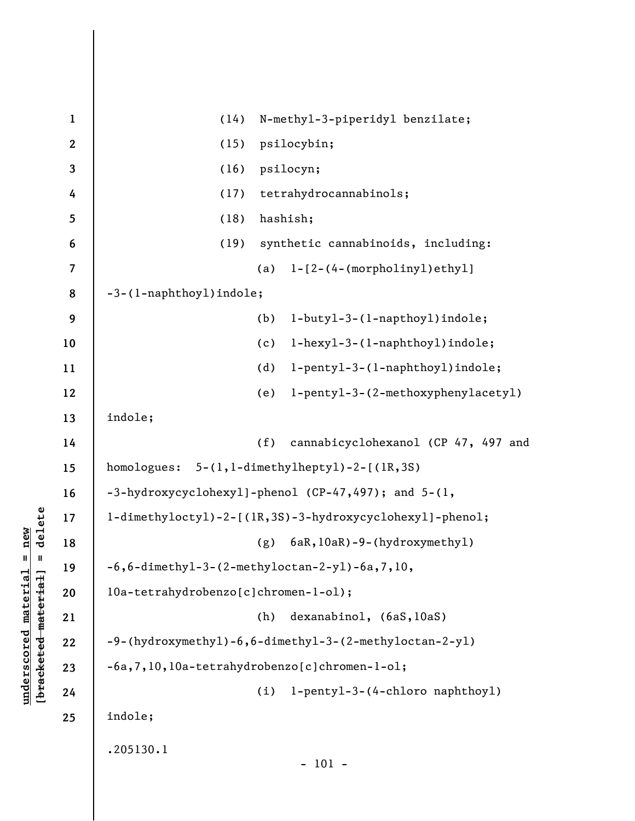| $\mathbf{1}$             | N-methyl-3-piperidyl benzilate;<br>(14)                  |  |
|--------------------------|----------------------------------------------------------|--|
| $\boldsymbol{2}$         | psilocybin;<br>(15)                                      |  |
| 3                        | psilocyn;<br>(16)                                        |  |
| 4                        | tetrahydrocannabinols;<br>(17)                           |  |
| 5                        | hashish;<br>(18)                                         |  |
| 6                        | synthetic cannabinoids, including:<br>(19)               |  |
| $\overline{\mathcal{L}}$ | (a) $l - [2 - (4 - (morpholiny1)ethyl]$                  |  |
| 8                        | -3-(1-naphthoyl)indole;                                  |  |
| 9                        | (b)<br>l-butyl-3-(l-napthoyl)indole;                     |  |
| 10                       | l-hexyl-3-(l-naphthoyl)indole;<br>(c)                    |  |
| 11                       | (d)<br>l-pentyl-3-(l-naphthoyl)indole;                   |  |
| 12                       | l-pentyl-3-(2-methoxyphenylacetyl)<br>(e)                |  |
| 13                       | indole;                                                  |  |
| 14                       | cannabicyclohexanol (CP 47, 497 and<br>(f)               |  |
| 15                       | homologues: 5-(1,1-dimethylheptyl)-2-[(1R,3S)            |  |
| 16                       | -3-hydroxycyclohexyl]-phenol (CP-47,497); and 5-(1,      |  |
| 17                       | l-dimethyloctyl)-2-[(lR,3S)-3-hydroxycyclohexyl]-phenol; |  |
| 18                       | 6aR, 10aR) -9-(hydroxymethyl)<br>(g)                     |  |
| 19                       | $-6$ , $6$ -dimethyl-3-(2-methyloctan-2-yl)-6a, 7, 10,   |  |
| 20                       | l0a-tetrahydrobenzo[c]chromen-l-ol);                     |  |
| 21                       | dexanabinol, (6aS, 10aS)<br>(h)                          |  |
| 22                       | -9-(hydroxymethyl)-6,6-dimethyl-3-(2-methyloctan-2-yl)   |  |
| 23                       | -6a, 7, 10, 10a-tetrahydrobenzo [c] chromen-1-o1;        |  |
| 24                       | l-pentyl-3-(4-chloro naphthoyl)<br>(i)                   |  |
| 25                       | indole;                                                  |  |
|                          | .205130.1                                                |  |
|                          | $-101 -$                                                 |  |

**underscored material = new [bracketed material] = delete**

 $[bracketeed-materiat] = delete$  $underscored material = new$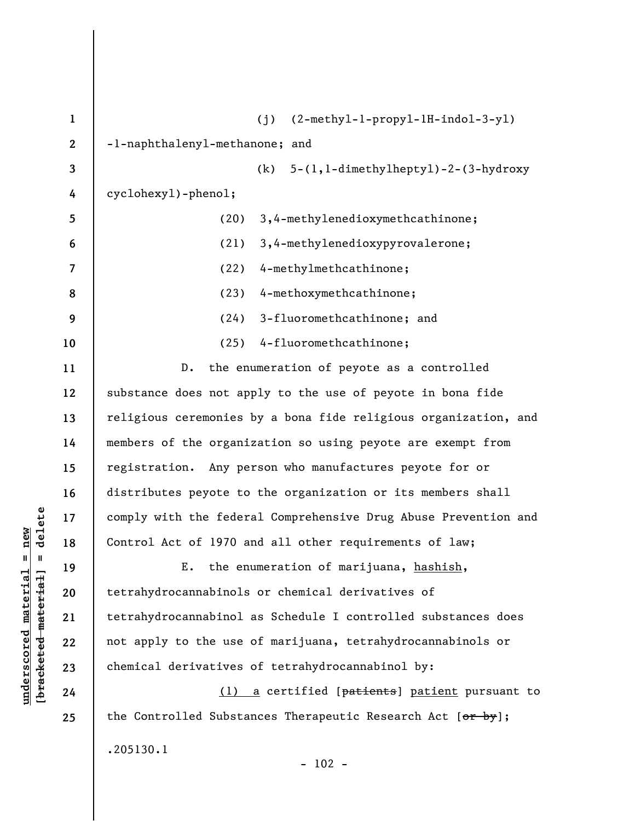| $\mathbf 1$      | $(2-methyl-1-propy1-1H-indol-3-y1)$<br>(i)                                   |
|------------------|------------------------------------------------------------------------------|
| $\boldsymbol{2}$ | -1-naphthalenyl-methanone; and                                               |
| 3                | $(k)$ 5- $(l, l$ -dimethylheptyl)-2- $(3$ -hydroxy                           |
| 4                | cyclohexy1)-phenol;                                                          |
| 5                | 3,4-methylenedioxymethcathinone;<br>(20)                                     |
| 6                | 3,4-methylenedioxypyrovalerone;<br>(21)                                      |
| 7                | 4-methylmethcathinone;<br>(22)                                               |
| 8                | 4-methoxymethcathinone;<br>(23)                                              |
| 9                | 3-fluoromethcathinone; and<br>(24)                                           |
| 10               | 4-fluoromethcathinone;<br>(25)                                               |
| 11               | the enumeration of peyote as a controlled<br>$D$ .                           |
| 12               | substance does not apply to the use of peyote in bona fide                   |
| 13               | religious ceremonies by a bona fide religious organization, and              |
| 14               | members of the organization so using peyote are exempt from                  |
| 15               | registration. Any person who manufactures peyote for or                      |
| 16               | distributes peyote to the organization or its members shall                  |
| 17               | comply with the federal Comprehensive Drug Abuse Prevention and              |
| 18               | Control Act of 1970 and all other requirements of law;                       |
| 19               | the enumeration of marijuana, hashish,<br>Ε.                                 |
| 20               | tetrahydrocannabinols or chemical derivatives of                             |
| 21               | tetrahydrocannabinol as Schedule I controlled substances does                |
| 22               | not apply to the use of marijuana, tetrahydrocannabinols or                  |
| 23               | chemical derivatives of tetrahydrocannabinol by:                             |
| 24               | (1) a certified [patients] patient pursuant to                               |
| 25               | the Controlled Substances Therapeutic Research Act $[\theta f + \theta g]$ ; |
|                  | .205130.1<br>102                                                             |

 $[bracketeed-materiat] = delete$ **[bracketed material] = delete**  $underscored material = new$ **underscored material = new**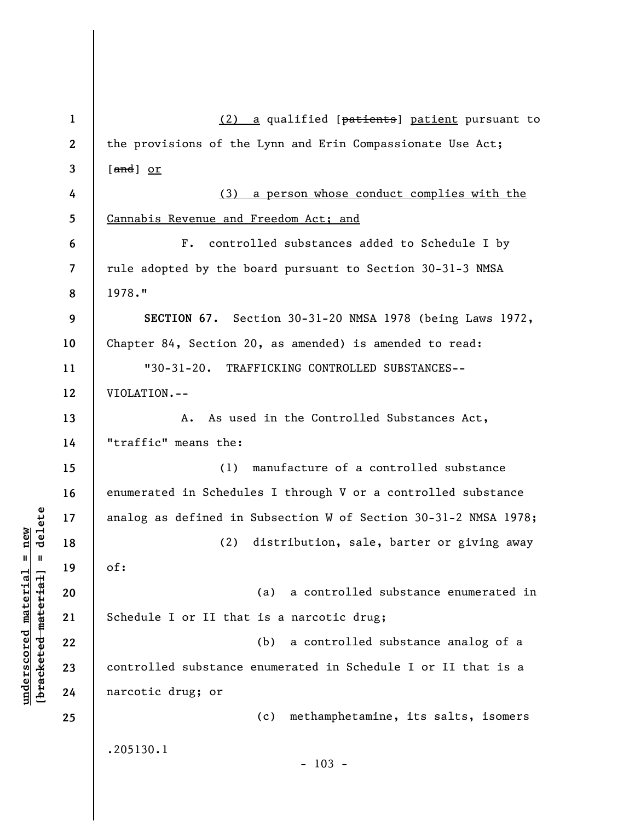| $\mathbf{1}$             | (2) a qualified [patients] patient pursuant to                  |
|--------------------------|-----------------------------------------------------------------|
| $\mathbf{2}$             | the provisions of the Lynn and Erin Compassionate Use Act;      |
| $\mathbf{3}$             | [ <del>and</del> ] <u>or</u>                                    |
| 4                        | (3) a person whose conduct complies with the                    |
| 5                        | Cannabis Revenue and Freedom Act; and                           |
| 6                        | controlled substances added to Schedule I by<br>F <sub>z</sub>  |
| $\overline{\mathcal{L}}$ | rule adopted by the board pursuant to Section 30-31-3 NMSA      |
| 8                        | 1978."                                                          |
| 9                        | SECTION 67. Section 30-31-20 NMSA 1978 (being Laws 1972,        |
| 10                       | Chapter 84, Section 20, as amended) is amended to read:         |
| 11                       | "30-31-20. TRAFFICKING CONTROLLED SUBSTANCES--                  |
| 12                       | VIOLATION.--                                                    |
| 13                       | As used in the Controlled Substances Act,<br>Α.                 |
| 14                       | "traffic" means the:                                            |
| 15                       | (1) manufacture of a controlled substance                       |
| 16                       | enumerated in Schedules I through V or a controlled substance   |
| 17                       | analog as defined in Subsection W of Section 30-31-2 NMSA 1978; |
| 18                       | distribution, sale, barter or giving away<br>(2)                |
| 19                       | of:                                                             |
| 20                       | a controlled substance enumerated in<br>(a)                     |
| 21                       | Schedule I or II that is a narcotic drug;                       |
| 22                       | (b) a controlled substance analog of a                          |
| 23                       | controlled substance enumerated in Schedule I or II that is a   |
| 24                       | narcotic drug; or                                               |
| 25                       | methamphetamine, its salts, isomers<br>(c)                      |
|                          | .205130.1                                                       |
|                          | $-103 -$                                                        |

 $[**bracket eted metert et**] = **del et e**$ **[bracketed material] = delete**  $underscored material = new$ **underscored material = new**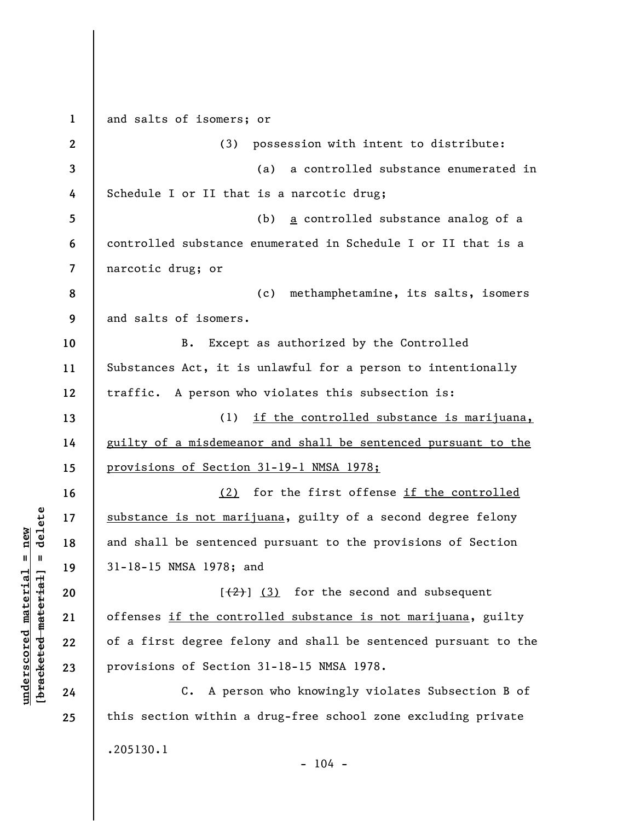**1 2 3 4 5 6 7 8 9 10 11 12 13 14 15 16 17 18 19 20 21 22 23 24 25**  and salts of isomers; or (3) possession with intent to distribute: (a) a controlled substance enumerated in Schedule I or II that is a narcotic drug; (b) a controlled substance analog of a controlled substance enumerated in Schedule I or II that is a narcotic drug; or (c) methamphetamine, its salts, isomers and salts of isomers. B. Except as authorized by the Controlled Substances Act, it is unlawful for a person to intentionally traffic. A person who violates this subsection is: (1) if the controlled substance is marijuana, guilty of a misdemeanor and shall be sentenced pursuant to the provisions of Section 31-19-1 NMSA 1978; (2) for the first offense if the controlled substance is not marijuana, guilty of a second degree felony and shall be sentenced pursuant to the provisions of Section 31-18-15 NMSA 1978; and  $[\frac{2}{3}]$  (3) for the second and subsequent offenses if the controlled substance is not marijuana, guilty of a first degree felony and shall be sentenced pursuant to the provisions of Section 31-18-15 NMSA 1978. C. A person who knowingly violates Subsection B of this section within a drug-free school zone excluding private .205130.1  $- 104 -$ 

**underscored material = new [bracketed material] = delete**

 $\frac{1}{2}$  intereted material = delete  $underscored material = new$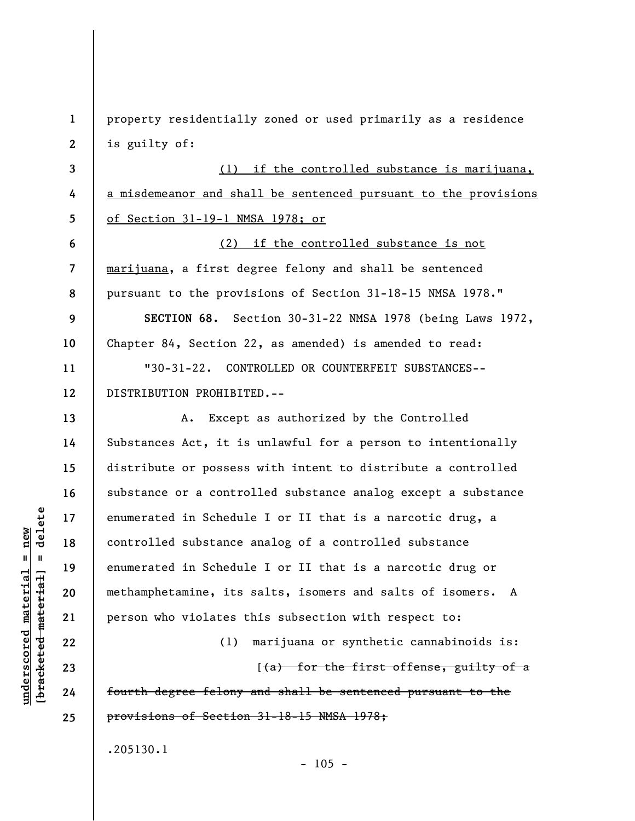**1 2 3 4 5 6 7 8 9 10 11 12 13 14 15 16 17 18 19 20 21 22 23 24 25**  property residentially zoned or used primarily as a residence is guilty of: (1) if the controlled substance is marijuana, a misdemeanor and shall be sentenced pursuant to the provisions of Section 31-19-1 NMSA 1978; or (2) if the controlled substance is not marijuana, a first degree felony and shall be sentenced pursuant to the provisions of Section 31-18-15 NMSA 1978." **SECTION 68.** Section 30-31-22 NMSA 1978 (being Laws 1972, Chapter 84, Section 22, as amended) is amended to read: "30-31-22. CONTROLLED OR COUNTERFEIT SUBSTANCES-- DISTRIBUTION PROHIBITED.-- A. Except as authorized by the Controlled Substances Act, it is unlawful for a person to intentionally distribute or possess with intent to distribute a controlled substance or a controlled substance analog except a substance enumerated in Schedule I or II that is a narcotic drug, a controlled substance analog of a controlled substance enumerated in Schedule I or II that is a narcotic drug or methamphetamine, its salts, isomers and salts of isomers. A person who violates this subsection with respect to: (1) marijuana or synthetic cannabinoids is:  $[$ (a) for the first offense, guilty of a fourth degree felony and shall be sentenced pursuant to the provisions of Section 31-18-15 NMSA 1978; .205130.1

 $- 105 -$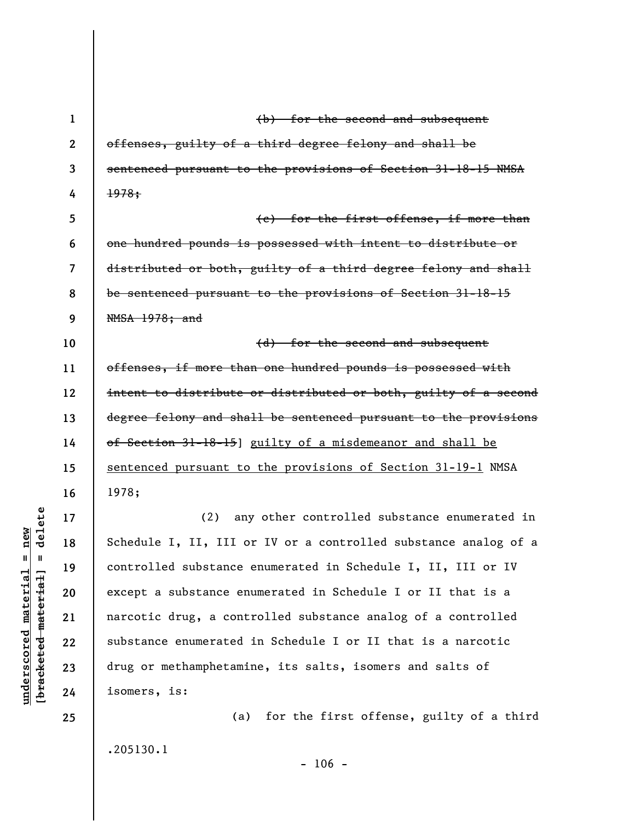**1**  (b) for the second and subsequent **2**  offenses, guilty of a third degree felony and shall be sentenced pursuant to the provisions of Section 31-18-15 NMSA **3 4**  1978; **5**  (c) for the first offense, if more than **6**  one hundred pounds is possessed with intent to distribute or distributed or both, guilty of a third degree felony and shall **7**  be sentenced pursuant to the provisions of Section 31-18-15 **8 9**  NMSA 1978; and **10**  (d) for the second and subsequent **11**  offenses, if more than one hundred pounds is possessed with intent to distribute or distributed or both, guilty of a second **12**  degree felony and shall be sentenced pursuant to the provisions **13 14**  of Section 31-18-15] guilty of a misdemeanor and shall be sentenced pursuant to the provisions of Section 31-19-1 NMSA **15 16**  1978; delete **[bracketed material] = delete 17**  (2) any other controlled substance enumerated in  $underscored material = new$ **underscored material = new** Schedule I, II, III or IV or a controlled substance analog of a **18**   $\mathbf{I}$ controlled substance enumerated in Schedule I, II, III or IV **19**  bracketed material except a substance enumerated in Schedule I or II that is a **20**  narcotic drug, a controlled substance analog of a controlled **21**  substance enumerated in Schedule I or II that is a narcotic **22**  drug or methamphetamine, its salts, isomers and salts of **23**  isomers, is: **24**  (a) for the first offense, guilty of a third **25** 

.205130.1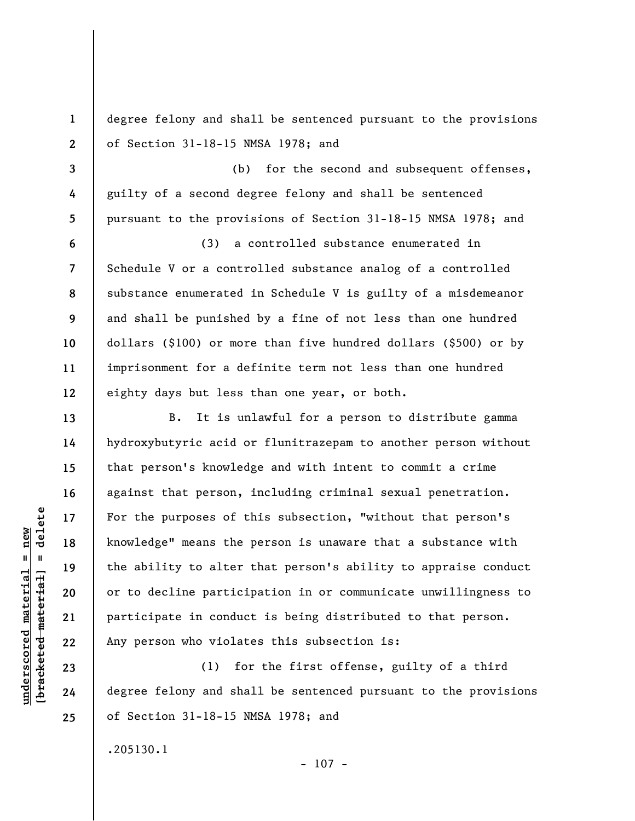degree felony and shall be sentenced pursuant to the provisions of Section 31-18-15 NMSA 1978; and

(b) for the second and subsequent offenses, guilty of a second degree felony and shall be sentenced pursuant to the provisions of Section 31-18-15 NMSA 1978; and

(3) a controlled substance enumerated in Schedule V or a controlled substance analog of a controlled substance enumerated in Schedule V is guilty of a misdemeanor and shall be punished by a fine of not less than one hundred dollars (\$100) or more than five hundred dollars (\$500) or by imprisonment for a definite term not less than one hundred eighty days but less than one year, or both.

B. It is unlawful for a person to distribute gamma hydroxybutyric acid or flunitrazepam to another person without that person's knowledge and with intent to commit a crime against that person, including criminal sexual penetration. For the purposes of this subsection, "without that person's knowledge" means the person is unaware that a substance with the ability to alter that person's ability to appraise conduct or to decline participation in or communicate unwillingness to participate in conduct is being distributed to that person. Any person who violates this subsection is:

(1) for the first offense, guilty of a third degree felony and shall be sentenced pursuant to the provisions of Section 31-18-15 NMSA 1978; and

 $- 107 -$ 

.205130.1

 $\frac{1}{2}$  intereted material = delete **[bracketed material] = delete**  $underscored material = new$ **underscored material = new**

**1** 

**2** 

**3** 

**4** 

**5** 

**6** 

**7** 

**8** 

**9** 

**10** 

**11** 

**12** 

**13** 

**14** 

**15** 

**16** 

**17** 

**18** 

**19** 

**20** 

**21** 

**22** 

**23** 

**24**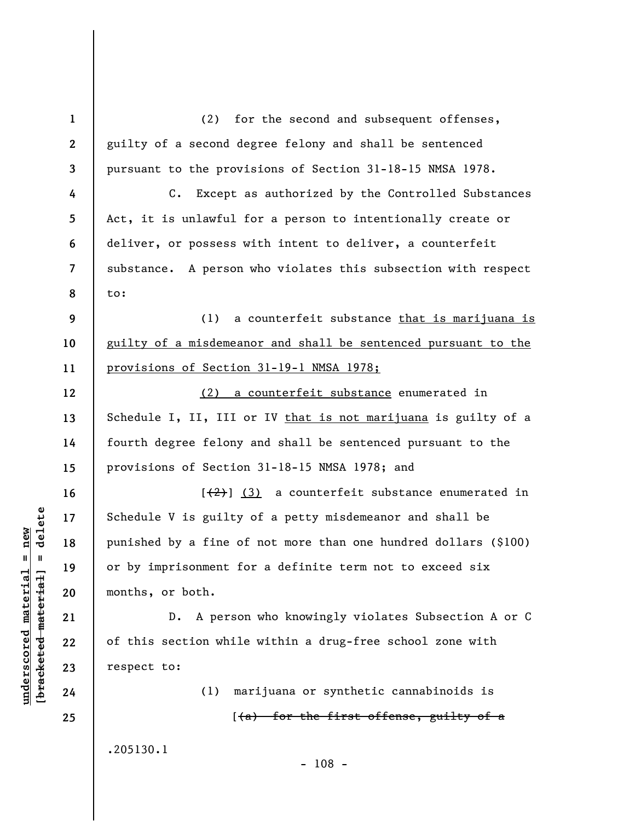**1 2 3 4 5 6 7 8 9 10 11 12 13 14 15 16 17 18 19 20 21 22 23 24 25**  (2) for the second and subsequent offenses, guilty of a second degree felony and shall be sentenced pursuant to the provisions of Section 31-18-15 NMSA 1978. C. Except as authorized by the Controlled Substances Act, it is unlawful for a person to intentionally create or deliver, or possess with intent to deliver, a counterfeit substance. A person who violates this subsection with respect to: (1) a counterfeit substance that is marijuana is guilty of a misdemeanor and shall be sentenced pursuant to the provisions of Section 31-19-1 NMSA 1978; (2) a counterfeit substance enumerated in Schedule I, II, III or IV that is not marijuana is guilty of a fourth degree felony and shall be sentenced pursuant to the provisions of Section 31-18-15 NMSA 1978; and  $[\frac{1}{2}]$  (3) a counterfeit substance enumerated in Schedule V is guilty of a petty misdemeanor and shall be punished by a fine of not more than one hundred dollars (\$100) or by imprisonment for a definite term not to exceed six months, or both. D. A person who knowingly violates Subsection A or C of this section while within a drug-free school zone with respect to: (1) marijuana or synthetic cannabinoids is  $(4a)$  for the first offense, guilty of a .205130.1

 $\frac{1}{2}$  bracketed material = delete **[bracketed material] = delete**  $underscored material = new$ **underscored material = new**

- 108 -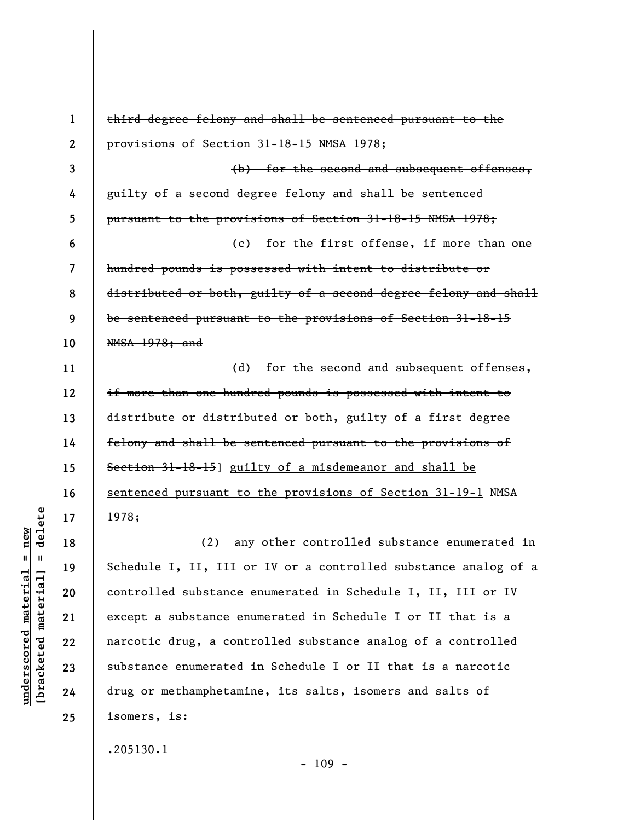| $\mathbf 1$  | third degree felony and shall be sentenced pursuant to the      |
|--------------|-----------------------------------------------------------------|
| $\mathbf{2}$ | provisions of Section 31-18-15 NMSA 1978;                       |
| 3            | (b) for the second and subsequent offenses,                     |
| 4            | guilty of a second degree felony and shall be sentenced         |
| 5            | pursuant to the provisions of Section 31-18-15 NMSA 1978;       |
| 6            | (e) for the first offense, if more than one                     |
| 7            | hundred pounds is possessed with intent to distribute or        |
| 8            | distributed or both, guilty of a second degree felony and shall |
| 9            | be sentenced pursuant to the provisions of Section 31-18-15     |
| 10           | NMSA 1978; and                                                  |
| 11           | (d) for the second and subsequent offenses,                     |
| 12           | if more than one hundred pounds is possessed with intent to     |
| 13           | distribute or distributed or both, guilty of a first degree     |
| 14           | felony and shall be sentenced pursuant to the provisions of     |
| 15           | Section 31-18-15] guilty of a misdemeanor and shall be          |
| 16           | sentenced pursuant to the provisions of Section 31-19-1 NMSA    |
| 17           | 1978;                                                           |
| 18           | any other controlled substance enumerated in<br>(2)             |
| 19           | Schedule I, II, III or IV or a controlled substance analog of a |
| 20           | controlled substance enumerated in Schedule I, II, III or IV    |
| 21           | except a substance enumerated in Schedule I or II that is a     |
| 22           | narcotic drug, a controlled substance analog of a controlled    |
| 23           | substance enumerated in Schedule I or II that is a narcotic     |
| 24           | drug or methamphetamine, its salts, isomers and salts of        |
| 25           | isomers, is:                                                    |
|              | .205130.1                                                       |

 $[**bracket**et~~eted matcherial~~] = **delete**$ **[bracketed material] = delete**  $underscored material = new$ **underscored material = new**

- 109 -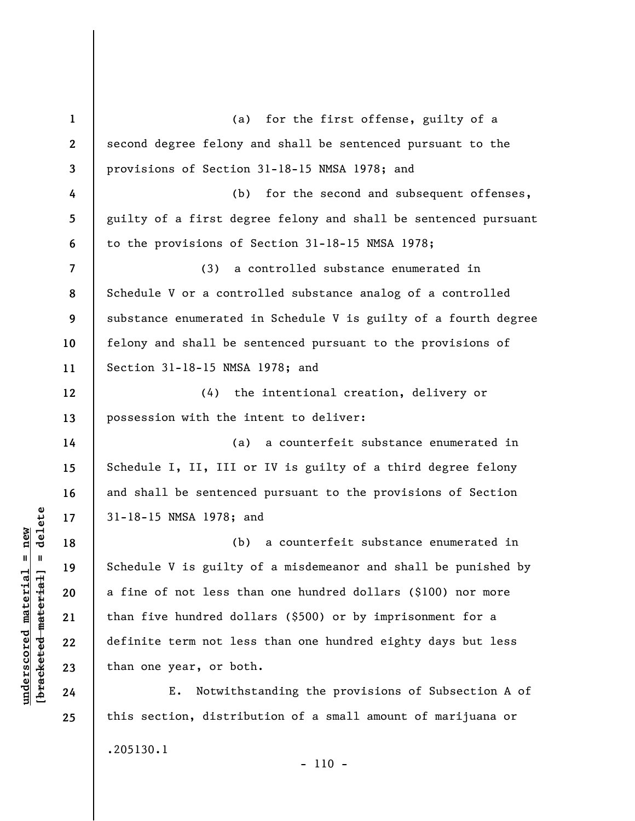| $\mathbf{1}$   | (a) for the first offense, guilty of a                          |
|----------------|-----------------------------------------------------------------|
| $\mathbf{2}$   | second degree felony and shall be sentenced pursuant to the     |
| 3              | provisions of Section 31-18-15 NMSA 1978; and                   |
| 4              | for the second and subsequent offenses,<br>(b)                  |
| 5              | guilty of a first degree felony and shall be sentenced pursuant |
| 6              | to the provisions of Section 31-18-15 NMSA 1978;                |
| $\overline{7}$ | (3)<br>a controlled substance enumerated in                     |
| 8              | Schedule V or a controlled substance analog of a controlled     |
| 9              | substance enumerated in Schedule V is guilty of a fourth degree |
| 10             | felony and shall be sentenced pursuant to the provisions of     |
| 11             | Section 31-18-15 NMSA 1978; and                                 |
| 12             | the intentional creation, delivery or<br>(4)                    |
| 13             | possession with the intent to deliver:                          |
| 14             | a counterfeit substance enumerated in<br>(a)                    |
| 15             | Schedule I, II, III or IV is guilty of a third degree felony    |
| 16             | and shall be sentenced pursuant to the provisions of Section    |
| 17             | 31-18-15 NMSA 1978; and                                         |
| 18             | a counterfeit substance enumerated in<br>(b)                    |
| 19             | Schedule V is guilty of a misdemeanor and shall be punished by  |
| 20             | a fine of not less than one hundred dollars (\$100) nor more    |
| 21             | than five hundred dollars (\$500) or by imprisonment for a      |
| 22             | definite term not less than one hundred eighty days but less    |
| 23             | than one year, or both.                                         |
| 24             | Notwithstanding the provisions of Subsection A of<br>Ε.         |
| 25             | this section, distribution of a small amount of marijuana or    |
|                | .205130.1                                                       |

- 110 -

 $[**bracket**et~~eted matcherial~~] = **delete**$ **[bracketed material] = delete**  $underscored material = new$ **underscored material = new**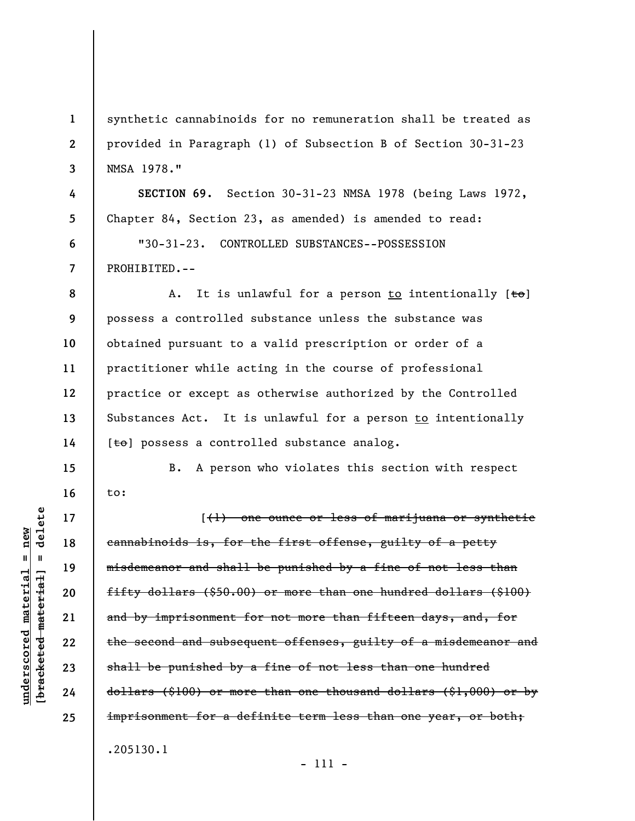synthetic cannabinoids for no remuneration shall be treated as provided in Paragraph (1) of Subsection B of Section 30-31-23 NMSA 1978."

**SECTION 69.** Section 30-31-23 NMSA 1978 (being Laws 1972, Chapter 84, Section 23, as amended) is amended to read: "30-31-23. CONTROLLED SUBSTANCES--POSSESSION PROHIBITED.--

**8 9 10 11 12 13 14**  A. It is unlawful for a person to intentionally  $[t<sub>0</sub>]$ possess a controlled substance unless the substance was obtained pursuant to a valid prescription or order of a practitioner while acting in the course of professional practice or except as otherwise authorized by the Controlled Substances Act. It is unlawful for a person to intentionally  $[t<sub>0</sub>]$  possess a controlled substance analog.

B. A person who violates this section with respect to:

[(1) one ounce or less of marijuana or synthetic cannabinoids is, for the first offense, guilty of a petty misdemeanor and shall be punished by a fine of not less than fifty dollars (\$50.00) or more than one hundred dollars (\$100) and by imprisonment for not more than fifteen days, and, for the second and subsequent offenses, guilty of a misdemeanor and shall be punished by a fine of not less than one hundred dollars (\$100) or more than one thousand dollars (\$1,000) or by imprisonment for a definite term less than one year, or both; .205130.1

delete **[bracketed material] = delete**  $underscored material = new$ **underscored material = new**  $\mathbf{I}$ bracketed material

**1** 

**2** 

**3** 

**4** 

**5** 

**6** 

**7** 

**15** 

**16** 

**17** 

**18** 

**19** 

**20** 

**21** 

**22** 

**23** 

**24**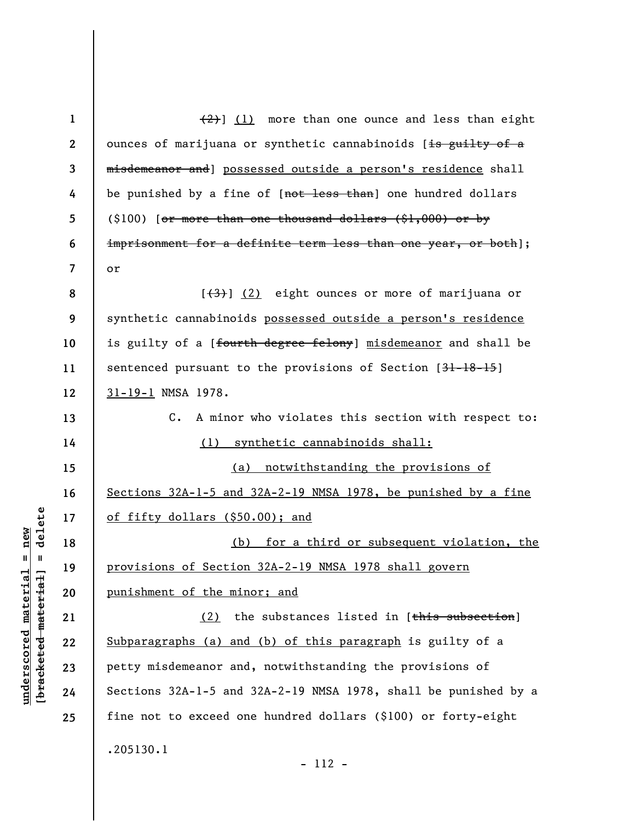| $\mathbf{1}$ | $(2)$ ] (1) more than one ounce and less than eight                                    |
|--------------|----------------------------------------------------------------------------------------|
| $\mathbf{2}$ | ounces of marijuana or synthetic cannabinoids [ <del>is guilty of a</del>              |
| 3            | misdemeanor and] possessed outside a person's residence shall                          |
| 4            | be punished by a fine of [not less than] one hundred dollars                           |
| 5            | $(\$100)$ [ <del>or more than one thousand dollars (<math>\\$1,000</math>) or by</del> |
| 6            | imprisonment for a definite term less than one year, or both];                         |
| 7            | or                                                                                     |
| 8            | [(3)] (2) eight ounces or more of marijuana or                                         |
| 9            | synthetic cannabinoids possessed outside a person's residence                          |
| 10           | is guilty of a [ <del>fourth degree felony</del> ] <u>misdemeanor</u> and shall be     |
| 11           | sentenced pursuant to the provisions of Section [31-18-15]                             |
| 12           | 31-19-1 NMSA 1978.                                                                     |
| 13           | A minor who violates this section with respect to:<br>$\mathsf{c}$ .                   |
| 14           | (1) synthetic cannabinoids shall:                                                      |
|              |                                                                                        |
| 15           | (a) notwithstanding the provisions of                                                  |
| 16           | Sections 32A-1-5 and 32A-2-19 NMSA 1978, be punished by a fine                         |
| 17           | of fifty dollars (\$50.00); and                                                        |
| 18           | (b) for a third or subsequent violation, the                                           |
| 19           | <u>provisions of Section 32A-2-19 NMSA 1978 shall govern</u>                           |
| 20           | punishment of the minor; and                                                           |
| 21           | the substances listed in [this subsection]<br>(2)                                      |
| 22           | Subparagraphs (a) and (b) of this paragraph is guilty of a                             |
| 23           | petty misdemeanor and, notwithstanding the provisions of                               |
| 24           | Sections 32A-1-5 and 32A-2-19 NMSA 1978, shall be punished by a                        |
| 25           | fine not to exceed one hundred dollars (\$100) or forty-eight                          |

**underscored material = new [bracketed material] = delete**

 $[bracketeed-materiat] = delete$  $underscored material = new$ 

- 112 -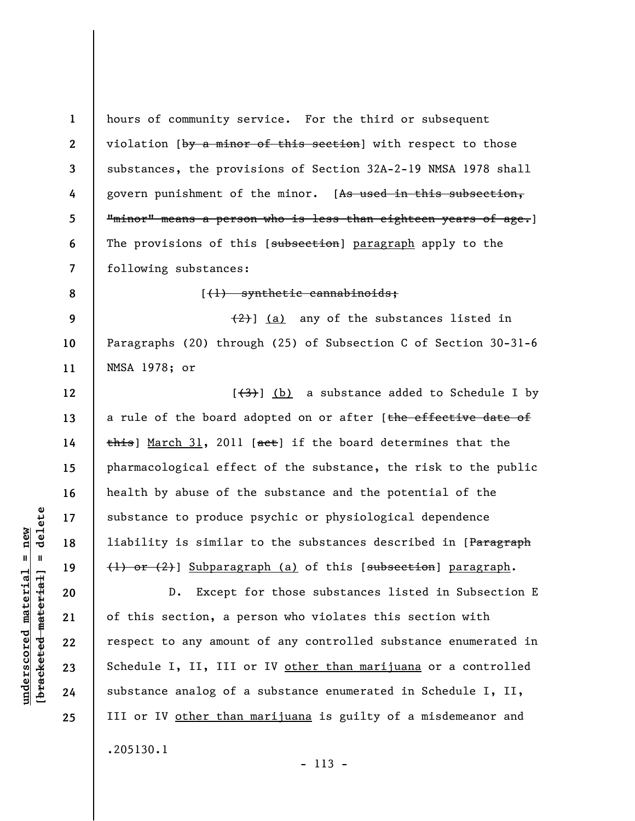**1 2 3 4 5 6 7 8 9 10 11 12 13 14 15 16 17 18 19 20 21 22 23 24 25**  hours of community service. For the third or subsequent violation [by a minor of this section] with respect to those substances, the provisions of Section 32A-2-19 NMSA 1978 shall govern punishment of the minor. [As used in this subsection, "minor" means a person who is less than eighteen years of age.] The provisions of this [subsection] paragraph apply to the following substances: [(1) synthetic cannabinoids;  $(2)$ ] (a) any of the substances listed in Paragraphs (20) through (25) of Subsection C of Section 30-31-6 NMSA 1978; or  $[\frac{(3)}{1}]$  (b) a substance added to Schedule I by a rule of the board adopted on or after [the effective date of  $\frac{1}{2}$  March 31, 2011 [aet] if the board determines that the pharmacological effect of the substance, the risk to the public health by abuse of the substance and the potential of the substance to produce psychic or physiological dependence liability is similar to the substances described in [Paragraph (1) or (2)] Subparagraph (a) of this [subsection] paragraph. D. Except for those substances listed in Subsection E of this section, a person who violates this section with respect to any amount of any controlled substance enumerated in Schedule I, II, III or IV other than marijuana or a controlled substance analog of a substance enumerated in Schedule I, II, III or IV other than marijuana is guilty of a misdemeanor and .205130.1

 $\frac{1}{2}$  intereted material = delete **[bracketed material] = delete**  $underscored material = new$ **underscored material = new**

- 113 -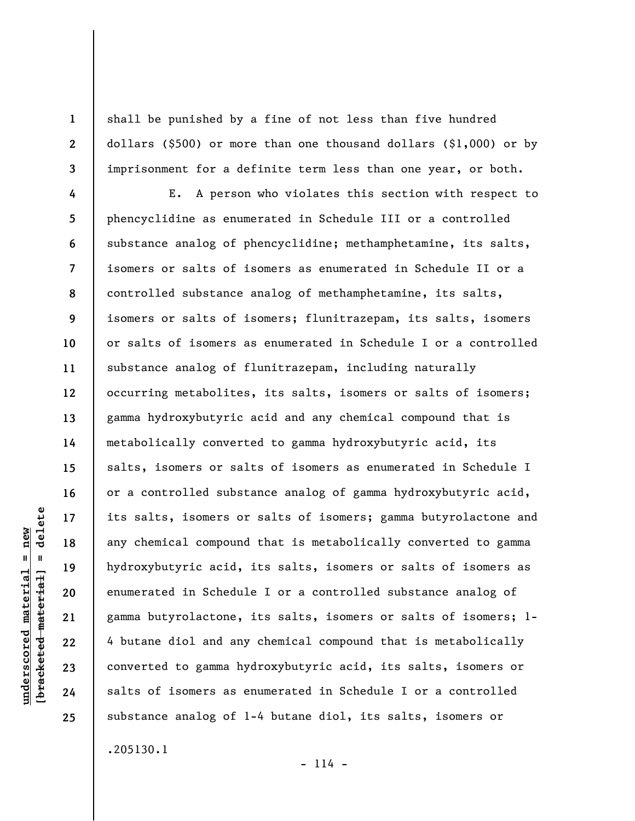shall be punished by a fine of not less than five hundred dollars (\$500) or more than one thousand dollars (\$1,000) or by imprisonment for a definite term less than one year, or both.

**4 5 6 7 8 9 10 11 12 13 14 15 16 17 18 19 20 21 22 23 24 25**  E. A person who violates this section with respect to phencyclidine as enumerated in Schedule III or a controlled substance analog of phencyclidine; methamphetamine, its salts, isomers or salts of isomers as enumerated in Schedule II or a controlled substance analog of methamphetamine, its salts, isomers or salts of isomers; flunitrazepam, its salts, isomers or salts of isomers as enumerated in Schedule I or a controlled substance analog of flunitrazepam, including naturally occurring metabolites, its salts, isomers or salts of isomers; gamma hydroxybutyric acid and any chemical compound that is metabolically converted to gamma hydroxybutyric acid, its salts, isomers or salts of isomers as enumerated in Schedule I or a controlled substance analog of gamma hydroxybutyric acid, its salts, isomers or salts of isomers; gamma butyrolactone and any chemical compound that is metabolically converted to gamma hydroxybutyric acid, its salts, isomers or salts of isomers as enumerated in Schedule I or a controlled substance analog of gamma butyrolactone, its salts, isomers or salts of isomers; 1- 4 butane diol and any chemical compound that is metabolically converted to gamma hydroxybutyric acid, its salts, isomers or salts of isomers as enumerated in Schedule I or a controlled substance analog of 1-4 butane diol, its salts, isomers or

.205130.1

 $- 114 -$ 

delete **[bracketed material] = delete**  $underscored material = new$ **underscored material = new**  $\mathbf{I}$ bracketed material

**1** 

**2**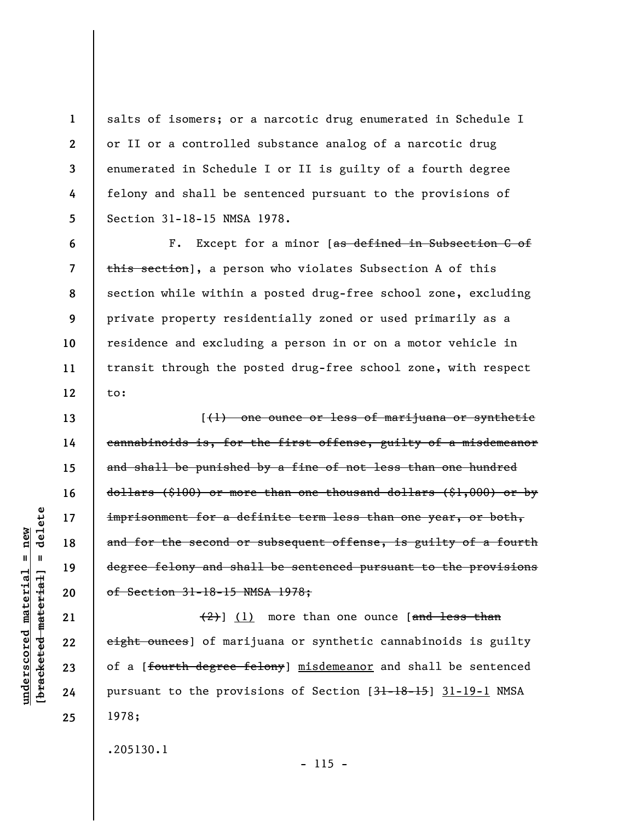salts of isomers; or a narcotic drug enumerated in Schedule I or II or a controlled substance analog of a narcotic drug enumerated in Schedule I or II is guilty of a fourth degree felony and shall be sentenced pursuant to the provisions of Section 31-18-15 NMSA 1978.

F. Except for a minor [as defined in Subsection C of this section], a person who violates Subsection A of this section while within a posted drug-free school zone, excluding private property residentially zoned or used primarily as a residence and excluding a person in or on a motor vehicle in transit through the posted drug-free school zone, with respect to:

[(1) one ounce or less of marijuana or synthetic cannabinoids is, for the first offense, guilty of a misdemeanor and shall be punished by a fine of not less than one hundred dollars (\$100) or more than one thousand dollars (\$1,000) or by imprisonment for a definite term less than one year, or both, and for the second or subsequent offense, is guilty of a fourth degree felony and shall be sentenced pursuant to the provisions of Section 31-18-15 NMSA 1978;

 $(2)$ ] (1) more than one ounce [and less than eight ounces] of marijuana or synthetic cannabinoids is guilty of a [fourth degree felony] misdemeanor and shall be sentenced pursuant to the provisions of Section [31-18-15] 31-19-1 NMSA 1978;

.205130.1

 $- 115 -$ 

delete **[bracketed material] = delete**  $underscored material = new$ **underscored material = new**  $\mathbf{I}$ bracketed material

**1** 

**2** 

**3** 

**4** 

**5** 

**6** 

**7** 

**8** 

**9** 

**10** 

**11** 

**12** 

**13** 

**14** 

**15** 

**16** 

**17** 

**18** 

**19** 

**20** 

**21** 

**22** 

**23** 

**24**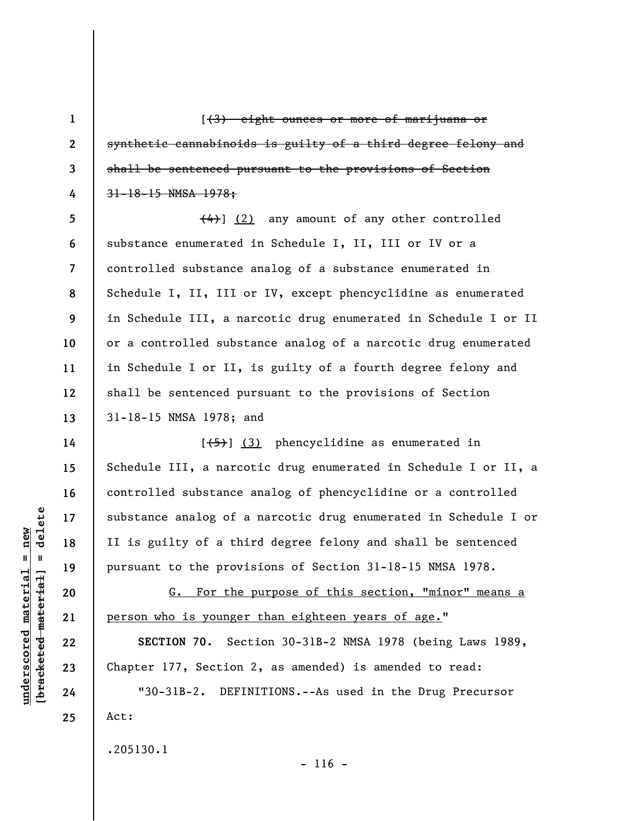[(3) eight ounces or more of marijuana or synthetic cannabinoids is guilty of a third degree felony and shall be sentenced pursuant to the provisions of Section 31-18-15 NMSA 1978;

**8**  (4)] (2) any amount of any other controlled substance enumerated in Schedule I, II, III or IV or a controlled substance analog of a substance enumerated in Schedule I, II, III or IV, except phencyclidine as enumerated in Schedule III, a narcotic drug enumerated in Schedule I or II or a controlled substance analog of a narcotic drug enumerated in Schedule I or II, is guilty of a fourth degree felony and shall be sentenced pursuant to the provisions of Section 31-18-15 NMSA 1978; and

 $[$ (3) phencyclidine as enumerated in Schedule III, a narcotic drug enumerated in Schedule I or II, a controlled substance analog of phencyclidine or a controlled substance analog of a narcotic drug enumerated in Schedule I or II is guilty of a third degree felony and shall be sentenced pursuant to the provisions of Section 31-18-15 NMSA 1978.

G. For the purpose of this section, "minor" means a person who is younger than eighteen years of age."

**SECTION 70.** Section 30-31B-2 NMSA 1978 (being Laws 1989, Chapter 177, Section 2, as amended) is amended to read:

 $- 116 -$ 

"30-31B-2. DEFINITIONS.--As used in the Drug Precursor Act:

.205130.1

delete **[bracketed material] = delete**  $anderscored material = new$ **underscored material = new**  $\mathbf{u}$ bracketed material

**1** 

**2** 

**3** 

**4** 

**5** 

**6** 

**7** 

**9** 

**10** 

**11** 

**12** 

**13** 

**14** 

**15** 

**16** 

**17** 

**18** 

**19** 

**20** 

**21** 

**22** 

**23** 

**24**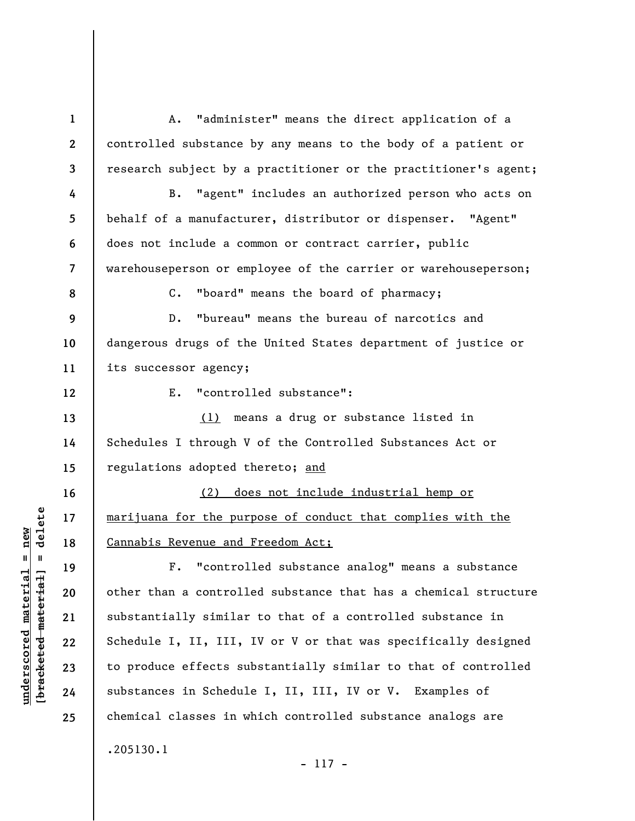**1 2 3 4 5 6 7 8 9 10 11 12 13 14 15 16 17 18 19 20 21 22 23 24 25**  A. "administer" means the direct application of a controlled substance by any means to the body of a patient or research subject by a practitioner or the practitioner's agent; B. "agent" includes an authorized person who acts on behalf of a manufacturer, distributor or dispenser. "Agent" does not include a common or contract carrier, public warehouseperson or employee of the carrier or warehouseperson; C. "board" means the board of pharmacy; D. "bureau" means the bureau of narcotics and dangerous drugs of the United States department of justice or its successor agency; E. "controlled substance": (1) means a drug or substance listed in Schedules I through V of the Controlled Substances Act or regulations adopted thereto; and (2) does not include industrial hemp or marijuana for the purpose of conduct that complies with the Cannabis Revenue and Freedom Act; F. "controlled substance analog" means a substance other than a controlled substance that has a chemical structure substantially similar to that of a controlled substance in Schedule I, II, III, IV or V or that was specifically designed to produce effects substantially similar to that of controlled substances in Schedule I, II, III, IV or V. Examples of chemical classes in which controlled substance analogs are .205130.1

 $\frac{1}{2}$  of  $\frac{1}{2}$  and  $\frac{1}{2}$  and  $\frac{1}{2}$  and  $\frac{1}{2}$  and  $\frac{1}{2}$  and  $\frac{1}{2}$  and  $\frac{1}{2}$  and  $\frac{1}{2}$  and  $\frac{1}{2}$  and  $\frac{1}{2}$  and  $\frac{1}{2}$  and  $\frac{1}{2}$  and  $\frac{1}{2}$  and  $\frac{1}{2}$  and  $\frac{1}{2}$  an **[bracketed material] = delete**  $underscored material = new$ **underscored material = new**

- 117 -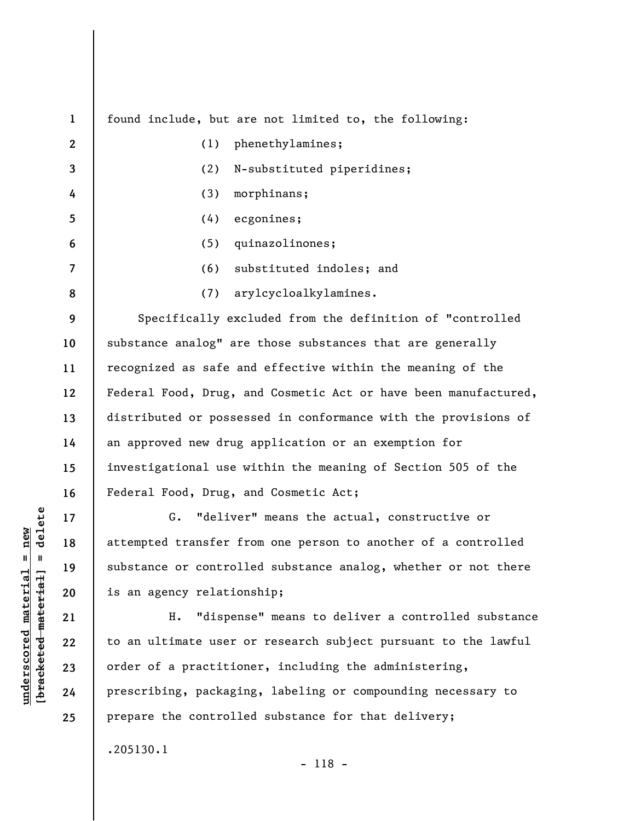**1 2 3 4 5 6 7 8 9 10 11 12 13 14 15 16 17 18 19 20**  found include, but are not limited to, the following: (1) phenethylamines; (2) N-substituted piperidines; (3) morphinans; (4) ecgonines; (5) quinazolinones; (6) substituted indoles; and (7) arylcycloalkylamines. Specifically excluded from the definition of "controlled substance analog" are those substances that are generally recognized as safe and effective within the meaning of the Federal Food, Drug, and Cosmetic Act or have been manufactured, distributed or possessed in conformance with the provisions of an approved new drug application or an exemption for investigational use within the meaning of Section 505 of the Federal Food, Drug, and Cosmetic Act; G. "deliver" means the actual, constructive or attempted transfer from one person to another of a controlled substance or controlled substance analog, whether or not there is an agency relationship;

H. "dispense" means to deliver a controlled substance to an ultimate user or research subject pursuant to the lawful order of a practitioner, including the administering, prescribing, packaging, labeling or compounding necessary to prepare the controlled substance for that delivery;

.205130.1

- 118 -

 $\frac{1}{2}$  of  $\frac{1}{2}$  and  $\frac{1}{2}$  and  $\frac{1}{2}$  and  $\frac{1}{2}$  and  $\frac{1}{2}$  and  $\frac{1}{2}$  and  $\frac{1}{2}$  and  $\frac{1}{2}$  and  $\frac{1}{2}$  and  $\frac{1}{2}$  and  $\frac{1}{2}$  and  $\frac{1}{2}$  and  $\frac{1}{2}$  and  $\frac{1}{2}$  and  $\frac{1}{2}$  an **[bracketed material] = delete**  $anderscored material = new$ **underscored material = new**

**21** 

**22** 

**23** 

**24**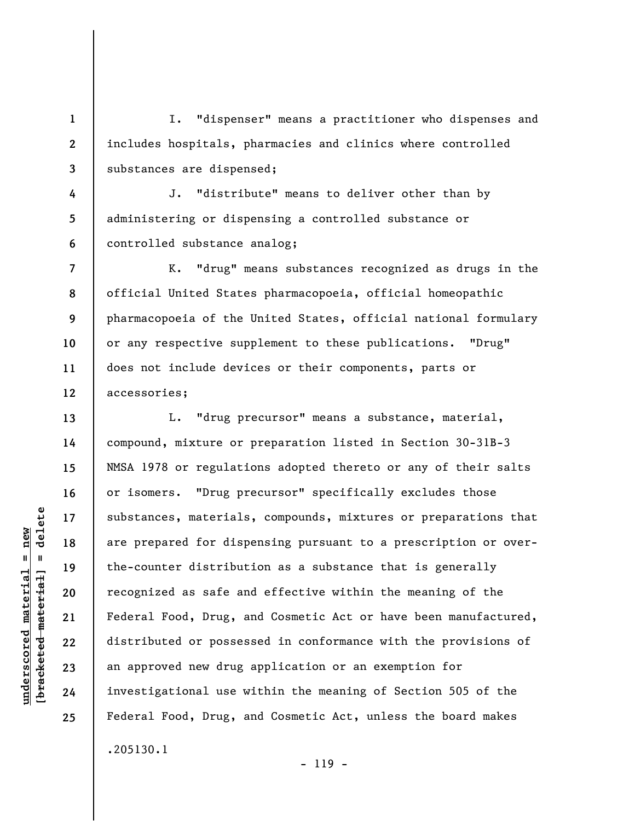I. "dispenser" means a practitioner who dispenses and includes hospitals, pharmacies and clinics where controlled substances are dispensed;

**4 5 6**  J. "distribute" means to deliver other than by administering or dispensing a controlled substance or controlled substance analog;

K. "drug" means substances recognized as drugs in the official United States pharmacopoeia, official homeopathic pharmacopoeia of the United States, official national formulary or any respective supplement to these publications. "Drug" does not include devices or their components, parts or accessories;

L. "drug precursor" means a substance, material, compound, mixture or preparation listed in Section 30-31B-3 NMSA 1978 or regulations adopted thereto or any of their salts or isomers. "Drug precursor" specifically excludes those substances, materials, compounds, mixtures or preparations that are prepared for dispensing pursuant to a prescription or overthe-counter distribution as a substance that is generally recognized as safe and effective within the meaning of the Federal Food, Drug, and Cosmetic Act or have been manufactured, distributed or possessed in conformance with the provisions of an approved new drug application or an exemption for investigational use within the meaning of Section 505 of the Federal Food, Drug, and Cosmetic Act, unless the board makes .205130.1

 $\frac{1}{2}$  intereted material = delete **[bracketed material] = delete**  $underscored material = new$ **underscored material = new**

**1** 

**2** 

**3** 

**7** 

**8** 

**9** 

**10** 

**11** 

**12** 

**13** 

**14** 

**15** 

**16** 

**17** 

**18** 

**19** 

**20** 

**21** 

**22** 

**23** 

**24** 

**25** 

- 119 -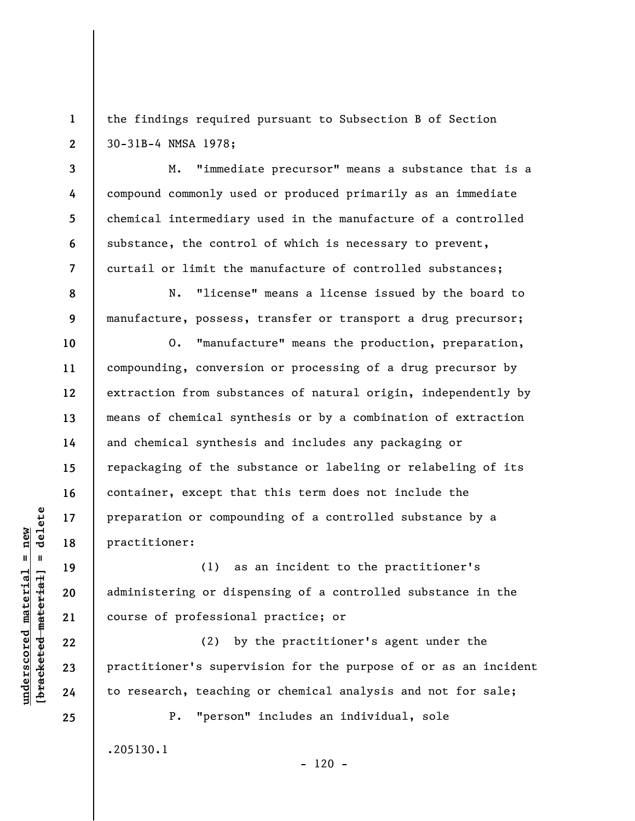**1 2**  the findings required pursuant to Subsection B of Section 30-31B-4 NMSA 1978;

M. "immediate precursor" means a substance that is a compound commonly used or produced primarily as an immediate chemical intermediary used in the manufacture of a controlled substance, the control of which is necessary to prevent, curtail or limit the manufacture of controlled substances;

N. "license" means a license issued by the board to manufacture, possess, transfer or transport a drug precursor;

O. "manufacture" means the production, preparation, compounding, conversion or processing of a drug precursor by extraction from substances of natural origin, independently by means of chemical synthesis or by a combination of extraction and chemical synthesis and includes any packaging or repackaging of the substance or labeling or relabeling of its container, except that this term does not include the preparation or compounding of a controlled substance by a practitioner:

(1) as an incident to the practitioner's administering or dispensing of a controlled substance in the course of professional practice; or

(2) by the practitioner's agent under the practitioner's supervision for the purpose of or as an incident to research, teaching or chemical analysis and not for sale;

P. "person" includes an individual, sole .205130.1

**3** 

**4** 

**5** 

**6** 

**7** 

**8** 

**9** 

**10** 

**11** 

**12** 

**13** 

**14** 

**15** 

**16** 

**17** 

**18** 

**19** 

**20** 

**21** 

**22** 

**23** 

**24**